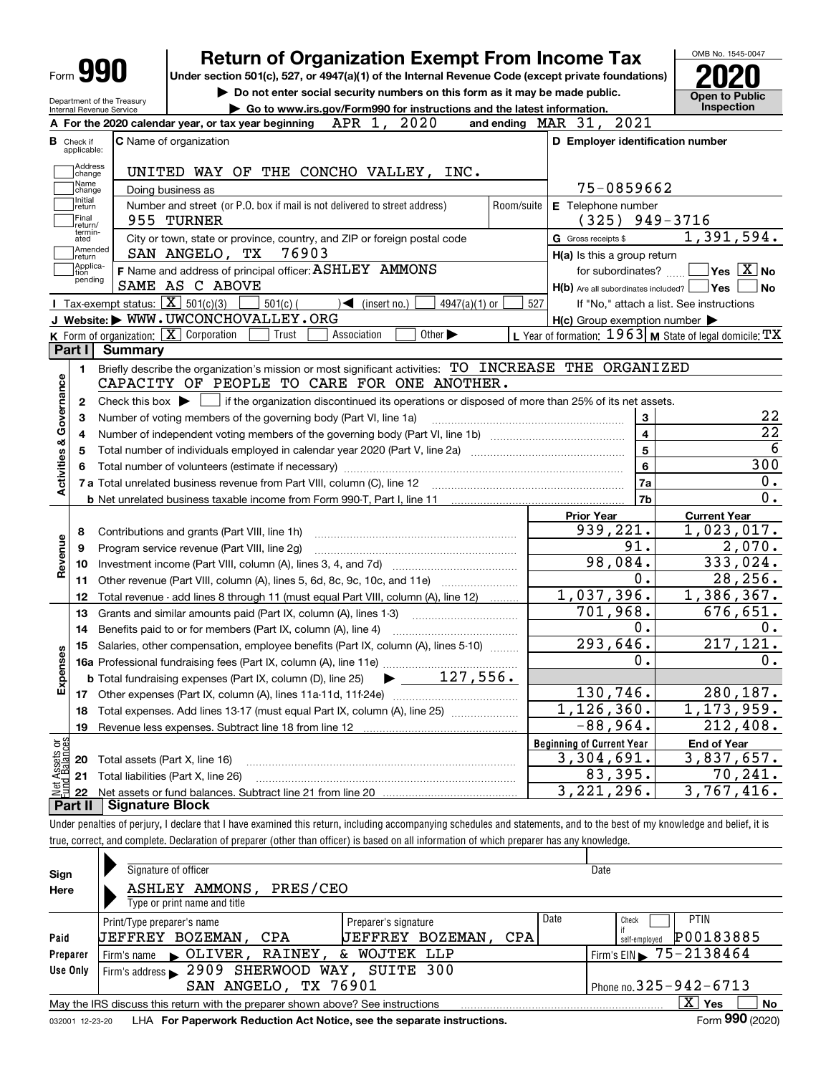# **Return of Organization Exempt From Income Tax**

**Under section 501(c), 527, or 4947(a)(1) of the Internal Revenue Code (except private foundations) 2020**

Department of the Treasury Internal Revenue Service

**| Do not enter social security numbers on this form as it may be made public. | Go to www.irs.gov/Form990 for instructions and the latest information. Inspection**

OMB No. 1545-0047 **Open to Public** 

| 2020                                                                                                                                                     | and ending MAR 31, 2021                                   |                                                                                               |  |  |  |  |  |
|----------------------------------------------------------------------------------------------------------------------------------------------------------|-----------------------------------------------------------|-----------------------------------------------------------------------------------------------|--|--|--|--|--|
| <b>C</b> Name of organization<br><b>B</b> Check if<br>applicable:                                                                                        | D Employer identification number                          |                                                                                               |  |  |  |  |  |
| Address<br>UNITED WAY OF THE CONCHO VALLEY, INC.<br>change                                                                                               |                                                           |                                                                                               |  |  |  |  |  |
| Name<br>Doing business as<br>change                                                                                                                      |                                                           | 75-0859662                                                                                    |  |  |  |  |  |
| Initial<br>Number and street (or P.O. box if mail is not delivered to street address)<br>return                                                          | E Telephone number<br>Room/suite                          |                                                                                               |  |  |  |  |  |
| Final<br>955 TURNER<br>return/                                                                                                                           | $(325)$ 949-3716                                          |                                                                                               |  |  |  |  |  |
| termin-<br>ated<br>City or town, state or province, country, and ZIP or foreign postal code                                                              | <b>G</b> Gross receipts \$                                | 1,391,594.                                                                                    |  |  |  |  |  |
| Amended<br>76903<br>SAN ANGELO, TX<br>return                                                                                                             | $H(a)$ is this a group return                             |                                                                                               |  |  |  |  |  |
| Applica-<br>F Name and address of principal officer: ASHLEY AMMONS<br>ltion<br>pending                                                                   |                                                           | for subordinates? $\Box$ Yes $\boxed{X}$ No                                                   |  |  |  |  |  |
| SAME AS C ABOVE                                                                                                                                          | $H(b)$ Are all subordinates included? $\vert$ Yes $\vert$ | ∣No                                                                                           |  |  |  |  |  |
| Tax-exempt status: $\boxed{\mathbf{X}}$ 501(c)(3)<br>$\sqrt{\frac{1}{1}}$ (insert no.)<br>$501(c)$ (<br>$4947(a)(1)$ or                                  | 527                                                       | If "No," attach a list. See instructions                                                      |  |  |  |  |  |
| J Website: WWW.UWCONCHOVALLEY.ORG                                                                                                                        | $H(c)$ Group exemption number $\blacktriangleright$       |                                                                                               |  |  |  |  |  |
| <b>K</b> Form of organization: $\boxed{\mathbf{X}}$ Corporation<br>Other $\blacktriangleright$<br>Trust<br>Association                                   | L Year of formation: 1963   M State of legal domicile: TX |                                                                                               |  |  |  |  |  |
| Part I<br>Summary                                                                                                                                        |                                                           |                                                                                               |  |  |  |  |  |
| Briefly describe the organization's mission or most significant activities: TO INCREASE THE ORGANIZED<br>1.                                              |                                                           |                                                                                               |  |  |  |  |  |
| Activities & Governance<br>CAPACITY OF PEOPLE TO CARE FOR ONE ANOTHER.                                                                                   |                                                           |                                                                                               |  |  |  |  |  |
| Check this box $\blacktriangleright$ $\blacksquare$ if the organization discontinued its operations or disposed of more than 25% of its net assets.<br>2 |                                                           |                                                                                               |  |  |  |  |  |
| Number of voting members of the governing body (Part VI, line 1a)<br>3                                                                                   | 3                                                         | 22                                                                                            |  |  |  |  |  |
| 4                                                                                                                                                        | $\overline{\mathbf{4}}$                                   | $\overline{22}$                                                                               |  |  |  |  |  |
| 5                                                                                                                                                        | 5                                                         | 6                                                                                             |  |  |  |  |  |
| 6                                                                                                                                                        | 6                                                         | 300                                                                                           |  |  |  |  |  |
|                                                                                                                                                          | 7a                                                        | $0$ .                                                                                         |  |  |  |  |  |
| <b>b</b> Net unrelated business taxable income from Form 990-T, Part I, line 11 <b>manual construes</b> contains an analyzed                             | 7b                                                        | 0.                                                                                            |  |  |  |  |  |
|                                                                                                                                                          | <b>Prior Year</b><br>939,221.                             | <b>Current Year</b><br>1,023,017.                                                             |  |  |  |  |  |
| Contributions and grants (Part VIII, line 1h)<br>8                                                                                                       | 91.                                                       | 2,070.                                                                                        |  |  |  |  |  |
| Program service revenue (Part VIII, line 2g)<br>9                                                                                                        | 98,084.                                                   | 333,024.                                                                                      |  |  |  |  |  |
| Revenue<br>Investment income (Part VIII, column (A), lines 3, 4, and 7d)<br>10                                                                           | 0.                                                        | 28, 256.                                                                                      |  |  |  |  |  |
| Other revenue (Part VIII, column (A), lines 5, 6d, 8c, 9c, 10c, and 11e)<br>11                                                                           | 1,037,396.                                                | $\overline{1,386,367}$ .                                                                      |  |  |  |  |  |
| Total revenue - add lines 8 through 11 (must equal Part VIII, column (A), line 12)<br>12                                                                 | 701,968.                                                  | 676,651.                                                                                      |  |  |  |  |  |
| 13<br>Grants and similar amounts paid (Part IX, column (A), lines 1-3)                                                                                   | 0.                                                        | 0.                                                                                            |  |  |  |  |  |
| Benefits paid to or for members (Part IX, column (A), line 4)<br>14                                                                                      | 293,646.                                                  | $\overline{217,121}$ .                                                                        |  |  |  |  |  |
|                                                                                                                                                          |                                                           |                                                                                               |  |  |  |  |  |
| Salaries, other compensation, employee benefits (Part IX, column (A), lines 5-10)<br>15                                                                  |                                                           |                                                                                               |  |  |  |  |  |
|                                                                                                                                                          | 0.                                                        |                                                                                               |  |  |  |  |  |
| <b>b</b> Total fundraising expenses (Part IX, column (D), line 25) $\bullet$ __ 127, 556.                                                                |                                                           |                                                                                               |  |  |  |  |  |
|                                                                                                                                                          | 130,746.                                                  |                                                                                               |  |  |  |  |  |
| Total expenses. Add lines 13-17 (must equal Part IX, column (A), line 25) [<br>18                                                                        | 1, 126, 360.                                              |                                                                                               |  |  |  |  |  |
| 19                                                                                                                                                       | $-88,964.$                                                |                                                                                               |  |  |  |  |  |
|                                                                                                                                                          | <b>Beginning of Current Year</b>                          | <b>End of Year</b>                                                                            |  |  |  |  |  |
| Expenses<br>ag:<br>Assets<br>I Balan<br>Total assets (Part X, line 16)<br>20                                                                             | 3,304,691.                                                |                                                                                               |  |  |  |  |  |
| 21 Total liabilities (Part X, line 26)<br>22                                                                                                             | 83,395.<br>3,221,296.                                     | 0.<br>280,187.<br>$\overline{1,173,959}$ .<br>212,408.<br>3,837,657.<br>70,241.<br>3,767,416. |  |  |  |  |  |

Under penalties of perjury, I declare that I have examined this return, including accompanying schedules and statements, and to the best of my knowledge and belief, it is true, correct, and complete. Declaration of preparer (other than officer) is based on all information of which preparer has any knowledge.

| Sign     | Signature of officer                                                                                         |                      |      | Date                                     |  |  |  |  |  |
|----------|--------------------------------------------------------------------------------------------------------------|----------------------|------|------------------------------------------|--|--|--|--|--|
| Here     | PRES/CEO<br>AMMONS,<br>ASHLEY                                                                                |                      |      |                                          |  |  |  |  |  |
|          | Type or print name and title                                                                                 |                      |      |                                          |  |  |  |  |  |
|          | Print/Type preparer's name                                                                                   | Preparer's signature | Date | <b>PTIN</b><br>Check                     |  |  |  |  |  |
| Paid     | JEFFREY BOZEMAN, CPA                                                                                         | BOZEMAN,<br>UEFFREY  | CPA  | P00183885<br>self-employed               |  |  |  |  |  |
| Preparer | RAINEY,<br>$\blacksquare$ OLIVER.<br>Firm's name                                                             | WOJTEK LLP<br>&.     |      | Firm's EIN $\triangleright$ 75 - 2138464 |  |  |  |  |  |
| Use Only | Firm's address 2909 SHERWOOD WAY, SUITE 300                                                                  |                      |      |                                          |  |  |  |  |  |
|          | Phone no. $325 - 942 - 6713$<br>SAN ANGELO, TX 76901                                                         |                      |      |                                          |  |  |  |  |  |
|          | x<br>No<br>Yes<br>May the IRS discuss this return with the preparer shown above? See instructions            |                      |      |                                          |  |  |  |  |  |
|          | Form 990 (2020)<br>LHA For Paperwork Reduction Act Notice, see the separate instructions.<br>032001 12-23-20 |                      |      |                                          |  |  |  |  |  |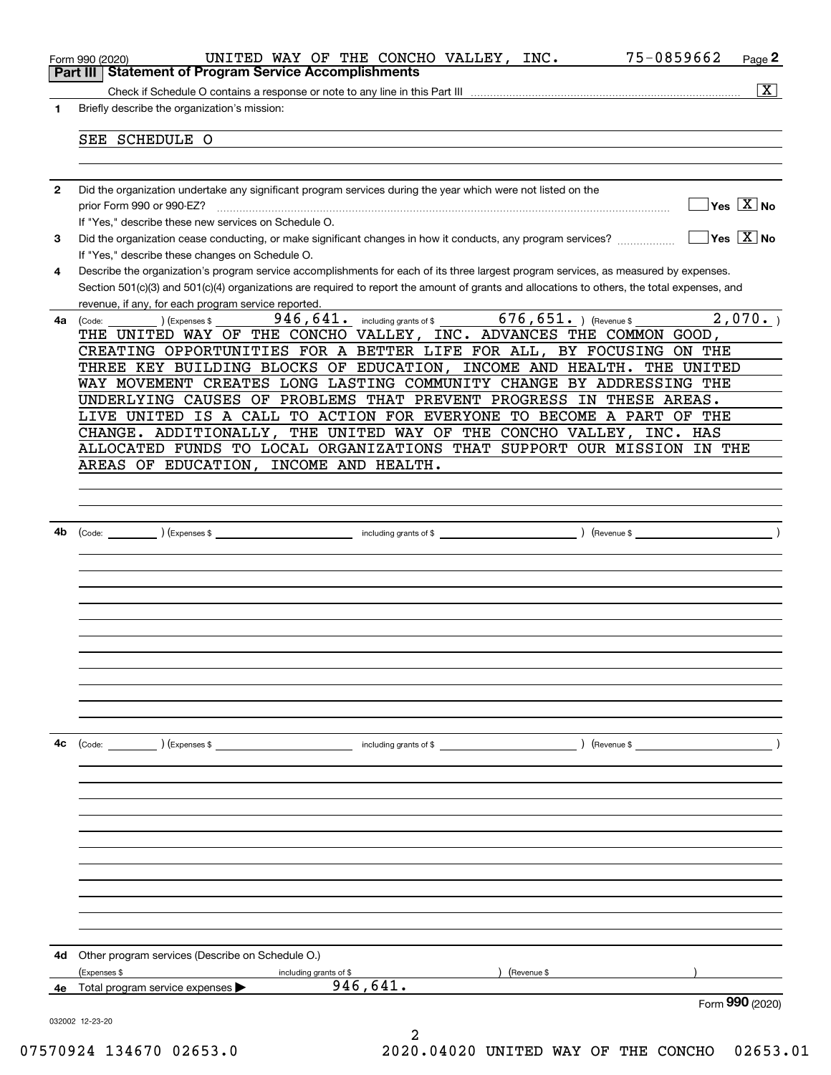|              | 75-0859662<br>UNITED WAY OF THE CONCHO VALLEY, INC.<br>Page 2<br>Form 990 (2020)                                                                                     |                       |
|--------------|----------------------------------------------------------------------------------------------------------------------------------------------------------------------|-----------------------|
|              | Part III   Statement of Program Service Accomplishments                                                                                                              |                       |
|              |                                                                                                                                                                      | $\overline{\text{X}}$ |
| 1            | Briefly describe the organization's mission:                                                                                                                         |                       |
|              | SEE SCHEDULE O                                                                                                                                                       |                       |
|              |                                                                                                                                                                      |                       |
|              |                                                                                                                                                                      |                       |
| $\mathbf{2}$ | Did the organization undertake any significant program services during the year which were not listed on the                                                         |                       |
|              | $\sqrt{Y}$ es $\sqrt{X}$ No<br>prior Form 990 or 990-EZ?                                                                                                             |                       |
|              | If "Yes," describe these new services on Schedule O.                                                                                                                 |                       |
| 3            | $\sqrt{}$ Yes $\sqrt{}$ X $\sqrt{}$ No<br>Did the organization cease conducting, or make significant changes in how it conducts, any program services?               |                       |
|              | If "Yes," describe these changes on Schedule O.                                                                                                                      |                       |
| 4            | Describe the organization's program service accomplishments for each of its three largest program services, as measured by expenses.                                 |                       |
|              | Section 501(c)(3) and 501(c)(4) organizations are required to report the amount of grants and allocations to others, the total expenses, and                         |                       |
|              | revenue, if any, for each program service reported.                                                                                                                  |                       |
| 4a           | 946, 641. including grants of \$ 676, 651. The Verenue \$<br>2,070.<br>(Expenses \$<br>(Code:<br>THE UNITED WAY OF THE CONCHO VALLEY, INC. ADVANCES THE COMMON GOOD, |                       |
|              |                                                                                                                                                                      |                       |
|              | CREATING OPPORTUNITIES FOR A BETTER LIFE FOR ALL, BY FOCUSING ON THE<br>THREE KEY BUILDING BLOCKS OF EDUCATION, INCOME AND HEALTH.<br>THE UNITED                     |                       |
|              | WAY MOVEMENT CREATES LONG LASTING COMMUNITY CHANGE BY ADDRESSING THE                                                                                                 |                       |
|              | UNDERLYING CAUSES OF PROBLEMS THAT PREVENT PROGRESS IN THESE AREAS.                                                                                                  |                       |
|              | LIVE UNITED IS A CALL TO ACTION FOR EVERYONE TO BECOME A PART OF THE                                                                                                 |                       |
|              | CHANGE. ADDITIONALLY, THE UNITED WAY OF THE CONCHO VALLEY, INC. HAS                                                                                                  |                       |
|              | ALLOCATED FUNDS TO LOCAL ORGANIZATIONS THAT SUPPORT OUR MISSION IN THE                                                                                               |                       |
|              | INCOME AND HEALTH.<br>AREAS OF EDUCATION,                                                                                                                            |                       |
|              |                                                                                                                                                                      |                       |
|              |                                                                                                                                                                      |                       |
|              |                                                                                                                                                                      |                       |
| 4b           |                                                                                                                                                                      |                       |
|              |                                                                                                                                                                      |                       |
|              |                                                                                                                                                                      |                       |
|              |                                                                                                                                                                      |                       |
|              |                                                                                                                                                                      |                       |
|              |                                                                                                                                                                      |                       |
|              |                                                                                                                                                                      |                       |
|              |                                                                                                                                                                      |                       |
|              |                                                                                                                                                                      |                       |
|              |                                                                                                                                                                      |                       |
|              |                                                                                                                                                                      |                       |
|              |                                                                                                                                                                      |                       |
| 4с           |                                                                                                                                                                      |                       |
|              |                                                                                                                                                                      |                       |
|              |                                                                                                                                                                      |                       |
|              |                                                                                                                                                                      |                       |
|              |                                                                                                                                                                      |                       |
|              |                                                                                                                                                                      |                       |
|              |                                                                                                                                                                      |                       |
|              |                                                                                                                                                                      |                       |
|              |                                                                                                                                                                      |                       |
|              |                                                                                                                                                                      |                       |
|              |                                                                                                                                                                      |                       |
|              |                                                                                                                                                                      |                       |
| 4d           | Other program services (Describe on Schedule O.)                                                                                                                     |                       |
|              | (Expenses \$<br>(Revenue \$<br>including grants of \$                                                                                                                |                       |
| 4e           | 946,641.<br>Total program service expenses                                                                                                                           |                       |
|              | Form 990 (2020)                                                                                                                                                      |                       |
|              | 032002 12-23-20                                                                                                                                                      |                       |
|              |                                                                                                                                                                      |                       |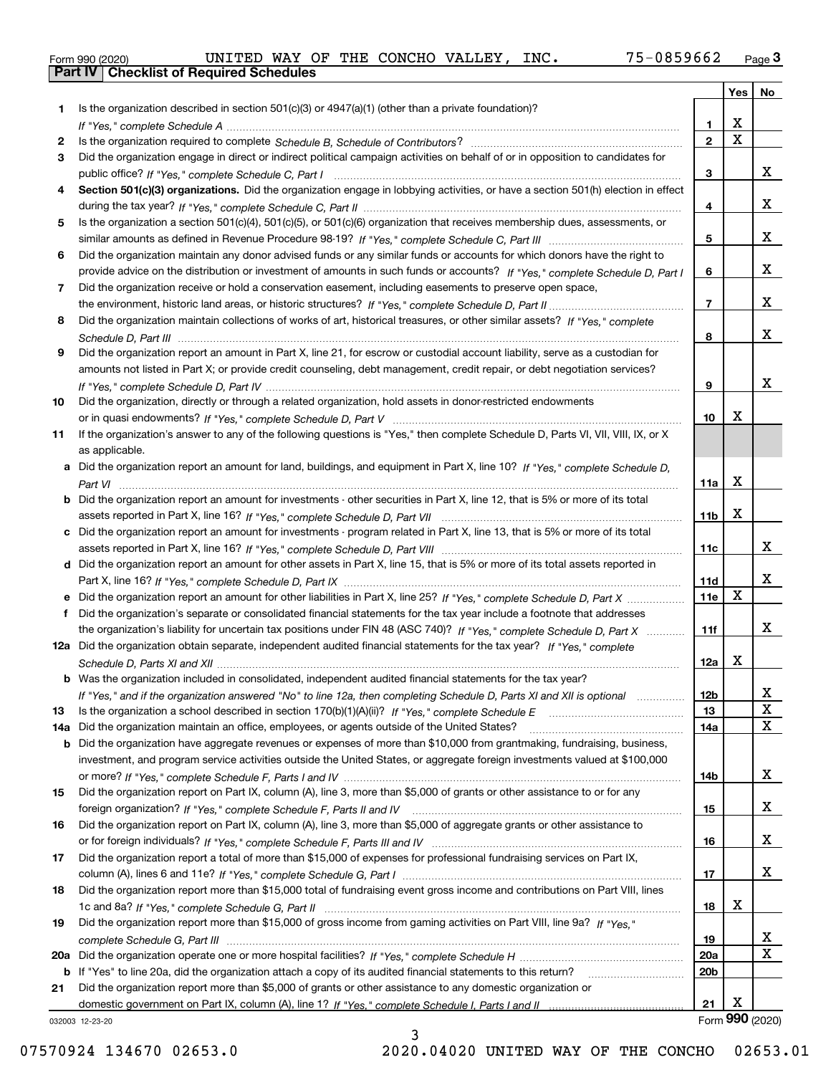|  | Form 990 (2020) |
|--|-----------------|
|  |                 |

| Is the organization described in section $501(c)(3)$ or $4947(a)(1)$ (other than a private foundation)?<br>1<br>X<br>1.<br>$\overline{\mathbf{x}}$<br>$\overline{2}$<br>2<br>Did the organization engage in direct or indirect political campaign activities on behalf of or in opposition to candidates for<br>3<br>х<br>3<br>Section 501(c)(3) organizations. Did the organization engage in lobbying activities, or have a section 501(h) election in effect<br>4<br>х<br>4<br>Is the organization a section 501(c)(4), 501(c)(5), or 501(c)(6) organization that receives membership dues, assessments, or<br>5<br>х<br>5<br>Did the organization maintain any donor advised funds or any similar funds or accounts for which donors have the right to<br>6<br>х<br>provide advice on the distribution or investment of amounts in such funds or accounts? If "Yes," complete Schedule D, Part I<br>6<br>Did the organization receive or hold a conservation easement, including easements to preserve open space,<br>7<br>х<br>$\overline{7}$<br>Did the organization maintain collections of works of art, historical treasures, or other similar assets? If "Yes," complete<br>8<br>x<br>8<br>Did the organization report an amount in Part X, line 21, for escrow or custodial account liability, serve as a custodian for<br>9<br>amounts not listed in Part X; or provide credit counseling, debt management, credit repair, or debt negotiation services?<br>х<br>9<br>Did the organization, directly or through a related organization, hold assets in donor-restricted endowments<br>10<br>X<br>10<br>If the organization's answer to any of the following questions is "Yes," then complete Schedule D, Parts VI, VIII, VIII, IX, or X<br>11<br>as applicable.<br>a Did the organization report an amount for land, buildings, and equipment in Part X, line 10? If "Yes," complete Schedule D,<br>X<br>11a<br>Did the organization report an amount for investments - other securities in Part X, line 12, that is 5% or more of its total<br>$\mathbf X$<br>11 <sub>b</sub><br>Did the organization report an amount for investments - program related in Part X, line 13, that is 5% or more of its total<br>c<br>x<br>11c<br>d Did the organization report an amount for other assets in Part X, line 15, that is 5% or more of its total assets reported in<br>x<br>11d<br>$\mathbf X$<br>11e<br>Did the organization report an amount for other liabilities in Part X, line 25? If "Yes," complete Schedule D, Part X<br>Did the organization's separate or consolidated financial statements for the tax year include a footnote that addresses<br>x<br>the organization's liability for uncertain tax positions under FIN 48 (ASC 740)? If "Yes," complete Schedule D, Part X<br>11f<br>12a Did the organization obtain separate, independent audited financial statements for the tax year? If "Yes," complete<br>Х<br>12a<br><b>b</b> Was the organization included in consolidated, independent audited financial statements for the tax year?<br>If "Yes," and if the organization answered "No" to line 12a, then completing Schedule D, Parts XI and XII is optional<br>12b<br>ᅀ<br>$\mathbf X$<br>13<br>13<br>X<br>Did the organization maintain an office, employees, or agents outside of the United States?<br>14a<br>14a<br>Did the organization have aggregate revenues or expenses of more than \$10,000 from grantmaking, fundraising, business,<br>b<br>investment, and program service activities outside the United States, or aggregate foreign investments valued at \$100,000<br>x<br>14b<br>Did the organization report on Part IX, column (A), line 3, more than \$5,000 of grants or other assistance to or for any<br>15<br>x<br>15<br>Did the organization report on Part IX, column (A), line 3, more than \$5,000 of aggregate grants or other assistance to<br>16<br>x<br>16<br>Did the organization report a total of more than \$15,000 of expenses for professional fundraising services on Part IX,<br>17<br>x<br>17<br>Did the organization report more than \$15,000 total of fundraising event gross income and contributions on Part VIII, lines<br>18<br>х<br>18<br>Did the organization report more than \$15,000 of gross income from gaming activities on Part VIII, line 9a? If "Yes."<br>19<br>X<br>19<br>X<br>20a<br>20a<br>20 <sub>b</sub><br>If "Yes" to line 20a, did the organization attach a copy of its audited financial statements to this return?<br>b<br>Did the organization report more than \$5,000 of grants or other assistance to any domestic organization or<br>21<br>х<br>21<br>Form 990 (2020)<br>032003 12-23-20 |  | Yes | No |
|---------------------------------------------------------------------------------------------------------------------------------------------------------------------------------------------------------------------------------------------------------------------------------------------------------------------------------------------------------------------------------------------------------------------------------------------------------------------------------------------------------------------------------------------------------------------------------------------------------------------------------------------------------------------------------------------------------------------------------------------------------------------------------------------------------------------------------------------------------------------------------------------------------------------------------------------------------------------------------------------------------------------------------------------------------------------------------------------------------------------------------------------------------------------------------------------------------------------------------------------------------------------------------------------------------------------------------------------------------------------------------------------------------------------------------------------------------------------------------------------------------------------------------------------------------------------------------------------------------------------------------------------------------------------------------------------------------------------------------------------------------------------------------------------------------------------------------------------------------------------------------------------------------------------------------------------------------------------------------------------------------------------------------------------------------------------------------------------------------------------------------------------------------------------------------------------------------------------------------------------------------------------------------------------------------------------------------------------------------------------------------------------------------------------------------------------------------------------------------------------------------------------------------------------------------------------------------------------------------------------------------------------------------------------------------------------------------------------------------------------------------------------------------------------------------------------------------------------------------------------------------------------------------------------------------------------------------------------------------------------------------------------------------------------------------------------------------------------------------------------------------------------------------------------------------------------------------------------------------------------------------------------------------------------------------------------------------------------------------------------------------------------------------------------------------------------------------------------------------------------------------------------------------------------------------------------------------------------------------------------------------------------------------------------------------------------------------------------------------------------------------------------------------------------------------------------------------------------------------------------------------------------------------------------------------------------------------------------------------------------------------------------------------------------------------------------------------------------------------------------------------------------------------------------------------------------------------------------------------------------------------------------------------------------------------------------------------------------------------------------------------------------------------------------------------------------------------------------------------------------------------------------------------------------------------------------------------------------------------------------------------------------------------------------------------------------------------|--|-----|----|
|                                                                                                                                                                                                                                                                                                                                                                                                                                                                                                                                                                                                                                                                                                                                                                                                                                                                                                                                                                                                                                                                                                                                                                                                                                                                                                                                                                                                                                                                                                                                                                                                                                                                                                                                                                                                                                                                                                                                                                                                                                                                                                                                                                                                                                                                                                                                                                                                                                                                                                                                                                                                                                                                                                                                                                                                                                                                                                                                                                                                                                                                                                                                                                                                                                                                                                                                                                                                                                                                                                                                                                                                                                                                                                                                                                                                                                                                                                                                                                                                                                                                                                                                                                                                                                                                                                                                                                                                                                                                                                                                                                                                                                                                                                         |  |     |    |
|                                                                                                                                                                                                                                                                                                                                                                                                                                                                                                                                                                                                                                                                                                                                                                                                                                                                                                                                                                                                                                                                                                                                                                                                                                                                                                                                                                                                                                                                                                                                                                                                                                                                                                                                                                                                                                                                                                                                                                                                                                                                                                                                                                                                                                                                                                                                                                                                                                                                                                                                                                                                                                                                                                                                                                                                                                                                                                                                                                                                                                                                                                                                                                                                                                                                                                                                                                                                                                                                                                                                                                                                                                                                                                                                                                                                                                                                                                                                                                                                                                                                                                                                                                                                                                                                                                                                                                                                                                                                                                                                                                                                                                                                                                         |  |     |    |
|                                                                                                                                                                                                                                                                                                                                                                                                                                                                                                                                                                                                                                                                                                                                                                                                                                                                                                                                                                                                                                                                                                                                                                                                                                                                                                                                                                                                                                                                                                                                                                                                                                                                                                                                                                                                                                                                                                                                                                                                                                                                                                                                                                                                                                                                                                                                                                                                                                                                                                                                                                                                                                                                                                                                                                                                                                                                                                                                                                                                                                                                                                                                                                                                                                                                                                                                                                                                                                                                                                                                                                                                                                                                                                                                                                                                                                                                                                                                                                                                                                                                                                                                                                                                                                                                                                                                                                                                                                                                                                                                                                                                                                                                                                         |  |     |    |
|                                                                                                                                                                                                                                                                                                                                                                                                                                                                                                                                                                                                                                                                                                                                                                                                                                                                                                                                                                                                                                                                                                                                                                                                                                                                                                                                                                                                                                                                                                                                                                                                                                                                                                                                                                                                                                                                                                                                                                                                                                                                                                                                                                                                                                                                                                                                                                                                                                                                                                                                                                                                                                                                                                                                                                                                                                                                                                                                                                                                                                                                                                                                                                                                                                                                                                                                                                                                                                                                                                                                                                                                                                                                                                                                                                                                                                                                                                                                                                                                                                                                                                                                                                                                                                                                                                                                                                                                                                                                                                                                                                                                                                                                                                         |  |     |    |
|                                                                                                                                                                                                                                                                                                                                                                                                                                                                                                                                                                                                                                                                                                                                                                                                                                                                                                                                                                                                                                                                                                                                                                                                                                                                                                                                                                                                                                                                                                                                                                                                                                                                                                                                                                                                                                                                                                                                                                                                                                                                                                                                                                                                                                                                                                                                                                                                                                                                                                                                                                                                                                                                                                                                                                                                                                                                                                                                                                                                                                                                                                                                                                                                                                                                                                                                                                                                                                                                                                                                                                                                                                                                                                                                                                                                                                                                                                                                                                                                                                                                                                                                                                                                                                                                                                                                                                                                                                                                                                                                                                                                                                                                                                         |  |     |    |
|                                                                                                                                                                                                                                                                                                                                                                                                                                                                                                                                                                                                                                                                                                                                                                                                                                                                                                                                                                                                                                                                                                                                                                                                                                                                                                                                                                                                                                                                                                                                                                                                                                                                                                                                                                                                                                                                                                                                                                                                                                                                                                                                                                                                                                                                                                                                                                                                                                                                                                                                                                                                                                                                                                                                                                                                                                                                                                                                                                                                                                                                                                                                                                                                                                                                                                                                                                                                                                                                                                                                                                                                                                                                                                                                                                                                                                                                                                                                                                                                                                                                                                                                                                                                                                                                                                                                                                                                                                                                                                                                                                                                                                                                                                         |  |     |    |
|                                                                                                                                                                                                                                                                                                                                                                                                                                                                                                                                                                                                                                                                                                                                                                                                                                                                                                                                                                                                                                                                                                                                                                                                                                                                                                                                                                                                                                                                                                                                                                                                                                                                                                                                                                                                                                                                                                                                                                                                                                                                                                                                                                                                                                                                                                                                                                                                                                                                                                                                                                                                                                                                                                                                                                                                                                                                                                                                                                                                                                                                                                                                                                                                                                                                                                                                                                                                                                                                                                                                                                                                                                                                                                                                                                                                                                                                                                                                                                                                                                                                                                                                                                                                                                                                                                                                                                                                                                                                                                                                                                                                                                                                                                         |  |     |    |
|                                                                                                                                                                                                                                                                                                                                                                                                                                                                                                                                                                                                                                                                                                                                                                                                                                                                                                                                                                                                                                                                                                                                                                                                                                                                                                                                                                                                                                                                                                                                                                                                                                                                                                                                                                                                                                                                                                                                                                                                                                                                                                                                                                                                                                                                                                                                                                                                                                                                                                                                                                                                                                                                                                                                                                                                                                                                                                                                                                                                                                                                                                                                                                                                                                                                                                                                                                                                                                                                                                                                                                                                                                                                                                                                                                                                                                                                                                                                                                                                                                                                                                                                                                                                                                                                                                                                                                                                                                                                                                                                                                                                                                                                                                         |  |     |    |
|                                                                                                                                                                                                                                                                                                                                                                                                                                                                                                                                                                                                                                                                                                                                                                                                                                                                                                                                                                                                                                                                                                                                                                                                                                                                                                                                                                                                                                                                                                                                                                                                                                                                                                                                                                                                                                                                                                                                                                                                                                                                                                                                                                                                                                                                                                                                                                                                                                                                                                                                                                                                                                                                                                                                                                                                                                                                                                                                                                                                                                                                                                                                                                                                                                                                                                                                                                                                                                                                                                                                                                                                                                                                                                                                                                                                                                                                                                                                                                                                                                                                                                                                                                                                                                                                                                                                                                                                                                                                                                                                                                                                                                                                                                         |  |     |    |
|                                                                                                                                                                                                                                                                                                                                                                                                                                                                                                                                                                                                                                                                                                                                                                                                                                                                                                                                                                                                                                                                                                                                                                                                                                                                                                                                                                                                                                                                                                                                                                                                                                                                                                                                                                                                                                                                                                                                                                                                                                                                                                                                                                                                                                                                                                                                                                                                                                                                                                                                                                                                                                                                                                                                                                                                                                                                                                                                                                                                                                                                                                                                                                                                                                                                                                                                                                                                                                                                                                                                                                                                                                                                                                                                                                                                                                                                                                                                                                                                                                                                                                                                                                                                                                                                                                                                                                                                                                                                                                                                                                                                                                                                                                         |  |     |    |
|                                                                                                                                                                                                                                                                                                                                                                                                                                                                                                                                                                                                                                                                                                                                                                                                                                                                                                                                                                                                                                                                                                                                                                                                                                                                                                                                                                                                                                                                                                                                                                                                                                                                                                                                                                                                                                                                                                                                                                                                                                                                                                                                                                                                                                                                                                                                                                                                                                                                                                                                                                                                                                                                                                                                                                                                                                                                                                                                                                                                                                                                                                                                                                                                                                                                                                                                                                                                                                                                                                                                                                                                                                                                                                                                                                                                                                                                                                                                                                                                                                                                                                                                                                                                                                                                                                                                                                                                                                                                                                                                                                                                                                                                                                         |  |     |    |
|                                                                                                                                                                                                                                                                                                                                                                                                                                                                                                                                                                                                                                                                                                                                                                                                                                                                                                                                                                                                                                                                                                                                                                                                                                                                                                                                                                                                                                                                                                                                                                                                                                                                                                                                                                                                                                                                                                                                                                                                                                                                                                                                                                                                                                                                                                                                                                                                                                                                                                                                                                                                                                                                                                                                                                                                                                                                                                                                                                                                                                                                                                                                                                                                                                                                                                                                                                                                                                                                                                                                                                                                                                                                                                                                                                                                                                                                                                                                                                                                                                                                                                                                                                                                                                                                                                                                                                                                                                                                                                                                                                                                                                                                                                         |  |     |    |
|                                                                                                                                                                                                                                                                                                                                                                                                                                                                                                                                                                                                                                                                                                                                                                                                                                                                                                                                                                                                                                                                                                                                                                                                                                                                                                                                                                                                                                                                                                                                                                                                                                                                                                                                                                                                                                                                                                                                                                                                                                                                                                                                                                                                                                                                                                                                                                                                                                                                                                                                                                                                                                                                                                                                                                                                                                                                                                                                                                                                                                                                                                                                                                                                                                                                                                                                                                                                                                                                                                                                                                                                                                                                                                                                                                                                                                                                                                                                                                                                                                                                                                                                                                                                                                                                                                                                                                                                                                                                                                                                                                                                                                                                                                         |  |     |    |
|                                                                                                                                                                                                                                                                                                                                                                                                                                                                                                                                                                                                                                                                                                                                                                                                                                                                                                                                                                                                                                                                                                                                                                                                                                                                                                                                                                                                                                                                                                                                                                                                                                                                                                                                                                                                                                                                                                                                                                                                                                                                                                                                                                                                                                                                                                                                                                                                                                                                                                                                                                                                                                                                                                                                                                                                                                                                                                                                                                                                                                                                                                                                                                                                                                                                                                                                                                                                                                                                                                                                                                                                                                                                                                                                                                                                                                                                                                                                                                                                                                                                                                                                                                                                                                                                                                                                                                                                                                                                                                                                                                                                                                                                                                         |  |     |    |
|                                                                                                                                                                                                                                                                                                                                                                                                                                                                                                                                                                                                                                                                                                                                                                                                                                                                                                                                                                                                                                                                                                                                                                                                                                                                                                                                                                                                                                                                                                                                                                                                                                                                                                                                                                                                                                                                                                                                                                                                                                                                                                                                                                                                                                                                                                                                                                                                                                                                                                                                                                                                                                                                                                                                                                                                                                                                                                                                                                                                                                                                                                                                                                                                                                                                                                                                                                                                                                                                                                                                                                                                                                                                                                                                                                                                                                                                                                                                                                                                                                                                                                                                                                                                                                                                                                                                                                                                                                                                                                                                                                                                                                                                                                         |  |     |    |
|                                                                                                                                                                                                                                                                                                                                                                                                                                                                                                                                                                                                                                                                                                                                                                                                                                                                                                                                                                                                                                                                                                                                                                                                                                                                                                                                                                                                                                                                                                                                                                                                                                                                                                                                                                                                                                                                                                                                                                                                                                                                                                                                                                                                                                                                                                                                                                                                                                                                                                                                                                                                                                                                                                                                                                                                                                                                                                                                                                                                                                                                                                                                                                                                                                                                                                                                                                                                                                                                                                                                                                                                                                                                                                                                                                                                                                                                                                                                                                                                                                                                                                                                                                                                                                                                                                                                                                                                                                                                                                                                                                                                                                                                                                         |  |     |    |
|                                                                                                                                                                                                                                                                                                                                                                                                                                                                                                                                                                                                                                                                                                                                                                                                                                                                                                                                                                                                                                                                                                                                                                                                                                                                                                                                                                                                                                                                                                                                                                                                                                                                                                                                                                                                                                                                                                                                                                                                                                                                                                                                                                                                                                                                                                                                                                                                                                                                                                                                                                                                                                                                                                                                                                                                                                                                                                                                                                                                                                                                                                                                                                                                                                                                                                                                                                                                                                                                                                                                                                                                                                                                                                                                                                                                                                                                                                                                                                                                                                                                                                                                                                                                                                                                                                                                                                                                                                                                                                                                                                                                                                                                                                         |  |     |    |
|                                                                                                                                                                                                                                                                                                                                                                                                                                                                                                                                                                                                                                                                                                                                                                                                                                                                                                                                                                                                                                                                                                                                                                                                                                                                                                                                                                                                                                                                                                                                                                                                                                                                                                                                                                                                                                                                                                                                                                                                                                                                                                                                                                                                                                                                                                                                                                                                                                                                                                                                                                                                                                                                                                                                                                                                                                                                                                                                                                                                                                                                                                                                                                                                                                                                                                                                                                                                                                                                                                                                                                                                                                                                                                                                                                                                                                                                                                                                                                                                                                                                                                                                                                                                                                                                                                                                                                                                                                                                                                                                                                                                                                                                                                         |  |     |    |
|                                                                                                                                                                                                                                                                                                                                                                                                                                                                                                                                                                                                                                                                                                                                                                                                                                                                                                                                                                                                                                                                                                                                                                                                                                                                                                                                                                                                                                                                                                                                                                                                                                                                                                                                                                                                                                                                                                                                                                                                                                                                                                                                                                                                                                                                                                                                                                                                                                                                                                                                                                                                                                                                                                                                                                                                                                                                                                                                                                                                                                                                                                                                                                                                                                                                                                                                                                                                                                                                                                                                                                                                                                                                                                                                                                                                                                                                                                                                                                                                                                                                                                                                                                                                                                                                                                                                                                                                                                                                                                                                                                                                                                                                                                         |  |     |    |
|                                                                                                                                                                                                                                                                                                                                                                                                                                                                                                                                                                                                                                                                                                                                                                                                                                                                                                                                                                                                                                                                                                                                                                                                                                                                                                                                                                                                                                                                                                                                                                                                                                                                                                                                                                                                                                                                                                                                                                                                                                                                                                                                                                                                                                                                                                                                                                                                                                                                                                                                                                                                                                                                                                                                                                                                                                                                                                                                                                                                                                                                                                                                                                                                                                                                                                                                                                                                                                                                                                                                                                                                                                                                                                                                                                                                                                                                                                                                                                                                                                                                                                                                                                                                                                                                                                                                                                                                                                                                                                                                                                                                                                                                                                         |  |     |    |
|                                                                                                                                                                                                                                                                                                                                                                                                                                                                                                                                                                                                                                                                                                                                                                                                                                                                                                                                                                                                                                                                                                                                                                                                                                                                                                                                                                                                                                                                                                                                                                                                                                                                                                                                                                                                                                                                                                                                                                                                                                                                                                                                                                                                                                                                                                                                                                                                                                                                                                                                                                                                                                                                                                                                                                                                                                                                                                                                                                                                                                                                                                                                                                                                                                                                                                                                                                                                                                                                                                                                                                                                                                                                                                                                                                                                                                                                                                                                                                                                                                                                                                                                                                                                                                                                                                                                                                                                                                                                                                                                                                                                                                                                                                         |  |     |    |
|                                                                                                                                                                                                                                                                                                                                                                                                                                                                                                                                                                                                                                                                                                                                                                                                                                                                                                                                                                                                                                                                                                                                                                                                                                                                                                                                                                                                                                                                                                                                                                                                                                                                                                                                                                                                                                                                                                                                                                                                                                                                                                                                                                                                                                                                                                                                                                                                                                                                                                                                                                                                                                                                                                                                                                                                                                                                                                                                                                                                                                                                                                                                                                                                                                                                                                                                                                                                                                                                                                                                                                                                                                                                                                                                                                                                                                                                                                                                                                                                                                                                                                                                                                                                                                                                                                                                                                                                                                                                                                                                                                                                                                                                                                         |  |     |    |
|                                                                                                                                                                                                                                                                                                                                                                                                                                                                                                                                                                                                                                                                                                                                                                                                                                                                                                                                                                                                                                                                                                                                                                                                                                                                                                                                                                                                                                                                                                                                                                                                                                                                                                                                                                                                                                                                                                                                                                                                                                                                                                                                                                                                                                                                                                                                                                                                                                                                                                                                                                                                                                                                                                                                                                                                                                                                                                                                                                                                                                                                                                                                                                                                                                                                                                                                                                                                                                                                                                                                                                                                                                                                                                                                                                                                                                                                                                                                                                                                                                                                                                                                                                                                                                                                                                                                                                                                                                                                                                                                                                                                                                                                                                         |  |     |    |
|                                                                                                                                                                                                                                                                                                                                                                                                                                                                                                                                                                                                                                                                                                                                                                                                                                                                                                                                                                                                                                                                                                                                                                                                                                                                                                                                                                                                                                                                                                                                                                                                                                                                                                                                                                                                                                                                                                                                                                                                                                                                                                                                                                                                                                                                                                                                                                                                                                                                                                                                                                                                                                                                                                                                                                                                                                                                                                                                                                                                                                                                                                                                                                                                                                                                                                                                                                                                                                                                                                                                                                                                                                                                                                                                                                                                                                                                                                                                                                                                                                                                                                                                                                                                                                                                                                                                                                                                                                                                                                                                                                                                                                                                                                         |  |     |    |
|                                                                                                                                                                                                                                                                                                                                                                                                                                                                                                                                                                                                                                                                                                                                                                                                                                                                                                                                                                                                                                                                                                                                                                                                                                                                                                                                                                                                                                                                                                                                                                                                                                                                                                                                                                                                                                                                                                                                                                                                                                                                                                                                                                                                                                                                                                                                                                                                                                                                                                                                                                                                                                                                                                                                                                                                                                                                                                                                                                                                                                                                                                                                                                                                                                                                                                                                                                                                                                                                                                                                                                                                                                                                                                                                                                                                                                                                                                                                                                                                                                                                                                                                                                                                                                                                                                                                                                                                                                                                                                                                                                                                                                                                                                         |  |     |    |
|                                                                                                                                                                                                                                                                                                                                                                                                                                                                                                                                                                                                                                                                                                                                                                                                                                                                                                                                                                                                                                                                                                                                                                                                                                                                                                                                                                                                                                                                                                                                                                                                                                                                                                                                                                                                                                                                                                                                                                                                                                                                                                                                                                                                                                                                                                                                                                                                                                                                                                                                                                                                                                                                                                                                                                                                                                                                                                                                                                                                                                                                                                                                                                                                                                                                                                                                                                                                                                                                                                                                                                                                                                                                                                                                                                                                                                                                                                                                                                                                                                                                                                                                                                                                                                                                                                                                                                                                                                                                                                                                                                                                                                                                                                         |  |     |    |
|                                                                                                                                                                                                                                                                                                                                                                                                                                                                                                                                                                                                                                                                                                                                                                                                                                                                                                                                                                                                                                                                                                                                                                                                                                                                                                                                                                                                                                                                                                                                                                                                                                                                                                                                                                                                                                                                                                                                                                                                                                                                                                                                                                                                                                                                                                                                                                                                                                                                                                                                                                                                                                                                                                                                                                                                                                                                                                                                                                                                                                                                                                                                                                                                                                                                                                                                                                                                                                                                                                                                                                                                                                                                                                                                                                                                                                                                                                                                                                                                                                                                                                                                                                                                                                                                                                                                                                                                                                                                                                                                                                                                                                                                                                         |  |     |    |
|                                                                                                                                                                                                                                                                                                                                                                                                                                                                                                                                                                                                                                                                                                                                                                                                                                                                                                                                                                                                                                                                                                                                                                                                                                                                                                                                                                                                                                                                                                                                                                                                                                                                                                                                                                                                                                                                                                                                                                                                                                                                                                                                                                                                                                                                                                                                                                                                                                                                                                                                                                                                                                                                                                                                                                                                                                                                                                                                                                                                                                                                                                                                                                                                                                                                                                                                                                                                                                                                                                                                                                                                                                                                                                                                                                                                                                                                                                                                                                                                                                                                                                                                                                                                                                                                                                                                                                                                                                                                                                                                                                                                                                                                                                         |  |     |    |
|                                                                                                                                                                                                                                                                                                                                                                                                                                                                                                                                                                                                                                                                                                                                                                                                                                                                                                                                                                                                                                                                                                                                                                                                                                                                                                                                                                                                                                                                                                                                                                                                                                                                                                                                                                                                                                                                                                                                                                                                                                                                                                                                                                                                                                                                                                                                                                                                                                                                                                                                                                                                                                                                                                                                                                                                                                                                                                                                                                                                                                                                                                                                                                                                                                                                                                                                                                                                                                                                                                                                                                                                                                                                                                                                                                                                                                                                                                                                                                                                                                                                                                                                                                                                                                                                                                                                                                                                                                                                                                                                                                                                                                                                                                         |  |     |    |
|                                                                                                                                                                                                                                                                                                                                                                                                                                                                                                                                                                                                                                                                                                                                                                                                                                                                                                                                                                                                                                                                                                                                                                                                                                                                                                                                                                                                                                                                                                                                                                                                                                                                                                                                                                                                                                                                                                                                                                                                                                                                                                                                                                                                                                                                                                                                                                                                                                                                                                                                                                                                                                                                                                                                                                                                                                                                                                                                                                                                                                                                                                                                                                                                                                                                                                                                                                                                                                                                                                                                                                                                                                                                                                                                                                                                                                                                                                                                                                                                                                                                                                                                                                                                                                                                                                                                                                                                                                                                                                                                                                                                                                                                                                         |  |     |    |
|                                                                                                                                                                                                                                                                                                                                                                                                                                                                                                                                                                                                                                                                                                                                                                                                                                                                                                                                                                                                                                                                                                                                                                                                                                                                                                                                                                                                                                                                                                                                                                                                                                                                                                                                                                                                                                                                                                                                                                                                                                                                                                                                                                                                                                                                                                                                                                                                                                                                                                                                                                                                                                                                                                                                                                                                                                                                                                                                                                                                                                                                                                                                                                                                                                                                                                                                                                                                                                                                                                                                                                                                                                                                                                                                                                                                                                                                                                                                                                                                                                                                                                                                                                                                                                                                                                                                                                                                                                                                                                                                                                                                                                                                                                         |  |     |    |
|                                                                                                                                                                                                                                                                                                                                                                                                                                                                                                                                                                                                                                                                                                                                                                                                                                                                                                                                                                                                                                                                                                                                                                                                                                                                                                                                                                                                                                                                                                                                                                                                                                                                                                                                                                                                                                                                                                                                                                                                                                                                                                                                                                                                                                                                                                                                                                                                                                                                                                                                                                                                                                                                                                                                                                                                                                                                                                                                                                                                                                                                                                                                                                                                                                                                                                                                                                                                                                                                                                                                                                                                                                                                                                                                                                                                                                                                                                                                                                                                                                                                                                                                                                                                                                                                                                                                                                                                                                                                                                                                                                                                                                                                                                         |  |     |    |
|                                                                                                                                                                                                                                                                                                                                                                                                                                                                                                                                                                                                                                                                                                                                                                                                                                                                                                                                                                                                                                                                                                                                                                                                                                                                                                                                                                                                                                                                                                                                                                                                                                                                                                                                                                                                                                                                                                                                                                                                                                                                                                                                                                                                                                                                                                                                                                                                                                                                                                                                                                                                                                                                                                                                                                                                                                                                                                                                                                                                                                                                                                                                                                                                                                                                                                                                                                                                                                                                                                                                                                                                                                                                                                                                                                                                                                                                                                                                                                                                                                                                                                                                                                                                                                                                                                                                                                                                                                                                                                                                                                                                                                                                                                         |  |     |    |
|                                                                                                                                                                                                                                                                                                                                                                                                                                                                                                                                                                                                                                                                                                                                                                                                                                                                                                                                                                                                                                                                                                                                                                                                                                                                                                                                                                                                                                                                                                                                                                                                                                                                                                                                                                                                                                                                                                                                                                                                                                                                                                                                                                                                                                                                                                                                                                                                                                                                                                                                                                                                                                                                                                                                                                                                                                                                                                                                                                                                                                                                                                                                                                                                                                                                                                                                                                                                                                                                                                                                                                                                                                                                                                                                                                                                                                                                                                                                                                                                                                                                                                                                                                                                                                                                                                                                                                                                                                                                                                                                                                                                                                                                                                         |  |     |    |
|                                                                                                                                                                                                                                                                                                                                                                                                                                                                                                                                                                                                                                                                                                                                                                                                                                                                                                                                                                                                                                                                                                                                                                                                                                                                                                                                                                                                                                                                                                                                                                                                                                                                                                                                                                                                                                                                                                                                                                                                                                                                                                                                                                                                                                                                                                                                                                                                                                                                                                                                                                                                                                                                                                                                                                                                                                                                                                                                                                                                                                                                                                                                                                                                                                                                                                                                                                                                                                                                                                                                                                                                                                                                                                                                                                                                                                                                                                                                                                                                                                                                                                                                                                                                                                                                                                                                                                                                                                                                                                                                                                                                                                                                                                         |  |     |    |
|                                                                                                                                                                                                                                                                                                                                                                                                                                                                                                                                                                                                                                                                                                                                                                                                                                                                                                                                                                                                                                                                                                                                                                                                                                                                                                                                                                                                                                                                                                                                                                                                                                                                                                                                                                                                                                                                                                                                                                                                                                                                                                                                                                                                                                                                                                                                                                                                                                                                                                                                                                                                                                                                                                                                                                                                                                                                                                                                                                                                                                                                                                                                                                                                                                                                                                                                                                                                                                                                                                                                                                                                                                                                                                                                                                                                                                                                                                                                                                                                                                                                                                                                                                                                                                                                                                                                                                                                                                                                                                                                                                                                                                                                                                         |  |     |    |
|                                                                                                                                                                                                                                                                                                                                                                                                                                                                                                                                                                                                                                                                                                                                                                                                                                                                                                                                                                                                                                                                                                                                                                                                                                                                                                                                                                                                                                                                                                                                                                                                                                                                                                                                                                                                                                                                                                                                                                                                                                                                                                                                                                                                                                                                                                                                                                                                                                                                                                                                                                                                                                                                                                                                                                                                                                                                                                                                                                                                                                                                                                                                                                                                                                                                                                                                                                                                                                                                                                                                                                                                                                                                                                                                                                                                                                                                                                                                                                                                                                                                                                                                                                                                                                                                                                                                                                                                                                                                                                                                                                                                                                                                                                         |  |     |    |
|                                                                                                                                                                                                                                                                                                                                                                                                                                                                                                                                                                                                                                                                                                                                                                                                                                                                                                                                                                                                                                                                                                                                                                                                                                                                                                                                                                                                                                                                                                                                                                                                                                                                                                                                                                                                                                                                                                                                                                                                                                                                                                                                                                                                                                                                                                                                                                                                                                                                                                                                                                                                                                                                                                                                                                                                                                                                                                                                                                                                                                                                                                                                                                                                                                                                                                                                                                                                                                                                                                                                                                                                                                                                                                                                                                                                                                                                                                                                                                                                                                                                                                                                                                                                                                                                                                                                                                                                                                                                                                                                                                                                                                                                                                         |  |     |    |
|                                                                                                                                                                                                                                                                                                                                                                                                                                                                                                                                                                                                                                                                                                                                                                                                                                                                                                                                                                                                                                                                                                                                                                                                                                                                                                                                                                                                                                                                                                                                                                                                                                                                                                                                                                                                                                                                                                                                                                                                                                                                                                                                                                                                                                                                                                                                                                                                                                                                                                                                                                                                                                                                                                                                                                                                                                                                                                                                                                                                                                                                                                                                                                                                                                                                                                                                                                                                                                                                                                                                                                                                                                                                                                                                                                                                                                                                                                                                                                                                                                                                                                                                                                                                                                                                                                                                                                                                                                                                                                                                                                                                                                                                                                         |  |     |    |
|                                                                                                                                                                                                                                                                                                                                                                                                                                                                                                                                                                                                                                                                                                                                                                                                                                                                                                                                                                                                                                                                                                                                                                                                                                                                                                                                                                                                                                                                                                                                                                                                                                                                                                                                                                                                                                                                                                                                                                                                                                                                                                                                                                                                                                                                                                                                                                                                                                                                                                                                                                                                                                                                                                                                                                                                                                                                                                                                                                                                                                                                                                                                                                                                                                                                                                                                                                                                                                                                                                                                                                                                                                                                                                                                                                                                                                                                                                                                                                                                                                                                                                                                                                                                                                                                                                                                                                                                                                                                                                                                                                                                                                                                                                         |  |     |    |
|                                                                                                                                                                                                                                                                                                                                                                                                                                                                                                                                                                                                                                                                                                                                                                                                                                                                                                                                                                                                                                                                                                                                                                                                                                                                                                                                                                                                                                                                                                                                                                                                                                                                                                                                                                                                                                                                                                                                                                                                                                                                                                                                                                                                                                                                                                                                                                                                                                                                                                                                                                                                                                                                                                                                                                                                                                                                                                                                                                                                                                                                                                                                                                                                                                                                                                                                                                                                                                                                                                                                                                                                                                                                                                                                                                                                                                                                                                                                                                                                                                                                                                                                                                                                                                                                                                                                                                                                                                                                                                                                                                                                                                                                                                         |  |     |    |
|                                                                                                                                                                                                                                                                                                                                                                                                                                                                                                                                                                                                                                                                                                                                                                                                                                                                                                                                                                                                                                                                                                                                                                                                                                                                                                                                                                                                                                                                                                                                                                                                                                                                                                                                                                                                                                                                                                                                                                                                                                                                                                                                                                                                                                                                                                                                                                                                                                                                                                                                                                                                                                                                                                                                                                                                                                                                                                                                                                                                                                                                                                                                                                                                                                                                                                                                                                                                                                                                                                                                                                                                                                                                                                                                                                                                                                                                                                                                                                                                                                                                                                                                                                                                                                                                                                                                                                                                                                                                                                                                                                                                                                                                                                         |  |     |    |
|                                                                                                                                                                                                                                                                                                                                                                                                                                                                                                                                                                                                                                                                                                                                                                                                                                                                                                                                                                                                                                                                                                                                                                                                                                                                                                                                                                                                                                                                                                                                                                                                                                                                                                                                                                                                                                                                                                                                                                                                                                                                                                                                                                                                                                                                                                                                                                                                                                                                                                                                                                                                                                                                                                                                                                                                                                                                                                                                                                                                                                                                                                                                                                                                                                                                                                                                                                                                                                                                                                                                                                                                                                                                                                                                                                                                                                                                                                                                                                                                                                                                                                                                                                                                                                                                                                                                                                                                                                                                                                                                                                                                                                                                                                         |  |     |    |
|                                                                                                                                                                                                                                                                                                                                                                                                                                                                                                                                                                                                                                                                                                                                                                                                                                                                                                                                                                                                                                                                                                                                                                                                                                                                                                                                                                                                                                                                                                                                                                                                                                                                                                                                                                                                                                                                                                                                                                                                                                                                                                                                                                                                                                                                                                                                                                                                                                                                                                                                                                                                                                                                                                                                                                                                                                                                                                                                                                                                                                                                                                                                                                                                                                                                                                                                                                                                                                                                                                                                                                                                                                                                                                                                                                                                                                                                                                                                                                                                                                                                                                                                                                                                                                                                                                                                                                                                                                                                                                                                                                                                                                                                                                         |  |     |    |
|                                                                                                                                                                                                                                                                                                                                                                                                                                                                                                                                                                                                                                                                                                                                                                                                                                                                                                                                                                                                                                                                                                                                                                                                                                                                                                                                                                                                                                                                                                                                                                                                                                                                                                                                                                                                                                                                                                                                                                                                                                                                                                                                                                                                                                                                                                                                                                                                                                                                                                                                                                                                                                                                                                                                                                                                                                                                                                                                                                                                                                                                                                                                                                                                                                                                                                                                                                                                                                                                                                                                                                                                                                                                                                                                                                                                                                                                                                                                                                                                                                                                                                                                                                                                                                                                                                                                                                                                                                                                                                                                                                                                                                                                                                         |  |     |    |
|                                                                                                                                                                                                                                                                                                                                                                                                                                                                                                                                                                                                                                                                                                                                                                                                                                                                                                                                                                                                                                                                                                                                                                                                                                                                                                                                                                                                                                                                                                                                                                                                                                                                                                                                                                                                                                                                                                                                                                                                                                                                                                                                                                                                                                                                                                                                                                                                                                                                                                                                                                                                                                                                                                                                                                                                                                                                                                                                                                                                                                                                                                                                                                                                                                                                                                                                                                                                                                                                                                                                                                                                                                                                                                                                                                                                                                                                                                                                                                                                                                                                                                                                                                                                                                                                                                                                                                                                                                                                                                                                                                                                                                                                                                         |  |     |    |
|                                                                                                                                                                                                                                                                                                                                                                                                                                                                                                                                                                                                                                                                                                                                                                                                                                                                                                                                                                                                                                                                                                                                                                                                                                                                                                                                                                                                                                                                                                                                                                                                                                                                                                                                                                                                                                                                                                                                                                                                                                                                                                                                                                                                                                                                                                                                                                                                                                                                                                                                                                                                                                                                                                                                                                                                                                                                                                                                                                                                                                                                                                                                                                                                                                                                                                                                                                                                                                                                                                                                                                                                                                                                                                                                                                                                                                                                                                                                                                                                                                                                                                                                                                                                                                                                                                                                                                                                                                                                                                                                                                                                                                                                                                         |  |     |    |
|                                                                                                                                                                                                                                                                                                                                                                                                                                                                                                                                                                                                                                                                                                                                                                                                                                                                                                                                                                                                                                                                                                                                                                                                                                                                                                                                                                                                                                                                                                                                                                                                                                                                                                                                                                                                                                                                                                                                                                                                                                                                                                                                                                                                                                                                                                                                                                                                                                                                                                                                                                                                                                                                                                                                                                                                                                                                                                                                                                                                                                                                                                                                                                                                                                                                                                                                                                                                                                                                                                                                                                                                                                                                                                                                                                                                                                                                                                                                                                                                                                                                                                                                                                                                                                                                                                                                                                                                                                                                                                                                                                                                                                                                                                         |  |     |    |
|                                                                                                                                                                                                                                                                                                                                                                                                                                                                                                                                                                                                                                                                                                                                                                                                                                                                                                                                                                                                                                                                                                                                                                                                                                                                                                                                                                                                                                                                                                                                                                                                                                                                                                                                                                                                                                                                                                                                                                                                                                                                                                                                                                                                                                                                                                                                                                                                                                                                                                                                                                                                                                                                                                                                                                                                                                                                                                                                                                                                                                                                                                                                                                                                                                                                                                                                                                                                                                                                                                                                                                                                                                                                                                                                                                                                                                                                                                                                                                                                                                                                                                                                                                                                                                                                                                                                                                                                                                                                                                                                                                                                                                                                                                         |  |     |    |
|                                                                                                                                                                                                                                                                                                                                                                                                                                                                                                                                                                                                                                                                                                                                                                                                                                                                                                                                                                                                                                                                                                                                                                                                                                                                                                                                                                                                                                                                                                                                                                                                                                                                                                                                                                                                                                                                                                                                                                                                                                                                                                                                                                                                                                                                                                                                                                                                                                                                                                                                                                                                                                                                                                                                                                                                                                                                                                                                                                                                                                                                                                                                                                                                                                                                                                                                                                                                                                                                                                                                                                                                                                                                                                                                                                                                                                                                                                                                                                                                                                                                                                                                                                                                                                                                                                                                                                                                                                                                                                                                                                                                                                                                                                         |  |     |    |
|                                                                                                                                                                                                                                                                                                                                                                                                                                                                                                                                                                                                                                                                                                                                                                                                                                                                                                                                                                                                                                                                                                                                                                                                                                                                                                                                                                                                                                                                                                                                                                                                                                                                                                                                                                                                                                                                                                                                                                                                                                                                                                                                                                                                                                                                                                                                                                                                                                                                                                                                                                                                                                                                                                                                                                                                                                                                                                                                                                                                                                                                                                                                                                                                                                                                                                                                                                                                                                                                                                                                                                                                                                                                                                                                                                                                                                                                                                                                                                                                                                                                                                                                                                                                                                                                                                                                                                                                                                                                                                                                                                                                                                                                                                         |  |     |    |
|                                                                                                                                                                                                                                                                                                                                                                                                                                                                                                                                                                                                                                                                                                                                                                                                                                                                                                                                                                                                                                                                                                                                                                                                                                                                                                                                                                                                                                                                                                                                                                                                                                                                                                                                                                                                                                                                                                                                                                                                                                                                                                                                                                                                                                                                                                                                                                                                                                                                                                                                                                                                                                                                                                                                                                                                                                                                                                                                                                                                                                                                                                                                                                                                                                                                                                                                                                                                                                                                                                                                                                                                                                                                                                                                                                                                                                                                                                                                                                                                                                                                                                                                                                                                                                                                                                                                                                                                                                                                                                                                                                                                                                                                                                         |  |     |    |
|                                                                                                                                                                                                                                                                                                                                                                                                                                                                                                                                                                                                                                                                                                                                                                                                                                                                                                                                                                                                                                                                                                                                                                                                                                                                                                                                                                                                                                                                                                                                                                                                                                                                                                                                                                                                                                                                                                                                                                                                                                                                                                                                                                                                                                                                                                                                                                                                                                                                                                                                                                                                                                                                                                                                                                                                                                                                                                                                                                                                                                                                                                                                                                                                                                                                                                                                                                                                                                                                                                                                                                                                                                                                                                                                                                                                                                                                                                                                                                                                                                                                                                                                                                                                                                                                                                                                                                                                                                                                                                                                                                                                                                                                                                         |  |     |    |
|                                                                                                                                                                                                                                                                                                                                                                                                                                                                                                                                                                                                                                                                                                                                                                                                                                                                                                                                                                                                                                                                                                                                                                                                                                                                                                                                                                                                                                                                                                                                                                                                                                                                                                                                                                                                                                                                                                                                                                                                                                                                                                                                                                                                                                                                                                                                                                                                                                                                                                                                                                                                                                                                                                                                                                                                                                                                                                                                                                                                                                                                                                                                                                                                                                                                                                                                                                                                                                                                                                                                                                                                                                                                                                                                                                                                                                                                                                                                                                                                                                                                                                                                                                                                                                                                                                                                                                                                                                                                                                                                                                                                                                                                                                         |  |     |    |
|                                                                                                                                                                                                                                                                                                                                                                                                                                                                                                                                                                                                                                                                                                                                                                                                                                                                                                                                                                                                                                                                                                                                                                                                                                                                                                                                                                                                                                                                                                                                                                                                                                                                                                                                                                                                                                                                                                                                                                                                                                                                                                                                                                                                                                                                                                                                                                                                                                                                                                                                                                                                                                                                                                                                                                                                                                                                                                                                                                                                                                                                                                                                                                                                                                                                                                                                                                                                                                                                                                                                                                                                                                                                                                                                                                                                                                                                                                                                                                                                                                                                                                                                                                                                                                                                                                                                                                                                                                                                                                                                                                                                                                                                                                         |  |     |    |

3

032003 12-23-20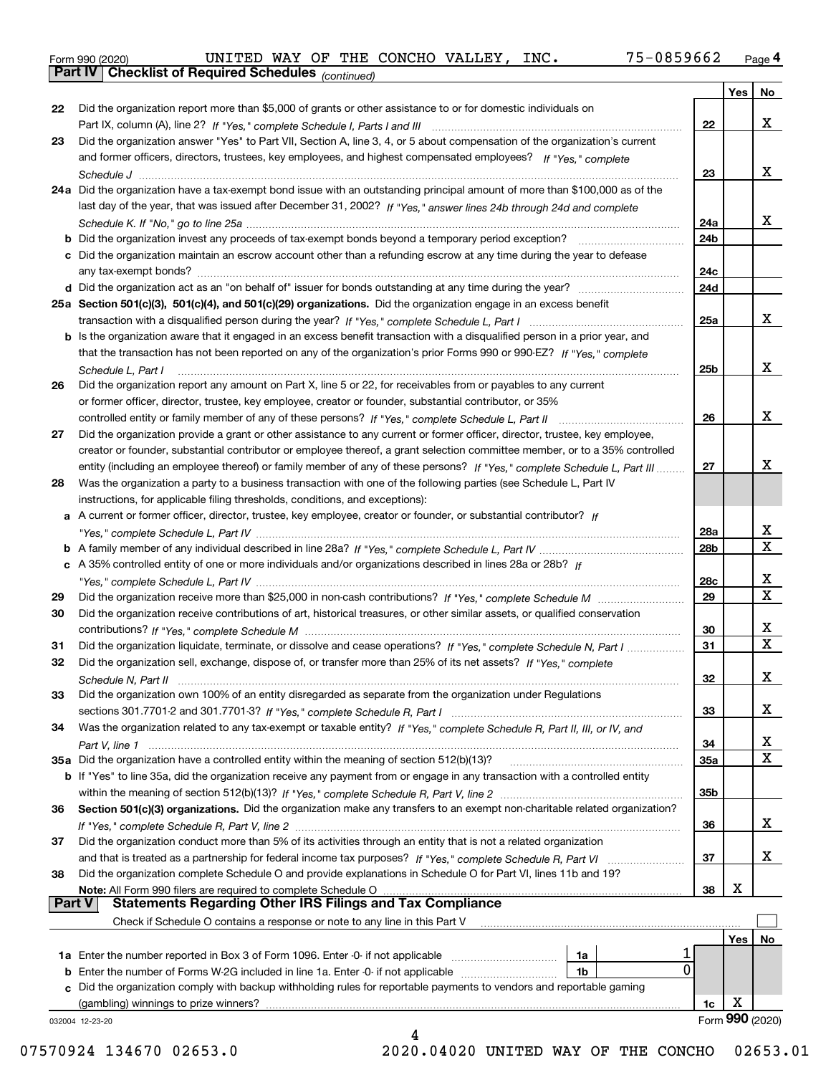|  | Form 990 (2020) |
|--|-----------------|
|  |                 |

*(continued)*

|               |                                                                                                                                                                                                                                        |            | Yes | No                      |
|---------------|----------------------------------------------------------------------------------------------------------------------------------------------------------------------------------------------------------------------------------------|------------|-----|-------------------------|
| 22            | Did the organization report more than \$5,000 of grants or other assistance to or for domestic individuals on                                                                                                                          |            |     |                         |
|               |                                                                                                                                                                                                                                        | 22         |     | x                       |
| 23            | Did the organization answer "Yes" to Part VII, Section A, line 3, 4, or 5 about compensation of the organization's current                                                                                                             |            |     |                         |
|               | and former officers, directors, trustees, key employees, and highest compensated employees? If "Yes," complete                                                                                                                         |            |     |                         |
|               |                                                                                                                                                                                                                                        | 23         |     | X                       |
|               | 24a Did the organization have a tax-exempt bond issue with an outstanding principal amount of more than \$100,000 as of the                                                                                                            |            |     |                         |
|               | last day of the year, that was issued after December 31, 2002? If "Yes," answer lines 24b through 24d and complete                                                                                                                     |            |     |                         |
|               |                                                                                                                                                                                                                                        | 24a        |     | x                       |
|               | <b>b</b> Did the organization invest any proceeds of tax-exempt bonds beyond a temporary period exception?                                                                                                                             | 24b        |     |                         |
|               | c Did the organization maintain an escrow account other than a refunding escrow at any time during the year to defease                                                                                                                 |            |     |                         |
|               |                                                                                                                                                                                                                                        | 24c        |     |                         |
|               |                                                                                                                                                                                                                                        | 24d        |     |                         |
|               | 25a Section 501(c)(3), 501(c)(4), and 501(c)(29) organizations. Did the organization engage in an excess benefit                                                                                                                       |            |     |                         |
|               |                                                                                                                                                                                                                                        | 25a        |     | x                       |
|               | b Is the organization aware that it engaged in an excess benefit transaction with a disqualified person in a prior year, and                                                                                                           |            |     |                         |
|               | that the transaction has not been reported on any of the organization's prior Forms 990 or 990-EZ? If "Yes," complete                                                                                                                  |            |     |                         |
|               | Schedule L. Part I                                                                                                                                                                                                                     | 25b        |     | X                       |
| 26            | Did the organization report any amount on Part X, line 5 or 22, for receivables from or payables to any current                                                                                                                        |            |     |                         |
|               | or former officer, director, trustee, key employee, creator or founder, substantial contributor, or 35%                                                                                                                                |            |     |                         |
|               |                                                                                                                                                                                                                                        | 26         |     | X                       |
| 27            | Did the organization provide a grant or other assistance to any current or former officer, director, trustee, key employee,                                                                                                            |            |     |                         |
|               | creator or founder, substantial contributor or employee thereof, a grant selection committee member, or to a 35% controlled                                                                                                            |            |     |                         |
|               | entity (including an employee thereof) or family member of any of these persons? If "Yes," complete Schedule L, Part III                                                                                                               | 27         |     | x                       |
| 28            | Was the organization a party to a business transaction with one of the following parties (see Schedule L, Part IV                                                                                                                      |            |     |                         |
|               | instructions, for applicable filing thresholds, conditions, and exceptions):                                                                                                                                                           |            |     |                         |
|               | a A current or former officer, director, trustee, key employee, creator or founder, or substantial contributor? If                                                                                                                     |            |     |                         |
|               |                                                                                                                                                                                                                                        | 28a        |     | x                       |
|               |                                                                                                                                                                                                                                        | 28b        |     | $\overline{\mathtt{x}}$ |
|               | c A 35% controlled entity of one or more individuals and/or organizations described in lines 28a or 28b? If                                                                                                                            |            |     |                         |
|               |                                                                                                                                                                                                                                        | 28c        |     | x                       |
| 29            |                                                                                                                                                                                                                                        | 29         |     | $\overline{\mathbf{x}}$ |
| 30            | Did the organization receive contributions of art, historical treasures, or other similar assets, or qualified conservation                                                                                                            |            |     |                         |
|               |                                                                                                                                                                                                                                        | 30         |     | х                       |
|               |                                                                                                                                                                                                                                        | 31         |     | $\overline{\mathbf{x}}$ |
| 31<br>32      | Did the organization liquidate, terminate, or dissolve and cease operations? If "Yes," complete Schedule N, Part I<br>Did the organization sell, exchange, dispose of, or transfer more than 25% of its net assets? If "Yes," complete |            |     |                         |
|               |                                                                                                                                                                                                                                        | 32         |     | х                       |
| 33            | Did the organization own 100% of an entity disregarded as separate from the organization under Regulations                                                                                                                             |            |     |                         |
|               |                                                                                                                                                                                                                                        | 33         |     | x                       |
|               |                                                                                                                                                                                                                                        |            |     |                         |
| 34            | Was the organization related to any tax-exempt or taxable entity? If "Yes," complete Schedule R, Part II, III, or IV, and                                                                                                              | 34         |     | х                       |
|               | 35a Did the organization have a controlled entity within the meaning of section 512(b)(13)?                                                                                                                                            | <b>35a</b> |     | $\overline{\mathbf{X}}$ |
|               |                                                                                                                                                                                                                                        |            |     |                         |
|               | <b>b</b> If "Yes" to line 35a, did the organization receive any payment from or engage in any transaction with a controlled entity                                                                                                     | 35b        |     |                         |
| 36            | Section 501(c)(3) organizations. Did the organization make any transfers to an exempt non-charitable related organization?                                                                                                             |            |     |                         |
|               |                                                                                                                                                                                                                                        | 36         |     | x                       |
| 37            | Did the organization conduct more than 5% of its activities through an entity that is not a related organization                                                                                                                       |            |     |                         |
|               |                                                                                                                                                                                                                                        | 37         |     | x                       |
| 38            | and that is treated as a partnership for federal income tax purposes? If "Yes," complete Schedule R, Part VI<br>Did the organization complete Schedule O and provide explanations in Schedule O for Part VI, lines 11b and 19?         |            |     |                         |
|               | Note: All Form 990 filers are required to complete Schedule O                                                                                                                                                                          | 38         | X   |                         |
| <b>Part V</b> | <b>Statements Regarding Other IRS Filings and Tax Compliance</b>                                                                                                                                                                       |            |     |                         |
|               | Check if Schedule O contains a response or note to any line in this Part V                                                                                                                                                             |            |     |                         |
|               |                                                                                                                                                                                                                                        |            | Yes | No                      |
|               | 1a Enter the number reported in Box 3 of Form 1096. Enter -0- if not applicable<br>1a                                                                                                                                                  |            |     |                         |
|               | 0<br><b>b</b> Enter the number of Forms W-2G included in line 1a. Enter -0- if not applicable<br>1b                                                                                                                                    |            |     |                         |
|               | c Did the organization comply with backup withholding rules for reportable payments to vendors and reportable gaming                                                                                                                   |            |     |                         |
|               | (gambling) winnings to prize winners?                                                                                                                                                                                                  | 1c         | X   |                         |
|               | 032004 12-23-20                                                                                                                                                                                                                        |            |     | Form 990 (2020)         |
|               |                                                                                                                                                                                                                                        |            |     |                         |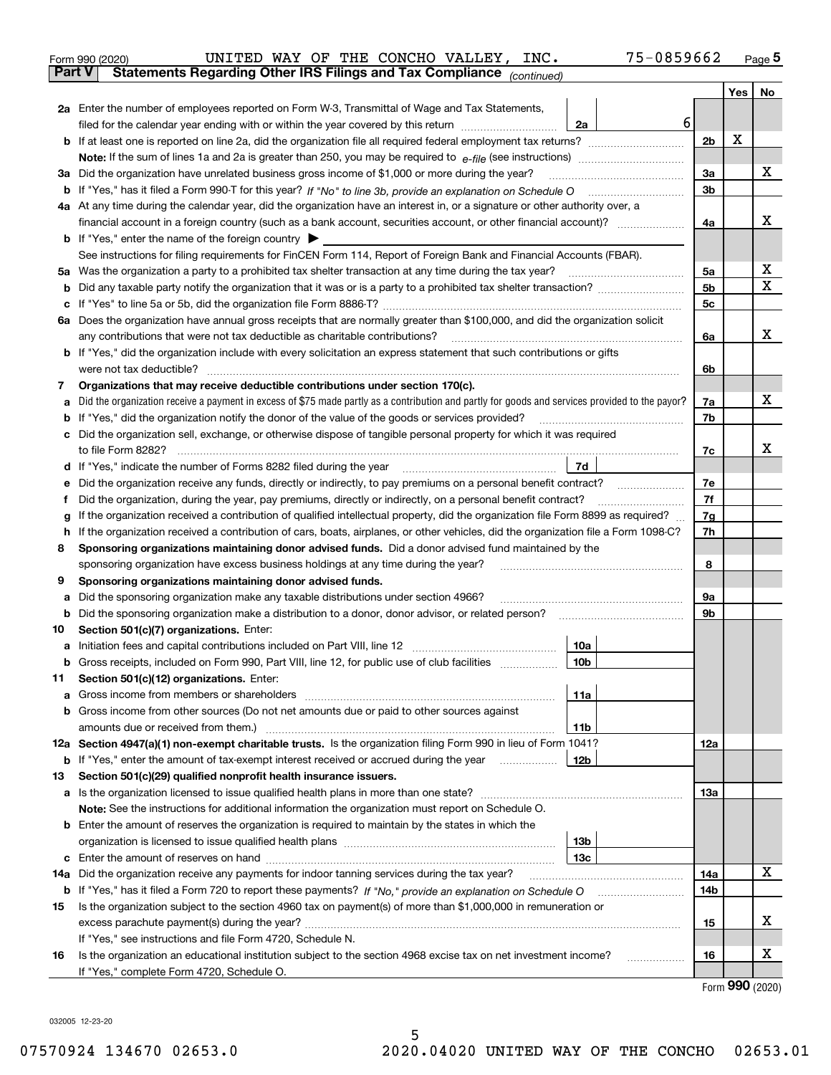|               | UNITED WAY OF THE CONCHO VALLEY, INC.<br>75-0859662<br>Form 990 (2020)                                                                          |                |     | $_{\text{Page}}$ 5          |
|---------------|-------------------------------------------------------------------------------------------------------------------------------------------------|----------------|-----|-----------------------------|
| <b>Part V</b> | Statements Regarding Other IRS Filings and Tax Compliance (continued)                                                                           |                |     |                             |
|               |                                                                                                                                                 |                | Yes | No                          |
|               | 2a Enter the number of employees reported on Form W-3, Transmittal of Wage and Tax Statements,                                                  |                |     |                             |
|               | 6<br>filed for the calendar year ending with or within the year covered by this return <i>manumumumum</i><br>2a                                 |                |     |                             |
|               |                                                                                                                                                 | 2b             | X   |                             |
|               |                                                                                                                                                 |                |     |                             |
| За            | Did the organization have unrelated business gross income of \$1,000 or more during the year?                                                   | 3a             |     | x                           |
|               |                                                                                                                                                 | 3b             |     |                             |
|               | 4a At any time during the calendar year, did the organization have an interest in, or a signature or other authority over, a                    |                |     |                             |
|               |                                                                                                                                                 | 4a             |     | x                           |
|               | <b>b</b> If "Yes," enter the name of the foreign country $\blacktriangleright$                                                                  |                |     |                             |
|               | See instructions for filing requirements for FinCEN Form 114, Report of Foreign Bank and Financial Accounts (FBAR).                             |                |     |                             |
| 5a            | Was the organization a party to a prohibited tax shelter transaction at any time during the tax year?                                           | 5а             |     | х                           |
| b             |                                                                                                                                                 | 5 <sub>b</sub> |     | X                           |
| с             |                                                                                                                                                 | 5c             |     |                             |
|               | 6a Does the organization have annual gross receipts that are normally greater than \$100,000, and did the organization solicit                  |                |     |                             |
|               | any contributions that were not tax deductible as charitable contributions? [[[[[[[[[[[[[[[[[[[[[[[]]]]]]]]]]]                                  | 6a             |     | х                           |
|               | <b>b</b> If "Yes," did the organization include with every solicitation an express statement that such contributions or gifts                   |                |     |                             |
|               |                                                                                                                                                 | 6b             |     |                             |
| 7             | Organizations that may receive deductible contributions under section 170(c).                                                                   |                |     |                             |
| а             | Did the organization receive a payment in excess of \$75 made partly as a contribution and partly for goods and services provided to the payor? | 7a             |     | x                           |
| b             | If "Yes," did the organization notify the donor of the value of the goods or services provided?                                                 | 7b             |     |                             |
| с             | Did the organization sell, exchange, or otherwise dispose of tangible personal property for which it was required                               |                |     |                             |
|               |                                                                                                                                                 | 7c             |     | x                           |
| d             | <b>7d</b>                                                                                                                                       |                |     |                             |
| е             |                                                                                                                                                 | 7e             |     |                             |
| f             | Did the organization, during the year, pay premiums, directly or indirectly, on a personal benefit contract?                                    | 7f             |     |                             |
| g             | If the organization received a contribution of qualified intellectual property, did the organization file Form 8899 as required?                | 7g             |     |                             |
| h             | If the organization received a contribution of cars, boats, airplanes, or other vehicles, did the organization file a Form 1098-C?              | 7h             |     |                             |
| 8             | Sponsoring organizations maintaining donor advised funds. Did a donor advised fund maintained by the                                            | 8              |     |                             |
| 9             | sponsoring organization have excess business holdings at any time during the year?<br>Sponsoring organizations maintaining donor advised funds. |                |     |                             |
| а             | Did the sponsoring organization make any taxable distributions under section 4966?                                                              | 9а             |     |                             |
| b             | Did the sponsoring organization make a distribution to a donor, donor advisor, or related person?                                               | 9b             |     |                             |
| 10            | Section 501(c)(7) organizations. Enter:                                                                                                         |                |     |                             |
|               | 10a                                                                                                                                             |                |     |                             |
|               | 10b <br>Gross receipts, included on Form 990, Part VIII, line 12, for public use of club facilities                                             |                |     |                             |
| 11            | Section 501(c)(12) organizations. Enter:                                                                                                        |                |     |                             |
| а             | 11a                                                                                                                                             |                |     |                             |
| b             | Gross income from other sources (Do not net amounts due or paid to other sources against                                                        |                |     |                             |
|               | 11b                                                                                                                                             |                |     |                             |
|               | 12a Section 4947(a)(1) non-exempt charitable trusts. Is the organization filing Form 990 in lieu of Form 1041?                                  | 12a            |     |                             |
|               | 12b<br><b>b</b> If "Yes," enter the amount of tax-exempt interest received or accrued during the year                                           |                |     |                             |
| 13            | Section 501(c)(29) qualified nonprofit health insurance issuers.                                                                                |                |     |                             |
| а             | Is the organization licensed to issue qualified health plans in more than one state?                                                            | 13a            |     |                             |
|               | Note: See the instructions for additional information the organization must report on Schedule O.                                               |                |     |                             |
| b             | Enter the amount of reserves the organization is required to maintain by the states in which the                                                |                |     |                             |
|               | 13 <sub>b</sub>                                                                                                                                 |                |     |                             |
| c             | 13с                                                                                                                                             |                |     |                             |
| 14a           | Did the organization receive any payments for indoor tanning services during the tax year?                                                      | 14a            |     | х                           |
|               | <b>b</b> If "Yes," has it filed a Form 720 to report these payments? If "No," provide an explanation on Schedule O                              | 14b            |     |                             |
| 15            | Is the organization subject to the section 4960 tax on payment(s) of more than \$1,000,000 in remuneration or                                   |                |     |                             |
|               |                                                                                                                                                 | 15             |     | х                           |
|               | If "Yes," see instructions and file Form 4720, Schedule N.                                                                                      |                |     |                             |
| 16            | Is the organization an educational institution subject to the section 4968 excise tax on net investment income?                                 | 16             |     | х                           |
|               | If "Yes," complete Form 4720, Schedule O.                                                                                                       |                |     | $F_{\text{arm}}$ 990 (2020) |
|               |                                                                                                                                                 |                |     |                             |

Form (2020) **990**

032005 12-23-20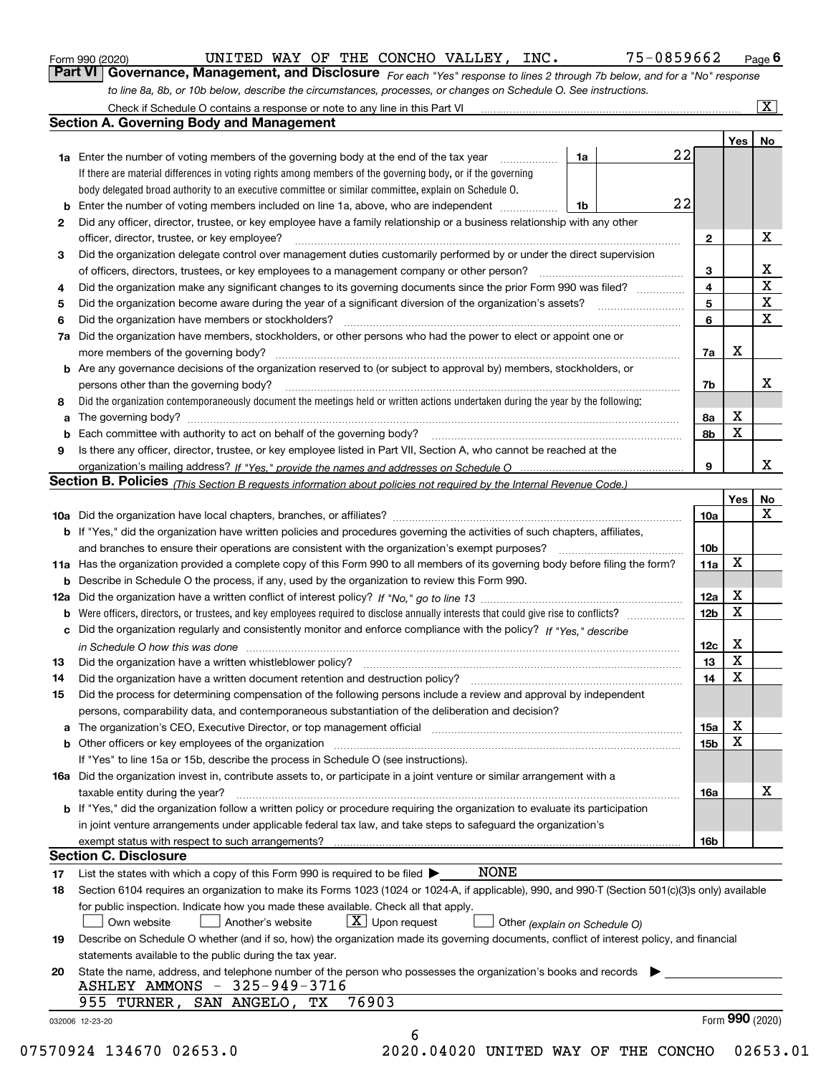|  | Form 990 (2020) |
|--|-----------------|
|  |                 |

UNITED WAY OF THE CONCHO VALLEY, INC. 75-0859662

*For each "Yes" response to lines 2 through 7b below, and for a "No" response to line 8a, 8b, or 10b below, describe the circumstances, processes, or changes on Schedule O. See instructions.* Form 990 (2020) **CONTIBE WAY OF THE CONCHO VALLEY, INC.** 75 – 0859662 Page 6<br>**Part VI Governance, Management, and Disclosure** *For each "Yes" response to lines 2 through 7b below, and for a "No" response* 

|    |                                                                                                                                                                            |    |    |                 | Yes             | No                      |
|----|----------------------------------------------------------------------------------------------------------------------------------------------------------------------------|----|----|-----------------|-----------------|-------------------------|
|    | <b>1a</b> Enter the number of voting members of the governing body at the end of the tax year <i>manumum</i>                                                               | 1a | 22 |                 |                 |                         |
|    | If there are material differences in voting rights among members of the governing body, or if the governing                                                                |    |    |                 |                 |                         |
|    | body delegated broad authority to an executive committee or similar committee, explain on Schedule O.                                                                      |    |    |                 |                 |                         |
|    |                                                                                                                                                                            | 1b | 22 |                 |                 |                         |
| 2  | Did any officer, director, trustee, or key employee have a family relationship or a business relationship with any other                                                   |    |    |                 |                 |                         |
|    | officer, director, trustee, or key employee?                                                                                                                               |    |    | $\mathbf{2}$    |                 | X                       |
| 3  | Did the organization delegate control over management duties customarily performed by or under the direct supervision                                                      |    |    |                 |                 |                         |
|    |                                                                                                                                                                            |    |    | 3               |                 | X                       |
| 4  | Did the organization make any significant changes to its governing documents since the prior Form 990 was filed?                                                           |    |    | 4               |                 | $\overline{\mathbf{x}}$ |
| 5  |                                                                                                                                                                            |    |    | 5               |                 | $\mathbf X$             |
| 6  | Did the organization have members or stockholders?                                                                                                                         |    |    | 6               |                 | $\mathbf X$             |
|    | 7a Did the organization have members, stockholders, or other persons who had the power to elect or appoint one or                                                          |    |    |                 |                 |                         |
|    |                                                                                                                                                                            |    |    | 7a              | Х               |                         |
|    | <b>b</b> Are any governance decisions of the organization reserved to (or subject to approval by) members, stockholders, or                                                |    |    |                 |                 |                         |
|    | persons other than the governing body?                                                                                                                                     |    |    | 7b              |                 | X                       |
| 8  | Did the organization contemporaneously document the meetings held or written actions undertaken during the year by the following:                                          |    |    |                 |                 |                         |
| a  |                                                                                                                                                                            |    |    | 8a              | X               |                         |
|    |                                                                                                                                                                            |    |    | 8b              | X               |                         |
| 9  | Is there any officer, director, trustee, or key employee listed in Part VII, Section A, who cannot be reached at the                                                       |    |    |                 |                 |                         |
|    |                                                                                                                                                                            |    |    | 9               |                 | x                       |
|    | Section B. Policies (This Section B requests information about policies not required by the Internal Revenue Code.)                                                        |    |    |                 |                 |                         |
|    |                                                                                                                                                                            |    |    |                 | Yes∣            | No                      |
|    |                                                                                                                                                                            |    |    | 10a             |                 | X                       |
|    | <b>b</b> If "Yes," did the organization have written policies and procedures governing the activities of such chapters, affiliates,                                        |    |    |                 |                 |                         |
|    |                                                                                                                                                                            |    |    | 10 <sub>b</sub> |                 |                         |
|    | 11a Has the organization provided a complete copy of this Form 990 to all members of its governing body before filing the form?                                            |    |    | 11a             | $\mathbf X$     |                         |
|    | <b>b</b> Describe in Schedule O the process, if any, used by the organization to review this Form 990.                                                                     |    |    |                 |                 |                         |
|    |                                                                                                                                                                            |    |    | 12a             | X               |                         |
| b  |                                                                                                                                                                            |    |    | 12b             | X               |                         |
|    | c Did the organization regularly and consistently monitor and enforce compliance with the policy? If "Yes," describe                                                       |    |    |                 |                 |                         |
|    | in Schedule O how this was done measured and contained a strategie of the state of the state of the strategie o                                                            |    |    | 12c             | X               |                         |
| 13 |                                                                                                                                                                            |    |    | 13              | X               |                         |
| 14 | Did the organization have a written document retention and destruction policy? manufactured and the organization have a written document retention and destruction policy? |    |    | 14              | $\mathbf X$     |                         |
| 15 | Did the process for determining compensation of the following persons include a review and approval by independent                                                         |    |    |                 |                 |                         |
|    | persons, comparability data, and contemporaneous substantiation of the deliberation and decision?                                                                          |    |    |                 |                 |                         |
|    |                                                                                                                                                                            |    |    |                 | X               |                         |
|    | a The organization's CEO, Executive Director, or top management official manufactured content of the organization's CEO, Executive Director, or top management official    |    |    | 15a             | X               |                         |
|    | <b>b</b> Other officers or key employees of the organization                                                                                                               |    |    | 15 <sub>b</sub> |                 |                         |
|    | If "Yes" to line 15a or 15b, describe the process in Schedule O (see instructions).                                                                                        |    |    |                 |                 |                         |
|    | 16a Did the organization invest in, contribute assets to, or participate in a joint venture or similar arrangement with a                                                  |    |    |                 |                 | X                       |
|    | taxable entity during the year?<br><b>b</b> If "Yes," did the organization follow a written policy or procedure requiring the organization to evaluate its participation   |    |    | 16a             |                 |                         |
|    |                                                                                                                                                                            |    |    |                 |                 |                         |
|    | in joint venture arrangements under applicable federal tax law, and take steps to safeguard the organization's                                                             |    |    |                 |                 |                         |
|    | <b>Section C. Disclosure</b>                                                                                                                                               |    |    | 16b             |                 |                         |
|    |                                                                                                                                                                            |    |    |                 |                 |                         |
| 17 | NONE<br>List the states with which a copy of this Form 990 is required to be filed $\blacktriangleright$                                                                   |    |    |                 |                 |                         |
| 18 | Section 6104 requires an organization to make its Forms 1023 (1024 or 1024-A, if applicable), 990, and 990-T (Section 501(c)(3)s only) available                           |    |    |                 |                 |                         |
|    | for public inspection. Indicate how you made these available. Check all that apply.                                                                                        |    |    |                 |                 |                         |
|    | $X$ Upon request<br>Another's website<br>Own website<br>Other (explain on Schedule O)                                                                                      |    |    |                 |                 |                         |
| 19 | Describe on Schedule O whether (and if so, how) the organization made its governing documents, conflict of interest policy, and financial                                  |    |    |                 |                 |                         |
|    | statements available to the public during the tax year.                                                                                                                    |    |    |                 |                 |                         |
| 20 | State the name, address, and telephone number of the person who possesses the organization's books and records                                                             |    |    |                 |                 |                         |
|    | ASHLEY AMMONS - 325-949-3716                                                                                                                                               |    |    |                 |                 |                         |
|    | 76903<br>955 TURNER, SAN ANGELO,<br>TХ                                                                                                                                     |    |    |                 |                 |                         |
|    | 032006 12-23-20                                                                                                                                                            |    |    |                 | Form 990 (2020) |                         |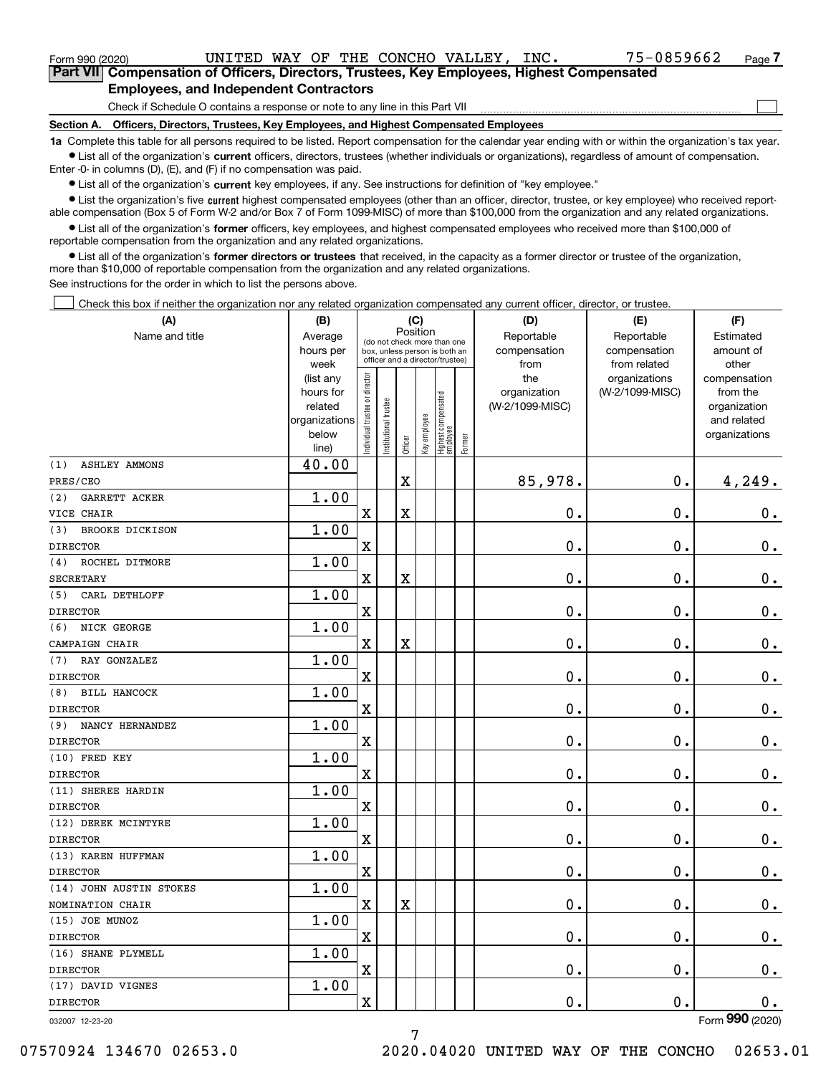| Form 990 (2020)                                                                               |  |  |  |  | UNITED WAY OF THE CONCHO VALLEY, | INC. | 75-0859662 | Page <sup>7</sup> |  |
|-----------------------------------------------------------------------------------------------|--|--|--|--|----------------------------------|------|------------|-------------------|--|
| Part VII Compensation of Officers, Directors, Trustees, Key Employees, Highest Compensated    |  |  |  |  |                                  |      |            |                   |  |
| <b>Employees, and Independent Contractors</b>                                                 |  |  |  |  |                                  |      |            |                   |  |
| Check if Schedule O contains a response or note to any line in this Part VII                  |  |  |  |  |                                  |      |            |                   |  |
| Officers, Directors, Trustees, Key Employees, and Highest Compensated Employees<br>Section A. |  |  |  |  |                                  |      |            |                   |  |

**1a**  Complete this table for all persons required to be listed. Report compensation for the calendar year ending with or within the organization's tax year. **•** List all of the organization's current officers, directors, trustees (whether individuals or organizations), regardless of amount of compensation.

Enter -0- in columns (D), (E), and (F) if no compensation was paid.

 $\bullet$  List all of the organization's  $\,$ current key employees, if any. See instructions for definition of "key employee."

**•** List the organization's five current highest compensated employees (other than an officer, director, trustee, or key employee) who received reportable compensation (Box 5 of Form W-2 and/or Box 7 of Form 1099-MISC) of more than \$100,000 from the organization and any related organizations.

**•** List all of the organization's former officers, key employees, and highest compensated employees who received more than \$100,000 of reportable compensation from the organization and any related organizations.

**former directors or trustees**  ¥ List all of the organization's that received, in the capacity as a former director or trustee of the organization, more than \$10,000 of reportable compensation from the organization and any related organizations.

See instructions for the order in which to list the persons above.

Check this box if neither the organization nor any related organization compensated any current officer, director, or trustee.  $\mathcal{L}^{\text{max}}$ 

| (A)                           | (B)               |                               |                                                                  | (C)                     |              |                                   |        | (D)             | (E)                           | (F)                   |
|-------------------------------|-------------------|-------------------------------|------------------------------------------------------------------|-------------------------|--------------|-----------------------------------|--------|-----------------|-------------------------------|-----------------------|
| Name and title                | Average           |                               | (do not check more than one                                      | Position                |              |                                   |        | Reportable      | Reportable                    | Estimated             |
|                               | hours per         |                               | box, unless person is both an<br>officer and a director/trustee) |                         |              |                                   |        | compensation    | compensation                  | amount of             |
|                               | week<br>(list any |                               |                                                                  |                         |              |                                   |        | from<br>the     | from related<br>organizations | other<br>compensation |
|                               | hours for         | ndividual trustee or director |                                                                  |                         |              |                                   |        | organization    | (W-2/1099-MISC)               | from the              |
|                               | related           |                               |                                                                  |                         |              |                                   |        | (W-2/1099-MISC) |                               | organization          |
|                               | organizations     |                               | nstitutional trustee                                             |                         |              |                                   |        |                 |                               | and related           |
|                               | below             |                               |                                                                  |                         | Key employee |                                   |        |                 |                               | organizations         |
|                               | line)             |                               |                                                                  | Officer                 |              | Highest compensated<br>  employee | Former |                 |                               |                       |
| <b>ASHLEY AMMONS</b><br>(1)   | 40.00             |                               |                                                                  |                         |              |                                   |        |                 |                               |                       |
| PRES/CEO                      |                   |                               |                                                                  | $\overline{\textbf{X}}$ |              |                                   |        | 85,978.         | $\mathbf 0$ .                 | 4,249.                |
| <b>GARRETT ACKER</b><br>(2)   | 1.00              |                               |                                                                  |                         |              |                                   |        |                 |                               |                       |
| VICE CHAIR                    |                   | $\mathbf X$                   |                                                                  | X                       |              |                                   |        | 0.              | $\mathbf 0$ .                 | $0_{.}$               |
| <b>BROOKE DICKISON</b><br>(3) | 1.00              |                               |                                                                  |                         |              |                                   |        |                 |                               |                       |
| <b>DIRECTOR</b>               |                   | $\mathbf x$                   |                                                                  |                         |              |                                   |        | $\mathbf 0$ .   | $\mathbf 0$ .                 | $0_{.}$               |
| ROCHEL DITMORE<br>(4)         | 1.00              |                               |                                                                  |                         |              |                                   |        |                 |                               |                       |
| <b>SECRETARY</b>              |                   | $\mathbf x$                   |                                                                  | $\overline{\textbf{X}}$ |              |                                   |        | $\mathbf 0$ .   | $\mathbf 0$ .                 | $\mathbf 0$ .         |
| CARL DETHLOFF<br>(5)          | 1.00              |                               |                                                                  |                         |              |                                   |        |                 |                               |                       |
| <b>DIRECTOR</b>               |                   | $\mathbf X$                   |                                                                  |                         |              |                                   |        | $\mathbf 0$ .   | 0.                            | $\mathbf 0$ .         |
| NICK GEORGE<br>(6)            | 1.00              |                               |                                                                  |                         |              |                                   |        |                 |                               |                       |
| CAMPAIGN CHAIR                |                   | $\mathbf x$                   |                                                                  | X                       |              |                                   |        | $\mathbf 0$ .   | $\mathbf 0$ .                 | $\mathbf 0$ .         |
| RAY GONZALEZ<br>(7)           | 1.00              |                               |                                                                  |                         |              |                                   |        |                 |                               |                       |
| <b>DIRECTOR</b>               |                   | $\mathbf X$                   |                                                                  |                         |              |                                   |        | $\mathbf 0$ .   | $\mathbf 0$ .                 | $\mathbf 0$ .         |
| <b>BILL HANCOCK</b><br>(8)    | 1.00              |                               |                                                                  |                         |              |                                   |        |                 |                               |                       |
| <b>DIRECTOR</b>               |                   | $\mathbf X$                   |                                                                  |                         |              |                                   |        | 0.              | $\mathbf 0$ .                 | $0_{.}$               |
| NANCY HERNANDEZ<br>(9)        | 1.00              |                               |                                                                  |                         |              |                                   |        |                 |                               |                       |
| <b>DIRECTOR</b>               |                   | $\mathbf X$                   |                                                                  |                         |              |                                   |        | $\mathbf 0$ .   | 0.                            | $\mathbf 0$ .         |
| (10) FRED KEY                 | 1.00              |                               |                                                                  |                         |              |                                   |        |                 |                               |                       |
| <b>DIRECTOR</b>               |                   | $\mathbf X$                   |                                                                  |                         |              |                                   |        | $\mathbf 0$ .   | $\mathbf 0$ .                 | $0_{.}$               |
| (11) SHEREE HARDIN            | 1.00              |                               |                                                                  |                         |              |                                   |        |                 |                               |                       |
| <b>DIRECTOR</b>               |                   | $\mathbf X$                   |                                                                  |                         |              |                                   |        | 0.              | 0.                            | $0_{.}$               |
| (12) DEREK MCINTYRE           | 1.00              |                               |                                                                  |                         |              |                                   |        |                 |                               |                       |
| <b>DIRECTOR</b>               |                   | $\mathbf X$                   |                                                                  |                         |              |                                   |        | $\mathbf 0$ .   | $\mathbf 0$ .                 | $0_{.}$               |
| (13) KAREN HUFFMAN            | 1.00              |                               |                                                                  |                         |              |                                   |        |                 |                               |                       |
| <b>DIRECTOR</b>               |                   | $\mathbf X$                   |                                                                  |                         |              |                                   |        | $\mathbf 0$ .   | $\mathbf 0$ .                 | $\mathbf 0$ .         |
| (14) JOHN AUSTIN STOKES       | 1.00              |                               |                                                                  |                         |              |                                   |        |                 |                               |                       |
| NOMINATION CHAIR              |                   | $\mathbf X$                   |                                                                  | X                       |              |                                   |        | $\mathbf 0$ .   | $\mathbf 0$ .                 | $\mathbf 0$ .         |
| (15) JOE MUNOZ                | 1.00              |                               |                                                                  |                         |              |                                   |        |                 |                               |                       |
| <b>DIRECTOR</b>               |                   | $\mathbf X$                   |                                                                  |                         |              |                                   |        | $0$ .           | 0.                            | $0_{.}$               |
| (16) SHANE PLYMELL            | 1.00              |                               |                                                                  |                         |              |                                   |        |                 |                               |                       |
| <b>DIRECTOR</b>               |                   | $\mathbf X$                   |                                                                  |                         |              |                                   |        | 0.              | $\mathbf 0$ .                 | $\mathbf 0$ .         |
| (17) DAVID VIGNES             | 1.00              |                               |                                                                  |                         |              |                                   |        |                 |                               |                       |
| <b>DIRECTOR</b>               |                   | $\mathbf X$                   |                                                                  |                         |              |                                   |        | $\mathbf 0$ .   | 0.                            | 0.                    |
|                               |                   |                               |                                                                  |                         |              |                                   |        |                 |                               | nnn.                  |

7

032007 12-23-20

Form (2020) **990**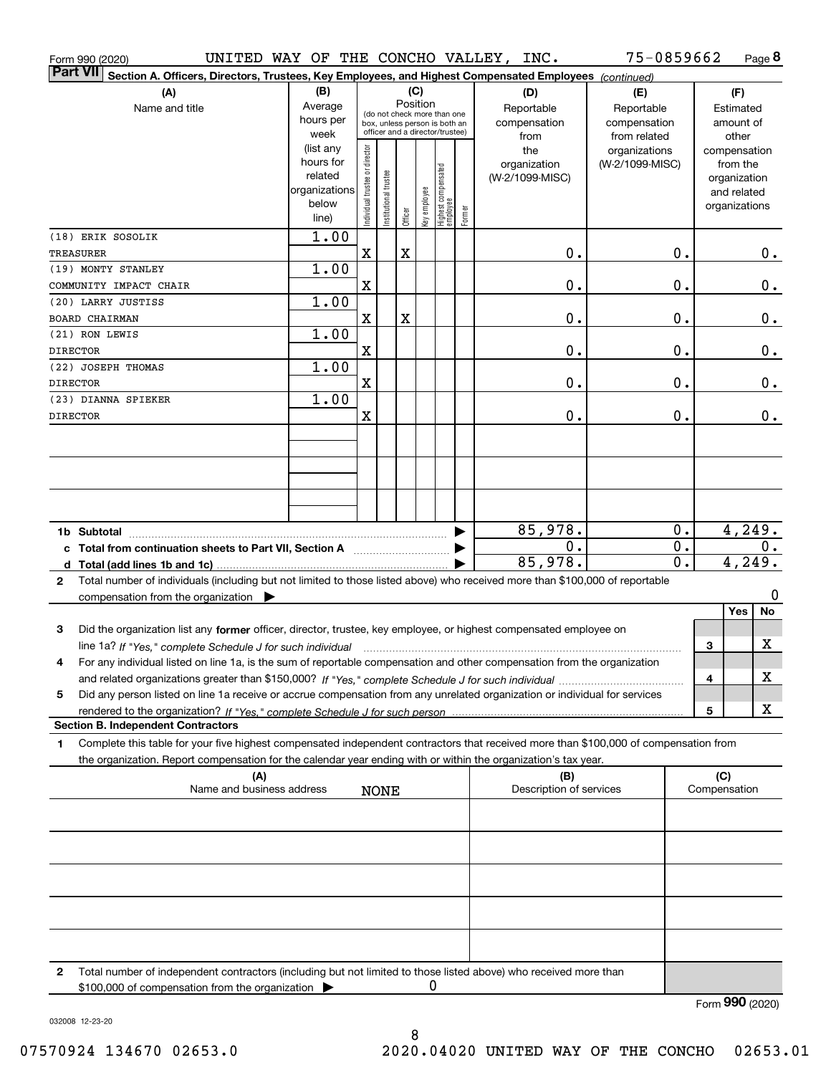|                 | Form 990 (2020)                                                                                                                                                                                                                                                     |                   |                                                                  |                       |         |              |                                 |        | UNITED WAY OF THE CONCHO VALLEY, INC. | 75-0859662                    |                  |   |                       | Page 8  |
|-----------------|---------------------------------------------------------------------------------------------------------------------------------------------------------------------------------------------------------------------------------------------------------------------|-------------------|------------------------------------------------------------------|-----------------------|---------|--------------|---------------------------------|--------|---------------------------------------|-------------------------------|------------------|---|-----------------------|---------|
| <b>Part VII</b> | Section A. Officers, Directors, Trustees, Key Employees, and Highest Compensated Employees (continued)                                                                                                                                                              |                   |                                                                  |                       |         |              |                                 |        |                                       |                               |                  |   |                       |         |
|                 | (A)                                                                                                                                                                                                                                                                 | (B)               | (C)                                                              |                       |         |              |                                 |        | (D)                                   | (E)                           |                  |   | (F)                   |         |
|                 | Name and title                                                                                                                                                                                                                                                      | Average           | Position<br>(do not check more than one                          |                       |         |              |                                 |        | Reportable                            | Reportable                    |                  |   | Estimated             |         |
|                 |                                                                                                                                                                                                                                                                     | hours per<br>week | box, unless person is both an<br>officer and a director/trustee) |                       |         |              |                                 |        | compensation                          | compensation                  |                  |   | amount of             |         |
|                 |                                                                                                                                                                                                                                                                     | (list any         |                                                                  |                       |         |              |                                 |        | from<br>the                           | from related<br>organizations |                  |   | other<br>compensation |         |
|                 |                                                                                                                                                                                                                                                                     | hours for         |                                                                  |                       |         |              |                                 |        | organization                          | (W-2/1099-MISC)               |                  |   | from the              |         |
|                 |                                                                                                                                                                                                                                                                     | related           |                                                                  |                       |         |              |                                 |        | (W-2/1099-MISC)                       |                               |                  |   | organization          |         |
|                 |                                                                                                                                                                                                                                                                     | organizations     |                                                                  |                       |         |              |                                 |        |                                       |                               |                  |   | and related           |         |
|                 |                                                                                                                                                                                                                                                                     | below             | Individual trustee or director                                   | Institutional trustee |         | key employee | Highest compensated<br>employee |        |                                       |                               |                  |   | organizations         |         |
|                 |                                                                                                                                                                                                                                                                     | line)             |                                                                  |                       | Officer |              |                                 | Former |                                       |                               |                  |   |                       |         |
|                 | (18) ERIK SOSOLIK                                                                                                                                                                                                                                                   | 1.00              |                                                                  |                       |         |              |                                 |        |                                       |                               |                  |   |                       |         |
|                 | TREASURER                                                                                                                                                                                                                                                           |                   | X                                                                |                       | X       |              |                                 |        | $\mathbf 0$ .                         |                               | 0.               |   |                       | 0.      |
|                 | (19) MONTY STANLEY                                                                                                                                                                                                                                                  | 1.00              | Χ                                                                |                       |         |              |                                 |        | $\mathbf 0$ .                         |                               | 0.               |   |                       | $0$ .   |
|                 | COMMUNITY IMPACT CHAIR<br>(20) LARRY JUSTISS                                                                                                                                                                                                                        | 1.00              |                                                                  |                       |         |              |                                 |        |                                       |                               |                  |   |                       |         |
|                 | <b>BOARD CHAIRMAN</b>                                                                                                                                                                                                                                               |                   | X                                                                |                       | X       |              |                                 |        | $\mathbf 0$ .                         |                               | 0.               |   |                       | 0.      |
|                 | (21) RON LEWIS                                                                                                                                                                                                                                                      | 1.00              |                                                                  |                       |         |              |                                 |        |                                       |                               |                  |   |                       |         |
| <b>DIRECTOR</b> |                                                                                                                                                                                                                                                                     |                   | X                                                                |                       |         |              |                                 |        | $\mathbf 0$ .                         |                               | 0.               |   |                       | $0$ .   |
|                 | (22) JOSEPH THOMAS                                                                                                                                                                                                                                                  | 1.00              |                                                                  |                       |         |              |                                 |        |                                       |                               |                  |   |                       |         |
| <b>DIRECTOR</b> |                                                                                                                                                                                                                                                                     |                   | X                                                                |                       |         |              |                                 |        | $\mathbf 0$ .                         |                               | 0.               |   |                       | 0.      |
|                 | (23) DIANNA SPIEKER                                                                                                                                                                                                                                                 | 1.00              |                                                                  |                       |         |              |                                 |        |                                       |                               |                  |   |                       |         |
| <b>DIRECTOR</b> |                                                                                                                                                                                                                                                                     |                   | X                                                                |                       |         |              |                                 |        | 0.                                    |                               | 0.               |   |                       | 0.      |
|                 |                                                                                                                                                                                                                                                                     |                   |                                                                  |                       |         |              |                                 |        |                                       |                               |                  |   |                       |         |
|                 |                                                                                                                                                                                                                                                                     |                   |                                                                  |                       |         |              |                                 |        |                                       |                               |                  |   |                       |         |
|                 |                                                                                                                                                                                                                                                                     |                   |                                                                  |                       |         |              |                                 |        |                                       |                               |                  |   |                       |         |
|                 |                                                                                                                                                                                                                                                                     |                   |                                                                  |                       |         |              |                                 |        |                                       |                               |                  |   |                       |         |
|                 |                                                                                                                                                                                                                                                                     |                   |                                                                  |                       |         |              |                                 |        |                                       |                               |                  |   |                       |         |
|                 |                                                                                                                                                                                                                                                                     |                   |                                                                  |                       |         |              |                                 |        |                                       |                               |                  |   |                       |         |
|                 | 1b Subtotal                                                                                                                                                                                                                                                         |                   |                                                                  |                       |         |              |                                 |        | 85,978.                               |                               | 0.               |   | 4,249.                |         |
|                 | c Total from continuation sheets to Part VII, Section A                                                                                                                                                                                                             |                   |                                                                  |                       |         |              |                                 |        | 0.                                    |                               | 0.               |   |                       | 0.      |
|                 |                                                                                                                                                                                                                                                                     |                   |                                                                  |                       |         |              |                                 |        | 85,978.                               |                               | $\overline{0}$ . |   | 4, 249.               |         |
| $\mathbf{2}$    | Total number of individuals (including but not limited to those listed above) who received more than \$100,000 of reportable                                                                                                                                        |                   |                                                                  |                       |         |              |                                 |        |                                       |                               |                  |   |                       |         |
|                 | compensation from the organization $\blacktriangleright$                                                                                                                                                                                                            |                   |                                                                  |                       |         |              |                                 |        |                                       |                               |                  |   | Yes                   | 0<br>No |
|                 |                                                                                                                                                                                                                                                                     |                   |                                                                  |                       |         |              |                                 |        |                                       |                               |                  |   |                       |         |
| 3               | Did the organization list any former officer, director, trustee, key employee, or highest compensated employee on                                                                                                                                                   |                   |                                                                  |                       |         |              |                                 |        |                                       |                               |                  |   |                       | X       |
|                 | line 1a? If "Yes," complete Schedule J for such individual manufactured contained and the Ves," complete Schedule J for such individual<br>For any individual listed on line 1a, is the sum of reportable compensation and other compensation from the organization |                   |                                                                  |                       |         |              |                                 |        |                                       |                               |                  | 3 |                       |         |
| 4               |                                                                                                                                                                                                                                                                     |                   |                                                                  |                       |         |              |                                 |        |                                       |                               |                  | 4 |                       | х       |
| 5               | Did any person listed on line 1a receive or accrue compensation from any unrelated organization or individual for services                                                                                                                                          |                   |                                                                  |                       |         |              |                                 |        |                                       |                               |                  |   |                       |         |
|                 |                                                                                                                                                                                                                                                                     |                   |                                                                  |                       |         |              |                                 |        |                                       |                               |                  | 5 |                       | X       |
|                 | <b>Section B. Independent Contractors</b>                                                                                                                                                                                                                           |                   |                                                                  |                       |         |              |                                 |        |                                       |                               |                  |   |                       |         |
| 1               | Complete this table for your five highest compensated independent contractors that received more than \$100,000 of compensation from                                                                                                                                |                   |                                                                  |                       |         |              |                                 |        |                                       |                               |                  |   |                       |         |
|                 | the organization. Report compensation for the calendar year ending with or within the organization's tax year.                                                                                                                                                      |                   |                                                                  |                       |         |              |                                 |        |                                       |                               |                  |   |                       |         |
|                 | (A)                                                                                                                                                                                                                                                                 |                   |                                                                  |                       |         |              |                                 |        | (B)                                   |                               |                  |   | (C)                   |         |
|                 | Name and business address                                                                                                                                                                                                                                           |                   |                                                                  | <b>NONE</b>           |         |              |                                 |        | Description of services               |                               |                  |   | Compensation          |         |
|                 |                                                                                                                                                                                                                                                                     |                   |                                                                  |                       |         |              |                                 |        |                                       |                               |                  |   |                       |         |
|                 |                                                                                                                                                                                                                                                                     |                   |                                                                  |                       |         |              |                                 |        |                                       |                               |                  |   |                       |         |
|                 |                                                                                                                                                                                                                                                                     |                   |                                                                  |                       |         |              |                                 |        |                                       |                               |                  |   |                       |         |
|                 |                                                                                                                                                                                                                                                                     |                   |                                                                  |                       |         |              |                                 |        |                                       |                               |                  |   |                       |         |
|                 |                                                                                                                                                                                                                                                                     |                   |                                                                  |                       |         |              |                                 |        |                                       |                               |                  |   |                       |         |
|                 |                                                                                                                                                                                                                                                                     |                   |                                                                  |                       |         |              |                                 |        |                                       |                               |                  |   |                       |         |
|                 |                                                                                                                                                                                                                                                                     |                   |                                                                  |                       |         |              |                                 |        |                                       |                               |                  |   |                       |         |
|                 |                                                                                                                                                                                                                                                                     |                   |                                                                  |                       |         |              |                                 |        |                                       |                               |                  |   |                       |         |
|                 |                                                                                                                                                                                                                                                                     |                   |                                                                  |                       |         |              |                                 |        |                                       |                               |                  |   |                       |         |
| $\mathbf{2}$    | Total number of independent contractors (including but not limited to those listed above) who received more than                                                                                                                                                    |                   |                                                                  |                       |         |              |                                 |        |                                       |                               |                  |   |                       |         |
|                 | \$100,000 of compensation from the organization                                                                                                                                                                                                                     |                   |                                                                  |                       |         | 0            |                                 |        |                                       |                               |                  |   |                       |         |
|                 |                                                                                                                                                                                                                                                                     |                   |                                                                  |                       |         |              |                                 |        |                                       |                               |                  |   | Form 990 (2020)       |         |

032008 12-23-20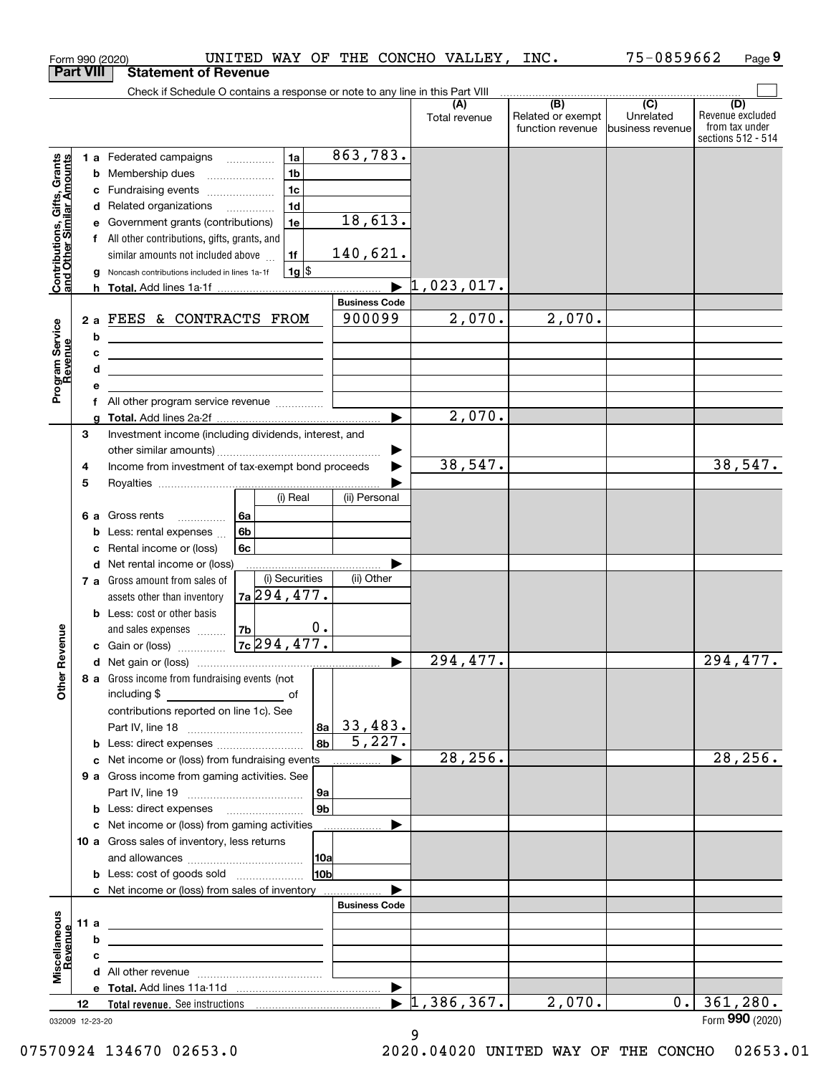|                                                           |                  | UNITED WAY OF THE CONCHO VALLEY, INC.<br>Form 990 (2020)                                                                    |                      |                                  |                                       | 75-0859662                    | Page 9                                                          |
|-----------------------------------------------------------|------------------|-----------------------------------------------------------------------------------------------------------------------------|----------------------|----------------------------------|---------------------------------------|-------------------------------|-----------------------------------------------------------------|
|                                                           | <b>Part VIII</b> | <b>Statement of Revenue</b>                                                                                                 |                      |                                  |                                       |                               |                                                                 |
|                                                           |                  | Check if Schedule O contains a response or note to any line in this Part VIII                                               |                      |                                  | (B)                                   | $\overline{(C)}$              |                                                                 |
|                                                           |                  |                                                                                                                             |                      | (A)<br>Total revenue             | Related or exempt<br>function revenue | Unrelated<br>business revenue | (D)<br>Revenue excluded<br>from tax under<br>sections 512 - 514 |
|                                                           |                  | 1a<br>1 a Federated campaigns                                                                                               | 863,783.             |                                  |                                       |                               |                                                                 |
| Contributions, Gifts, Grants<br>and Other Similar Amounts |                  | 1 <sub>b</sub><br><b>b</b> Membership dues                                                                                  |                      |                                  |                                       |                               |                                                                 |
|                                                           |                  | 1 <sub>c</sub><br>c Fundraising events                                                                                      |                      |                                  |                                       |                               |                                                                 |
|                                                           |                  | 1 <sub>d</sub><br>d Related organizations                                                                                   |                      |                                  |                                       |                               |                                                                 |
|                                                           |                  | 1e<br>e Government grants (contributions)                                                                                   | 18,613.              |                                  |                                       |                               |                                                                 |
|                                                           |                  | f All other contributions, gifts, grants, and                                                                               |                      |                                  |                                       |                               |                                                                 |
|                                                           |                  | similar amounts not included above<br>1f                                                                                    | 140,621.             |                                  |                                       |                               |                                                                 |
|                                                           |                  | $1g$ \$<br>g Noncash contributions included in lines 1a-1f                                                                  |                      |                                  |                                       |                               |                                                                 |
|                                                           |                  |                                                                                                                             |                      | $\blacktriangleright$ 1,023,017. |                                       |                               |                                                                 |
|                                                           |                  |                                                                                                                             | <b>Business Code</b> |                                  |                                       |                               |                                                                 |
|                                                           |                  | 2 a FEES & CONTRACTS FROM                                                                                                   | 900099               | 2,070.                           | 2,070.                                |                               |                                                                 |
|                                                           |                  | b<br><u> 1989 - Johann Stoff, deutscher Stoffen und der Stoffen und der Stoffen und der Stoffen und der Stoffen und der</u> |                      |                                  |                                       |                               |                                                                 |
|                                                           |                  | с<br><u> 1989 - John Stein, mars and de Brazilian (b. 1989)</u>                                                             |                      |                                  |                                       |                               |                                                                 |
|                                                           |                  | d                                                                                                                           |                      |                                  |                                       |                               |                                                                 |
| Program Service<br>Revenue                                |                  |                                                                                                                             |                      |                                  |                                       |                               |                                                                 |
|                                                           |                  |                                                                                                                             |                      |                                  |                                       |                               |                                                                 |
|                                                           |                  |                                                                                                                             |                      | 2,070.                           |                                       |                               |                                                                 |
|                                                           | 3                | Investment income (including dividends, interest, and                                                                       |                      |                                  |                                       |                               |                                                                 |
|                                                           |                  |                                                                                                                             | ▶                    |                                  |                                       |                               |                                                                 |
|                                                           | 4                | Income from investment of tax-exempt bond proceeds                                                                          |                      | 38,547.                          |                                       |                               | 38,547.                                                         |
|                                                           | 5                | (i) Real                                                                                                                    | (ii) Personal        |                                  |                                       |                               |                                                                 |
|                                                           |                  |                                                                                                                             |                      |                                  |                                       |                               |                                                                 |
|                                                           |                  | 6 a Gross rents<br>6а<br>6b                                                                                                 |                      |                                  |                                       |                               |                                                                 |
|                                                           |                  | <b>b</b> Less: rental expenses $\ldots$<br>c Rental income or (loss)<br>6c                                                  |                      |                                  |                                       |                               |                                                                 |
|                                                           |                  | d Net rental income or (loss)                                                                                               |                      |                                  |                                       |                               |                                                                 |
|                                                           |                  | (i) Securities<br>7 a Gross amount from sales of                                                                            | (ii) Other           |                                  |                                       |                               |                                                                 |
|                                                           |                  | $7a$ 294, 477.<br>assets other than inventory                                                                               |                      |                                  |                                       |                               |                                                                 |
|                                                           |                  | <b>b</b> Less: cost or other basis                                                                                          |                      |                                  |                                       |                               |                                                                 |
|                                                           |                  | 0.<br>7b<br>and sales expenses                                                                                              |                      |                                  |                                       |                               |                                                                 |
| wenue                                                     |                  | $7c$ 294, 477.<br>c Gain or (loss)                                                                                          |                      |                                  |                                       |                               |                                                                 |
|                                                           |                  |                                                                                                                             |                      | $\overline{294, 477}$ .          |                                       |                               | 294,477.                                                        |
| Other R                                                   |                  | 8 a Gross income from fundraising events (not                                                                               |                      |                                  |                                       |                               |                                                                 |
|                                                           |                  |                                                                                                                             |                      |                                  |                                       |                               |                                                                 |
|                                                           |                  | contributions reported on line 1c). See                                                                                     |                      |                                  |                                       |                               |                                                                 |
|                                                           |                  |                                                                                                                             | $ a_2 $ 33,483.      |                                  |                                       |                               |                                                                 |
|                                                           |                  | 8 <sub>b</sub>  <br><b>b</b> Less: direct expenses                                                                          | 5,227.               |                                  |                                       |                               |                                                                 |
|                                                           |                  | c Net income or (loss) from fundraising events                                                                              | ▶                    | 28, 256.                         |                                       |                               | 28, 256.                                                        |
|                                                           |                  | 9 a Gross income from gaming activities. See                                                                                |                      |                                  |                                       |                               |                                                                 |
|                                                           |                  | 9a                                                                                                                          |                      |                                  |                                       |                               |                                                                 |
|                                                           |                  | 9b <br><b>b</b> Less: direct expenses <b>manually</b>                                                                       |                      |                                  |                                       |                               |                                                                 |
|                                                           |                  | c Net income or (loss) from gaming activities                                                                               | ▶                    |                                  |                                       |                               |                                                                 |
|                                                           |                  | 10 a Gross sales of inventory, less returns<br>10a                                                                          |                      |                                  |                                       |                               |                                                                 |
|                                                           |                  | 10 <sub>b</sub><br><b>b</b> Less: cost of goods sold                                                                        |                      |                                  |                                       |                               |                                                                 |
|                                                           |                  | c Net income or (loss) from sales of inventory                                                                              |                      |                                  |                                       |                               |                                                                 |
|                                                           |                  |                                                                                                                             | <b>Business Code</b> |                                  |                                       |                               |                                                                 |
|                                                           | 11 a             |                                                                                                                             |                      |                                  |                                       |                               |                                                                 |
|                                                           |                  | b                                                                                                                           |                      |                                  |                                       |                               |                                                                 |
|                                                           |                  | с                                                                                                                           |                      |                                  |                                       |                               |                                                                 |
| Miscellaneous<br>Revenue                                  |                  |                                                                                                                             |                      |                                  |                                       |                               |                                                                 |
|                                                           |                  |                                                                                                                             | ▶                    |                                  |                                       |                               |                                                                 |
|                                                           | 12               |                                                                                                                             |                      | $\blacktriangleright$ 1,386,367. | 2,070.                                | 0.1                           | 361,280.                                                        |
|                                                           |                  | 032009 12-23-20                                                                                                             |                      |                                  |                                       |                               | Form 990 (2020)                                                 |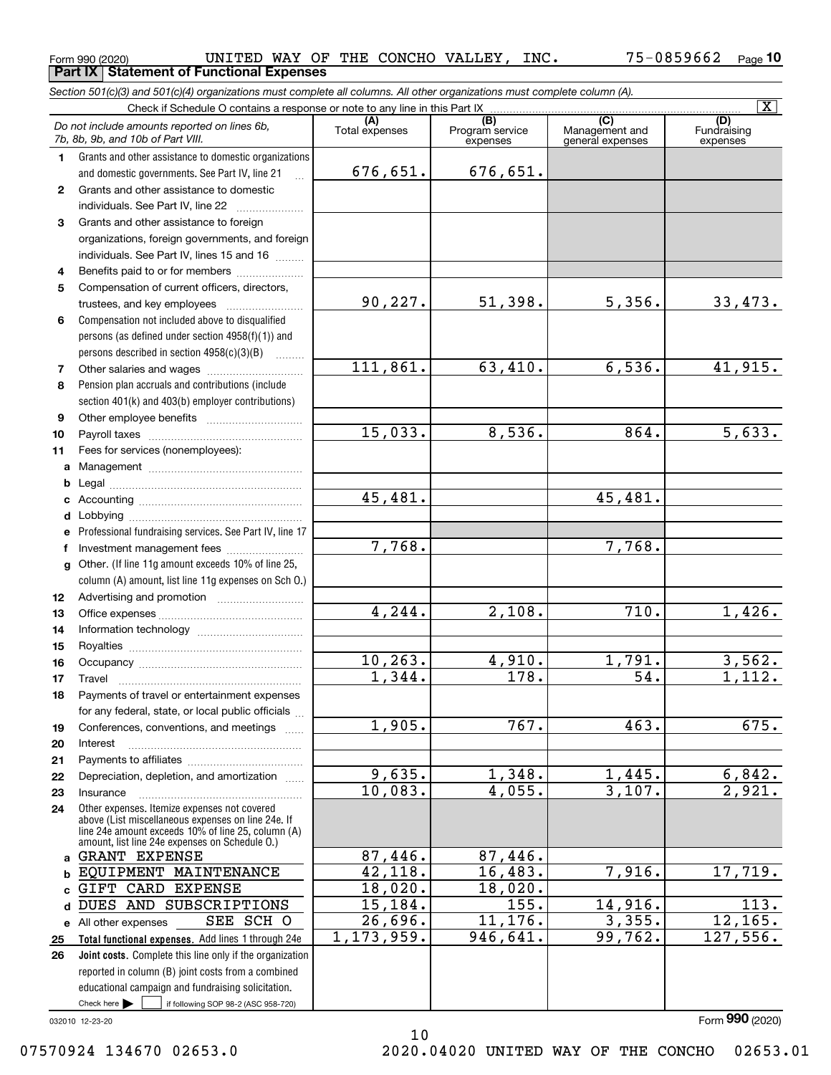**Part IX Statement of Functional Expenses**

*Section 501(c)(3) and 501(c)(4) organizations must complete all columns. All other organizations must complete column (A).*

|                  | $\overline{\mathbf{x}}$<br>Check if Schedule O contains a response or note to any line in this Part IX |                      |                                    |                                           |                                |  |  |  |  |  |  |
|------------------|--------------------------------------------------------------------------------------------------------|----------------------|------------------------------------|-------------------------------------------|--------------------------------|--|--|--|--|--|--|
|                  | Do not include amounts reported on lines 6b,<br>7b, 8b, 9b, and 10b of Part VIII.                      | Total expenses       | (B)<br>Program service<br>expenses | (C)<br>Management and<br>general expenses | (D)<br>Fundraising<br>expenses |  |  |  |  |  |  |
| 1.               | Grants and other assistance to domestic organizations                                                  |                      |                                    |                                           |                                |  |  |  |  |  |  |
|                  | and domestic governments. See Part IV, line 21                                                         | 676,651.             | 676,651.                           |                                           |                                |  |  |  |  |  |  |
| $\mathbf{2}$     | Grants and other assistance to domestic                                                                |                      |                                    |                                           |                                |  |  |  |  |  |  |
|                  | individuals. See Part IV, line 22                                                                      |                      |                                    |                                           |                                |  |  |  |  |  |  |
| 3                | Grants and other assistance to foreign                                                                 |                      |                                    |                                           |                                |  |  |  |  |  |  |
|                  | organizations, foreign governments, and foreign                                                        |                      |                                    |                                           |                                |  |  |  |  |  |  |
|                  | individuals. See Part IV, lines 15 and 16                                                              |                      |                                    |                                           |                                |  |  |  |  |  |  |
| 4                | Benefits paid to or for members                                                                        |                      |                                    |                                           |                                |  |  |  |  |  |  |
| 5                | Compensation of current officers, directors,                                                           | 90, 227.             | 51,398.                            | 5,356.                                    | 33,473.                        |  |  |  |  |  |  |
|                  | trustees, and key employees                                                                            |                      |                                    |                                           |                                |  |  |  |  |  |  |
| 6                | Compensation not included above to disqualified                                                        |                      |                                    |                                           |                                |  |  |  |  |  |  |
|                  | persons (as defined under section 4958(f)(1)) and                                                      |                      |                                    |                                           |                                |  |  |  |  |  |  |
| 7                | persons described in section 4958(c)(3)(B)                                                             | 111,861.             | 63,410.                            | 6,536.                                    | 41,915.                        |  |  |  |  |  |  |
| 8                | Pension plan accruals and contributions (include                                                       |                      |                                    |                                           |                                |  |  |  |  |  |  |
|                  | section 401(k) and 403(b) employer contributions)                                                      |                      |                                    |                                           |                                |  |  |  |  |  |  |
| 9                |                                                                                                        |                      |                                    |                                           |                                |  |  |  |  |  |  |
| 10               |                                                                                                        | 15,033.              | 8,536.                             | 864.                                      | 5,633.                         |  |  |  |  |  |  |
| 11               | Fees for services (nonemployees):                                                                      |                      |                                    |                                           |                                |  |  |  |  |  |  |
| a                |                                                                                                        |                      |                                    |                                           |                                |  |  |  |  |  |  |
| b                |                                                                                                        |                      |                                    |                                           |                                |  |  |  |  |  |  |
| c                |                                                                                                        | 45,481.              |                                    | 45,481.                                   |                                |  |  |  |  |  |  |
| d                |                                                                                                        |                      |                                    |                                           |                                |  |  |  |  |  |  |
| e                | Professional fundraising services. See Part IV, line 17                                                |                      |                                    |                                           |                                |  |  |  |  |  |  |
| f                | Investment management fees                                                                             | 7,768.               |                                    | 7,768.                                    |                                |  |  |  |  |  |  |
| $\mathbf{q}$     | Other. (If line 11g amount exceeds 10% of line 25,                                                     |                      |                                    |                                           |                                |  |  |  |  |  |  |
|                  | column (A) amount, list line 11g expenses on Sch O.)                                                   |                      |                                    |                                           |                                |  |  |  |  |  |  |
| 12 <sup>12</sup> |                                                                                                        |                      |                                    |                                           |                                |  |  |  |  |  |  |
| 13               |                                                                                                        | $\overline{4.244}$ . | 2,108.                             | 710.                                      | 1,426.                         |  |  |  |  |  |  |
| 14               |                                                                                                        |                      |                                    |                                           |                                |  |  |  |  |  |  |
| 15               |                                                                                                        |                      |                                    |                                           |                                |  |  |  |  |  |  |
| 16               |                                                                                                        | 10, 263.             | 4,910.                             | 1,791.                                    | 3,562.                         |  |  |  |  |  |  |
| 17               | Travel                                                                                                 | 1,344.               | $\overline{178}$ .                 | 54.                                       | 1,112.                         |  |  |  |  |  |  |
| 18               | Payments of travel or entertainment expenses                                                           |                      |                                    |                                           |                                |  |  |  |  |  |  |
|                  | for any federal, state, or local public officials                                                      | 1,905.               | 767.                               | 463.                                      | 675.                           |  |  |  |  |  |  |
| 19               | Conferences, conventions, and meetings                                                                 |                      |                                    |                                           |                                |  |  |  |  |  |  |
| 20<br>21         | Interest                                                                                               |                      |                                    |                                           |                                |  |  |  |  |  |  |
| 22               | Depreciation, depletion, and amortization                                                              | 9,635.               | 1,348.                             | 1,445.                                    | 6,842.                         |  |  |  |  |  |  |
| 23               | Insurance                                                                                              | 10,083.              | 4,055.                             | 3,107.                                    | 2,921.                         |  |  |  |  |  |  |
| 24               | Other expenses. Itemize expenses not covered                                                           |                      |                                    |                                           |                                |  |  |  |  |  |  |
|                  | above (List miscellaneous expenses on line 24e. If                                                     |                      |                                    |                                           |                                |  |  |  |  |  |  |
|                  | line 24e amount exceeds 10% of line 25, column (A)<br>amount, list line 24e expenses on Schedule O.)   |                      |                                    |                                           |                                |  |  |  |  |  |  |
| a                | <b>GRANT EXPENSE</b>                                                                                   | 87,446.              | 87,446.                            |                                           |                                |  |  |  |  |  |  |
|                  | EQUIPMENT MAINTENANCE                                                                                  | 42,118.              | 16,483.                            | 7,916.                                    | 17,719.                        |  |  |  |  |  |  |
| C                | GIFT CARD EXPENSE                                                                                      | 18,020.              | 18,020.                            |                                           |                                |  |  |  |  |  |  |
| d                | DUES AND SUBSCRIPTIONS                                                                                 | 15,184.              | 155.                               | 14,916.                                   | 113.                           |  |  |  |  |  |  |
|                  | SEE SCH O<br>e All other expenses                                                                      | 26,696.              | 11, 176.                           | 3,355.                                    | 12, 165.                       |  |  |  |  |  |  |
| 25               | Total functional expenses. Add lines 1 through 24e                                                     | 1, 173, 959.         | 946,641.                           | 99,762.                                   | 127,556.                       |  |  |  |  |  |  |
| 26               | Joint costs. Complete this line only if the organization                                               |                      |                                    |                                           |                                |  |  |  |  |  |  |
|                  | reported in column (B) joint costs from a combined                                                     |                      |                                    |                                           |                                |  |  |  |  |  |  |
|                  | educational campaign and fundraising solicitation.                                                     |                      |                                    |                                           |                                |  |  |  |  |  |  |
|                  | Check here $\blacktriangleright$<br>if following SOP 98-2 (ASC 958-720)                                |                      |                                    |                                           |                                |  |  |  |  |  |  |
|                  | 032010 12-23-20                                                                                        |                      |                                    |                                           | Form 990 (2020)                |  |  |  |  |  |  |

10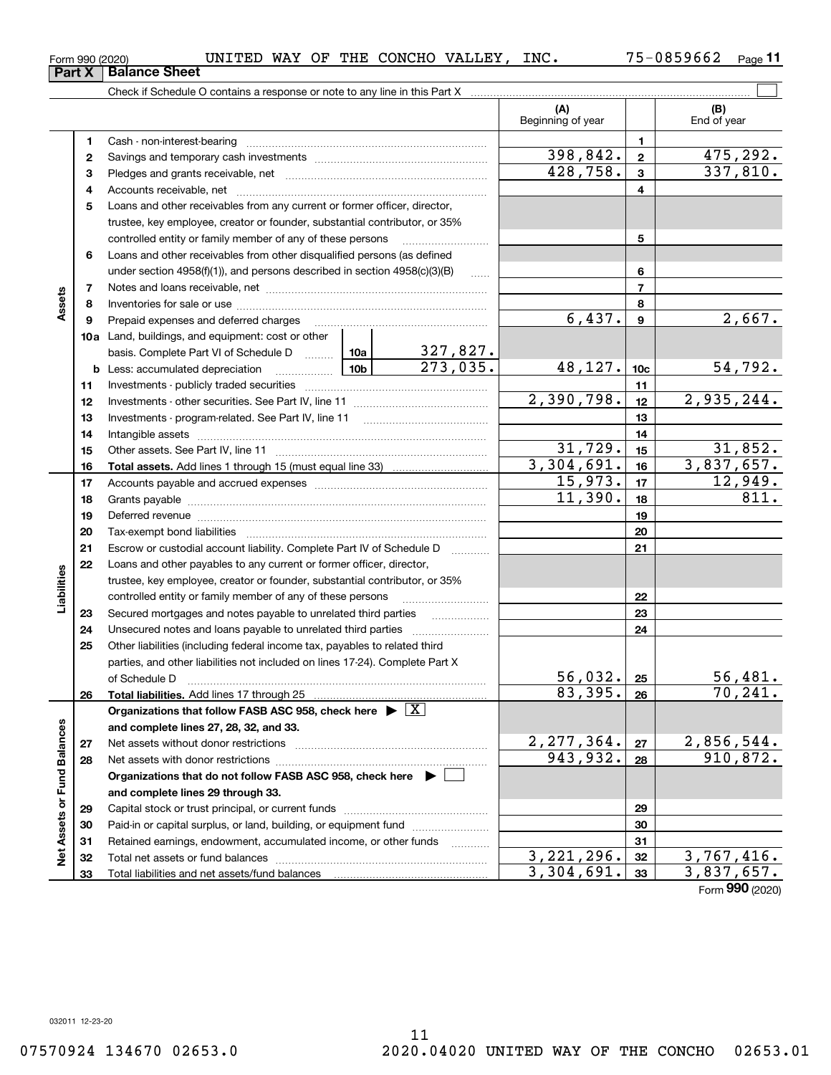### $_{\rm Form}$   $_{990}$   $_{(2020)}$   $_{\rm WII}$   $_{\rm TED}$   $_{\rm WAY}$  of the concho valley, inc.  $75$  –  $0859662$   $_{\rm Page}$

**11**

|                             |    | Check if Schedule O contains a response or note to any line in this Part X                                          |                          |                 |                    |
|-----------------------------|----|---------------------------------------------------------------------------------------------------------------------|--------------------------|-----------------|--------------------|
|                             |    |                                                                                                                     | (A)<br>Beginning of year |                 | (B)<br>End of year |
|                             | 1  |                                                                                                                     |                          | 1.              |                    |
|                             | 2  |                                                                                                                     | 398,842.                 | $\mathbf{2}$    | 475,292.           |
|                             | з  |                                                                                                                     | 428,758.                 | 3               | 337,810.           |
|                             | 4  |                                                                                                                     |                          | 4               |                    |
|                             | 5  | Loans and other receivables from any current or former officer, director,                                           |                          |                 |                    |
|                             |    | trustee, key employee, creator or founder, substantial contributor, or 35%                                          |                          |                 |                    |
|                             |    | controlled entity or family member of any of these persons                                                          |                          | 5               |                    |
|                             | 6  | Loans and other receivables from other disqualified persons (as defined                                             |                          |                 |                    |
|                             |    | under section $4958(f)(1)$ , and persons described in section $4958(c)(3)(B)$<br>$\sim$                             |                          | 6               |                    |
|                             | 7  |                                                                                                                     |                          | 7               |                    |
| Assets                      | 8  |                                                                                                                     |                          | 8               |                    |
|                             | 9  |                                                                                                                     | 6,437.                   | 9               | 2,667.             |
|                             |    | <b>10a</b> Land, buildings, and equipment: cost or other                                                            |                          |                 |                    |
|                             |    | <u>327,827.</u><br>basis. Complete Part VI of Schedule D  10a                                                       |                          |                 |                    |
|                             |    | 273,035.                                                                                                            | 48,127.                  | 10 <sub>c</sub> | 54,792.            |
|                             | 11 |                                                                                                                     |                          | 11              |                    |
|                             | 12 |                                                                                                                     | 2,390,798.               | 12              | 2,935,244.         |
|                             | 13 |                                                                                                                     |                          | 13              |                    |
|                             | 14 |                                                                                                                     |                          | 14              |                    |
|                             | 15 |                                                                                                                     | 31,729.                  | 15              | 31,852.            |
|                             | 16 |                                                                                                                     | $\overline{3,304,691}$ . | 16              | 3,837,657.         |
|                             | 17 |                                                                                                                     | 15,973.                  | 17              | 12,949.            |
|                             | 18 |                                                                                                                     | 11,390.                  | 18              | 811.               |
|                             | 19 | Deferred revenue manual contracts and contracts are all the manual contracts and contracts are all the contracts of |                          | 19              |                    |
|                             | 20 |                                                                                                                     |                          | 20              |                    |
|                             | 21 | Escrow or custodial account liability. Complete Part IV of Schedule D                                               |                          | 21              |                    |
|                             | 22 | Loans and other payables to any current or former officer, director,                                                |                          |                 |                    |
|                             |    | trustee, key employee, creator or founder, substantial contributor, or 35%                                          |                          |                 |                    |
| Liabilities                 |    | controlled entity or family member of any of these persons                                                          |                          | 22              |                    |
|                             | 23 |                                                                                                                     |                          | 23              |                    |
|                             | 24 |                                                                                                                     |                          | 24              |                    |
|                             | 25 | Other liabilities (including federal income tax, payables to related third                                          |                          |                 |                    |
|                             |    | parties, and other liabilities not included on lines 17-24). Complete Part X                                        |                          |                 |                    |
|                             |    | of Schedule D                                                                                                       | 56,032.]                 | 25              | 56,481.            |
|                             | 26 | Total liabilities. Add lines 17 through 25                                                                          | 83,395.                  | 26              | 70, 241.           |
|                             |    | Organizations that follow FASB ASC 958, check here $\triangleright \lfloor X \rfloor$                               |                          |                 |                    |
|                             |    | and complete lines 27, 28, 32, and 33.                                                                              |                          |                 |                    |
|                             | 27 | Net assets without donor restrictions                                                                               | 2, 277, 364.             | 27              | 2,856,544.         |
|                             | 28 |                                                                                                                     | 943,932.                 | 28              | 910,872.           |
|                             |    | Organizations that do not follow FASB ASC 958, check here $\blacktriangleright$                                     |                          |                 |                    |
|                             |    | and complete lines 29 through 33.                                                                                   |                          |                 |                    |
|                             | 29 |                                                                                                                     |                          | 29              |                    |
|                             | 30 | Paid-in or capital surplus, or land, building, or equipment fund                                                    |                          | 30              |                    |
| Net Assets or Fund Balances | 31 | Retained earnings, endowment, accumulated income, or other funds<br>.                                               |                          | 31              |                    |
|                             | 32 |                                                                                                                     | 3, 221, 296.             | 32              | 3,767,416.         |

Total liabilities and net assets/fund balances

**313233**

**Part X** | Balance Sheet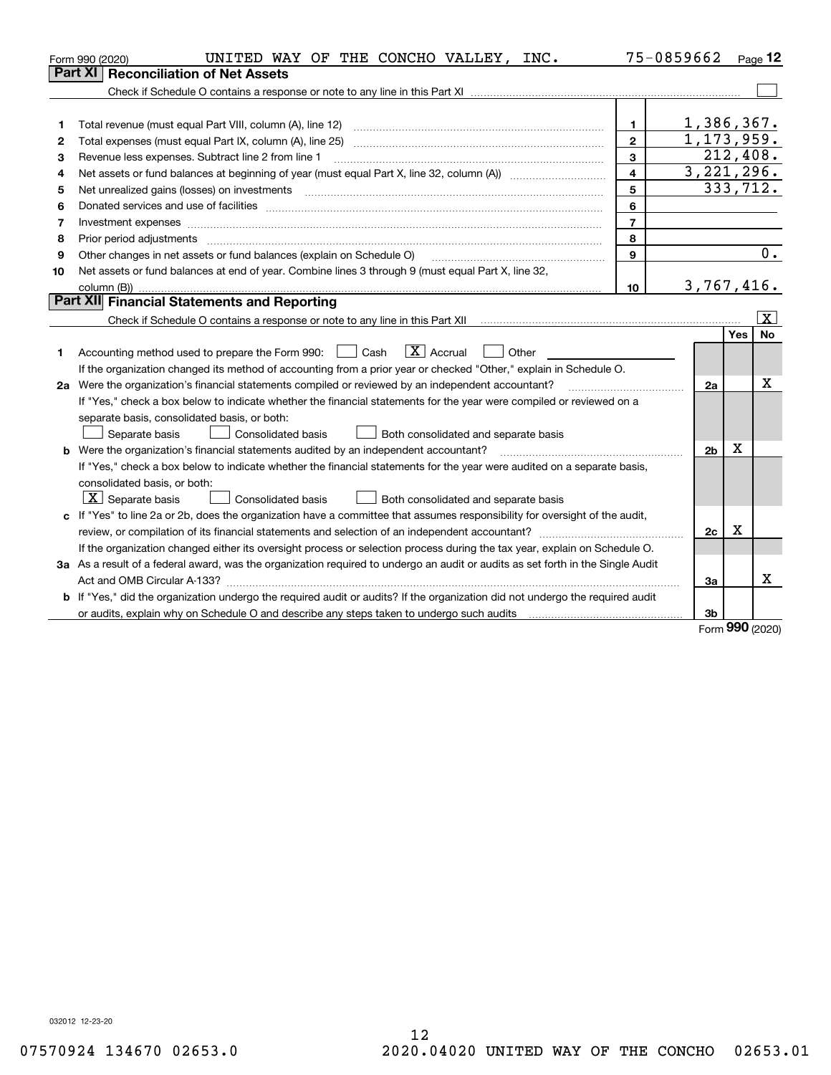|    | UNITED WAY OF THE CONCHO VALLEY, INC.<br>Form 990 (2020)                                                                                                                                                                       |                | 75-0859662     |     | Page 12                 |
|----|--------------------------------------------------------------------------------------------------------------------------------------------------------------------------------------------------------------------------------|----------------|----------------|-----|-------------------------|
|    | <b>Reconciliation of Net Assets</b><br>Part XI                                                                                                                                                                                 |                |                |     |                         |
|    |                                                                                                                                                                                                                                |                |                |     |                         |
|    |                                                                                                                                                                                                                                |                |                |     |                         |
| 1  | Total revenue (must equal Part VIII, column (A), line 12)                                                                                                                                                                      | 1.             | 1,386,367.     |     |                         |
| 2  |                                                                                                                                                                                                                                | $\mathbf{2}$   | 1, 173, 959.   |     |                         |
| з  | Revenue less expenses. Subtract line 2 from line 1                                                                                                                                                                             | 3              | 212,408.       |     |                         |
| 4  |                                                                                                                                                                                                                                | $\overline{4}$ | 3, 221, 296.   |     |                         |
| 5  | Net unrealized gains (losses) on investments [11] matter contracts and the state of the state of the state of the state of the state of the state of the state of the state of the state of the state of the state of the stat | 5              | 333,712.       |     |                         |
| 6  | Donated services and use of facilities [111] matter contracts and the service of facilities [11] matter contracts and use of facilities [11] matter contracts and the service of facilities [11] matter contracts and the serv | 6              |                |     |                         |
| 7  | Investment expenses                                                                                                                                                                                                            | $\overline{7}$ |                |     |                         |
| 8  | Prior period adjustments www.communication.communication.com/news/communication.com/news/communication.com/news/                                                                                                               | 8              |                |     |                         |
| 9  | Other changes in net assets or fund balances (explain on Schedule O)                                                                                                                                                           | 9              |                |     | 0.                      |
| 10 | Net assets or fund balances at end of year. Combine lines 3 through 9 (must equal Part X, line 32,                                                                                                                             |                |                |     |                         |
|    |                                                                                                                                                                                                                                | 10             | 3,767,416.     |     |                         |
|    | Part XII Financial Statements and Reporting                                                                                                                                                                                    |                |                |     |                         |
|    |                                                                                                                                                                                                                                |                |                |     | $\overline{\mathbf{X}}$ |
|    |                                                                                                                                                                                                                                |                |                | Yes | <b>No</b>               |
| 1. | $\boxed{\mathbf{X}}$ Accrual<br>Accounting method used to prepare the Form 990: <u>June</u> Cash<br>Other                                                                                                                      |                |                |     |                         |
|    | If the organization changed its method of accounting from a prior year or checked "Other," explain in Schedule O.                                                                                                              |                |                |     |                         |
|    | 2a Were the organization's financial statements compiled or reviewed by an independent accountant?                                                                                                                             |                | 2a             |     | x                       |
|    | If "Yes," check a box below to indicate whether the financial statements for the year were compiled or reviewed on a                                                                                                           |                |                |     |                         |
|    | separate basis, consolidated basis, or both:                                                                                                                                                                                   |                |                |     |                         |
|    | Separate basis<br>Consolidated basis<br>Both consolidated and separate basis                                                                                                                                                   |                |                |     |                         |
|    | <b>b</b> Were the organization's financial statements audited by an independent accountant?                                                                                                                                    |                | 2 <sub>b</sub> | х   |                         |
|    | If "Yes," check a box below to indicate whether the financial statements for the year were audited on a separate basis,                                                                                                        |                |                |     |                         |
|    | consolidated basis, or both:                                                                                                                                                                                                   |                |                |     |                         |
|    | $X$ Separate basis<br>Consolidated basis<br>Both consolidated and separate basis                                                                                                                                               |                |                |     |                         |
|    | c If "Yes" to line 2a or 2b, does the organization have a committee that assumes responsibility for oversight of the audit,                                                                                                    |                |                |     |                         |
|    |                                                                                                                                                                                                                                |                | 2c             | х   |                         |
|    | If the organization changed either its oversight process or selection process during the tax year, explain on Schedule O.                                                                                                      |                |                |     |                         |
|    | 3a As a result of a federal award, was the organization required to undergo an audit or audits as set forth in the Single Audit                                                                                                |                |                |     |                         |
|    |                                                                                                                                                                                                                                |                | За             |     | Χ                       |
|    | b If "Yes," did the organization undergo the required audit or audits? If the organization did not undergo the required audit                                                                                                  |                |                |     |                         |
|    |                                                                                                                                                                                                                                |                | 3 <sub>b</sub> |     |                         |

Form (2020) **990**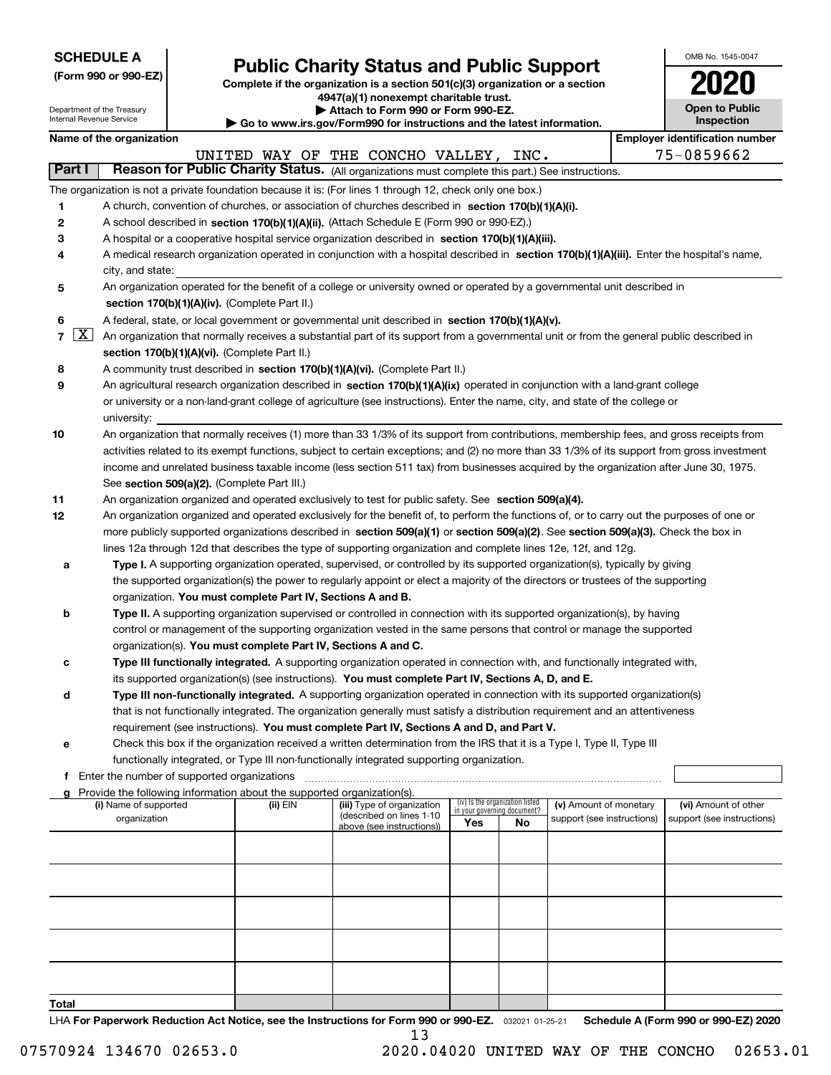|  |  |  |  |  |  |  |  |  | <b>SCHEDULE A</b> |  |
|--|--|--|--|--|--|--|--|--|-------------------|--|
|--|--|--|--|--|--|--|--|--|-------------------|--|

| (Form 990 or 990-EZ) |  |  |  |  |
|----------------------|--|--|--|--|
|----------------------|--|--|--|--|

# **Public Charity Status and Public Support**

**Complete if the organization is a section 501(c)(3) organization or a section 4947(a)(1) nonexempt charitable trust.**

| OMB No. 1545-0047                   |
|-------------------------------------|
| 112                                 |
| <b>Open to Public</b><br>Inspection |

|        | Department of the Treasury<br>Internal Revenue Service                                                                                                  |                                                                                                                                                                            | Attach to Form 990 or Form 990-EZ.<br>Go to www.irs.gov/Form990 for instructions and the latest information.                    |                                    |                                 |                            |  |                                                     |  |  |  |  |  |
|--------|---------------------------------------------------------------------------------------------------------------------------------------------------------|----------------------------------------------------------------------------------------------------------------------------------------------------------------------------|---------------------------------------------------------------------------------------------------------------------------------|------------------------------------|---------------------------------|----------------------------|--|-----------------------------------------------------|--|--|--|--|--|
|        | Name of the organization                                                                                                                                |                                                                                                                                                                            |                                                                                                                                 |                                    |                                 |                            |  | Inspection<br><b>Employer identification number</b> |  |  |  |  |  |
|        |                                                                                                                                                         |                                                                                                                                                                            | UNITED WAY OF THE CONCHO VALLEY, INC.                                                                                           |                                    |                                 |                            |  | 75-0859662                                          |  |  |  |  |  |
| Part I |                                                                                                                                                         |                                                                                                                                                                            | Reason for Public Charity Status. (All organizations must complete this part.) See instructions.                                |                                    |                                 |                            |  |                                                     |  |  |  |  |  |
|        | The organization is not a private foundation because it is: (For lines 1 through 12, check only one box.)                                               |                                                                                                                                                                            |                                                                                                                                 |                                    |                                 |                            |  |                                                     |  |  |  |  |  |
| 1      | A church, convention of churches, or association of churches described in section 170(b)(1)(A)(i).                                                      |                                                                                                                                                                            |                                                                                                                                 |                                    |                                 |                            |  |                                                     |  |  |  |  |  |
| 2      | A school described in section 170(b)(1)(A)(ii). (Attach Schedule E (Form 990 or 990-EZ).)                                                               |                                                                                                                                                                            |                                                                                                                                 |                                    |                                 |                            |  |                                                     |  |  |  |  |  |
| 3      | A hospital or a cooperative hospital service organization described in section 170(b)(1)(A)(iii).                                                       |                                                                                                                                                                            |                                                                                                                                 |                                    |                                 |                            |  |                                                     |  |  |  |  |  |
| 4      | A medical research organization operated in conjunction with a hospital described in section 170(b)(1)(A)(iii). Enter the hospital's name,              |                                                                                                                                                                            |                                                                                                                                 |                                    |                                 |                            |  |                                                     |  |  |  |  |  |
|        |                                                                                                                                                         |                                                                                                                                                                            |                                                                                                                                 |                                    |                                 |                            |  |                                                     |  |  |  |  |  |
| 5      | city, and state:                                                                                                                                        |                                                                                                                                                                            |                                                                                                                                 |                                    |                                 |                            |  |                                                     |  |  |  |  |  |
|        |                                                                                                                                                         | An organization operated for the benefit of a college or university owned or operated by a governmental unit described in<br>section 170(b)(1)(A)(iv). (Complete Part II.) |                                                                                                                                 |                                    |                                 |                            |  |                                                     |  |  |  |  |  |
| 6      | A federal, state, or local government or governmental unit described in section 170(b)(1)(A)(v).                                                        |                                                                                                                                                                            |                                                                                                                                 |                                    |                                 |                            |  |                                                     |  |  |  |  |  |
|        | $7 \times$<br>An organization that normally receives a substantial part of its support from a governmental unit or from the general public described in |                                                                                                                                                                            |                                                                                                                                 |                                    |                                 |                            |  |                                                     |  |  |  |  |  |
|        | section 170(b)(1)(A)(vi). (Complete Part II.)                                                                                                           |                                                                                                                                                                            |                                                                                                                                 |                                    |                                 |                            |  |                                                     |  |  |  |  |  |
| 8      | A community trust described in section 170(b)(1)(A)(vi). (Complete Part II.)                                                                            |                                                                                                                                                                            |                                                                                                                                 |                                    |                                 |                            |  |                                                     |  |  |  |  |  |
| 9      | An agricultural research organization described in section 170(b)(1)(A)(ix) operated in conjunction with a land-grant college                           |                                                                                                                                                                            |                                                                                                                                 |                                    |                                 |                            |  |                                                     |  |  |  |  |  |
|        | or university or a non-land-grant college of agriculture (see instructions). Enter the name, city, and state of the college or                          |                                                                                                                                                                            |                                                                                                                                 |                                    |                                 |                            |  |                                                     |  |  |  |  |  |
|        | university:                                                                                                                                             |                                                                                                                                                                            |                                                                                                                                 |                                    |                                 |                            |  |                                                     |  |  |  |  |  |
| 10     | An organization that normally receives (1) more than 33 1/3% of its support from contributions, membership fees, and gross receipts from                |                                                                                                                                                                            |                                                                                                                                 |                                    |                                 |                            |  |                                                     |  |  |  |  |  |
|        | activities related to its exempt functions, subject to certain exceptions; and (2) no more than 33 1/3% of its support from gross investment            |                                                                                                                                                                            |                                                                                                                                 |                                    |                                 |                            |  |                                                     |  |  |  |  |  |
|        | income and unrelated business taxable income (less section 511 tax) from businesses acquired by the organization after June 30, 1975.                   |                                                                                                                                                                            |                                                                                                                                 |                                    |                                 |                            |  |                                                     |  |  |  |  |  |
|        | See section 509(a)(2). (Complete Part III.)                                                                                                             |                                                                                                                                                                            |                                                                                                                                 |                                    |                                 |                            |  |                                                     |  |  |  |  |  |
| 11     | An organization organized and operated exclusively to test for public safety. See section 509(a)(4).                                                    |                                                                                                                                                                            |                                                                                                                                 |                                    |                                 |                            |  |                                                     |  |  |  |  |  |
| 12     | An organization organized and operated exclusively for the benefit of, to perform the functions of, or to carry out the purposes of one or              |                                                                                                                                                                            |                                                                                                                                 |                                    |                                 |                            |  |                                                     |  |  |  |  |  |
|        | more publicly supported organizations described in section 509(a)(1) or section 509(a)(2). See section 509(a)(3). Check the box in                      |                                                                                                                                                                            |                                                                                                                                 |                                    |                                 |                            |  |                                                     |  |  |  |  |  |
|        | lines 12a through 12d that describes the type of supporting organization and complete lines 12e, 12f, and 12g.                                          |                                                                                                                                                                            |                                                                                                                                 |                                    |                                 |                            |  |                                                     |  |  |  |  |  |
| а      |                                                                                                                                                         |                                                                                                                                                                            | Type I. A supporting organization operated, supervised, or controlled by its supported organization(s), typically by giving     |                                    |                                 |                            |  |                                                     |  |  |  |  |  |
|        |                                                                                                                                                         |                                                                                                                                                                            | the supported organization(s) the power to regularly appoint or elect a majority of the directors or trustees of the supporting |                                    |                                 |                            |  |                                                     |  |  |  |  |  |
|        | organization. You must complete Part IV, Sections A and B.                                                                                              |                                                                                                                                                                            |                                                                                                                                 |                                    |                                 |                            |  |                                                     |  |  |  |  |  |
| b      |                                                                                                                                                         |                                                                                                                                                                            | Type II. A supporting organization supervised or controlled in connection with its supported organization(s), by having         |                                    |                                 |                            |  |                                                     |  |  |  |  |  |
|        |                                                                                                                                                         |                                                                                                                                                                            | control or management of the supporting organization vested in the same persons that control or manage the supported            |                                    |                                 |                            |  |                                                     |  |  |  |  |  |
|        | organization(s). You must complete Part IV, Sections A and C.                                                                                           |                                                                                                                                                                            |                                                                                                                                 |                                    |                                 |                            |  |                                                     |  |  |  |  |  |
| с      |                                                                                                                                                         |                                                                                                                                                                            | Type III functionally integrated. A supporting organization operated in connection with, and functionally integrated with,      |                                    |                                 |                            |  |                                                     |  |  |  |  |  |
|        |                                                                                                                                                         |                                                                                                                                                                            | its supported organization(s) (see instructions). You must complete Part IV, Sections A, D, and E.                              |                                    |                                 |                            |  |                                                     |  |  |  |  |  |
| d      |                                                                                                                                                         |                                                                                                                                                                            | Type III non-functionally integrated. A supporting organization operated in connection with its supported organization(s)       |                                    |                                 |                            |  |                                                     |  |  |  |  |  |
|        |                                                                                                                                                         |                                                                                                                                                                            | that is not functionally integrated. The organization generally must satisfy a distribution requirement and an attentiveness    |                                    |                                 |                            |  |                                                     |  |  |  |  |  |
|        |                                                                                                                                                         |                                                                                                                                                                            | requirement (see instructions). You must complete Part IV, Sections A and D, and Part V.                                        |                                    |                                 |                            |  |                                                     |  |  |  |  |  |
| е      |                                                                                                                                                         |                                                                                                                                                                            | Check this box if the organization received a written determination from the IRS that it is a Type I, Type II, Type III         |                                    |                                 |                            |  |                                                     |  |  |  |  |  |
|        |                                                                                                                                                         |                                                                                                                                                                            | functionally integrated, or Type III non-functionally integrated supporting organization.                                       |                                    |                                 |                            |  |                                                     |  |  |  |  |  |
|        | <b>f</b> Enter the number of supported organizations                                                                                                    |                                                                                                                                                                            |                                                                                                                                 |                                    |                                 |                            |  |                                                     |  |  |  |  |  |
| a      | Provide the following information about the supported organization(s).<br>(i) Name of supported                                                         | (ii) EIN                                                                                                                                                                   | (iii) Type of organization                                                                                                      |                                    | (iv) Is the organization listed | (v) Amount of monetary     |  | (vi) Amount of other                                |  |  |  |  |  |
|        | organization                                                                                                                                            |                                                                                                                                                                            | (described on lines 1-10                                                                                                        | in your governing document?<br>Yes | No                              | support (see instructions) |  | support (see instructions)                          |  |  |  |  |  |
|        |                                                                                                                                                         |                                                                                                                                                                            | above (see instructions))                                                                                                       |                                    |                                 |                            |  |                                                     |  |  |  |  |  |
|        |                                                                                                                                                         |                                                                                                                                                                            |                                                                                                                                 |                                    |                                 |                            |  |                                                     |  |  |  |  |  |
|        |                                                                                                                                                         |                                                                                                                                                                            |                                                                                                                                 |                                    |                                 |                            |  |                                                     |  |  |  |  |  |
|        |                                                                                                                                                         |                                                                                                                                                                            |                                                                                                                                 |                                    |                                 |                            |  |                                                     |  |  |  |  |  |
|        |                                                                                                                                                         |                                                                                                                                                                            |                                                                                                                                 |                                    |                                 |                            |  |                                                     |  |  |  |  |  |
|        |                                                                                                                                                         |                                                                                                                                                                            |                                                                                                                                 |                                    |                                 |                            |  |                                                     |  |  |  |  |  |
|        |                                                                                                                                                         |                                                                                                                                                                            |                                                                                                                                 |                                    |                                 |                            |  |                                                     |  |  |  |  |  |
|        |                                                                                                                                                         |                                                                                                                                                                            |                                                                                                                                 |                                    |                                 |                            |  |                                                     |  |  |  |  |  |
|        |                                                                                                                                                         |                                                                                                                                                                            |                                                                                                                                 |                                    |                                 |                            |  |                                                     |  |  |  |  |  |

**Total**

LHA For Paperwork Reduction Act Notice, see the Instructions for Form 990 or 990-EZ. <sub>032021</sub> o1-25-21 Schedule A (Form 990 or 990-EZ) 2020 13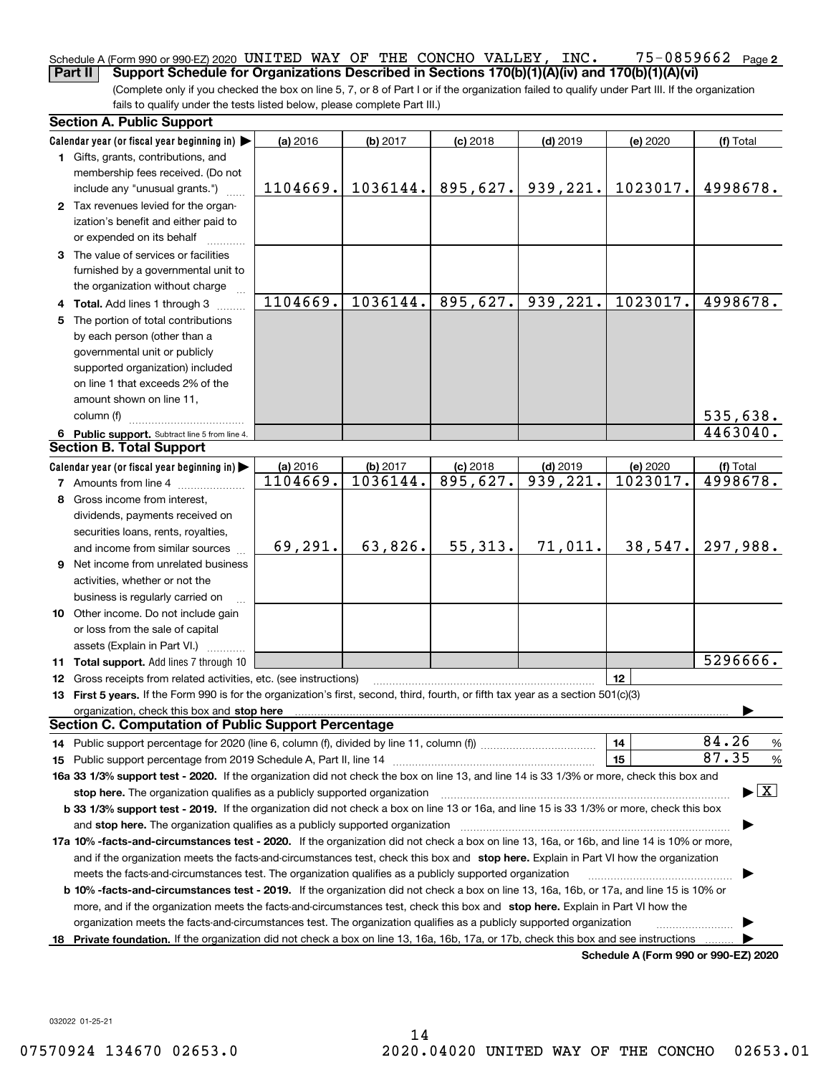### **2** Schedule A (Form 990 or 990-EZ) 2020 UNITED WAY OF THE CONCHO VALLEY, INC. UNITED WAY OF THE CONCHO VALLEY, INC. 75-0859662

(Complete only if you checked the box on line 5, 7, or 8 of Part I or if the organization failed to qualify under Part III. If the organization fails to qualify under the tests listed below, please complete Part III.) **Part II Support Schedule for Organizations Described in Sections 170(b)(1)(A)(iv) and 170(b)(1)(A)(vi)**

|   | <b>Section A. Public Support</b>                                                                                                                                                                                                                                                             |                      |                      |            |                        |                                      |                                          |  |  |
|---|----------------------------------------------------------------------------------------------------------------------------------------------------------------------------------------------------------------------------------------------------------------------------------------------|----------------------|----------------------|------------|------------------------|--------------------------------------|------------------------------------------|--|--|
|   | Calendar year (or fiscal year beginning in) $\blacktriangleright$                                                                                                                                                                                                                            | (a) 2016             | (b) 2017             | $(c)$ 2018 | $(d)$ 2019             | (e) 2020                             | (f) Total                                |  |  |
|   | 1 Gifts, grants, contributions, and                                                                                                                                                                                                                                                          |                      |                      |            |                        |                                      |                                          |  |  |
|   | membership fees received. (Do not                                                                                                                                                                                                                                                            |                      |                      |            |                        |                                      |                                          |  |  |
|   | include any "unusual grants.")                                                                                                                                                                                                                                                               | 1104669.             | 1036144.             | 895,627.   | 939,221.               | 1023017.                             | 4998678.                                 |  |  |
|   | 2 Tax revenues levied for the organ-                                                                                                                                                                                                                                                         |                      |                      |            |                        |                                      |                                          |  |  |
|   | ization's benefit and either paid to                                                                                                                                                                                                                                                         |                      |                      |            |                        |                                      |                                          |  |  |
|   | or expended on its behalf                                                                                                                                                                                                                                                                    |                      |                      |            |                        |                                      |                                          |  |  |
|   | 3 The value of services or facilities                                                                                                                                                                                                                                                        |                      |                      |            |                        |                                      |                                          |  |  |
|   | furnished by a governmental unit to                                                                                                                                                                                                                                                          |                      |                      |            |                        |                                      |                                          |  |  |
|   | the organization without charge                                                                                                                                                                                                                                                              |                      |                      |            |                        |                                      |                                          |  |  |
|   | 4 Total. Add lines 1 through 3                                                                                                                                                                                                                                                               | 1104669.             | 1036144.             | 895,627.   | 939,221.               | 1023017.                             | 4998678.                                 |  |  |
|   | 5 The portion of total contributions                                                                                                                                                                                                                                                         |                      |                      |            |                        |                                      |                                          |  |  |
|   | by each person (other than a                                                                                                                                                                                                                                                                 |                      |                      |            |                        |                                      |                                          |  |  |
|   | governmental unit or publicly                                                                                                                                                                                                                                                                |                      |                      |            |                        |                                      |                                          |  |  |
|   | supported organization) included                                                                                                                                                                                                                                                             |                      |                      |            |                        |                                      |                                          |  |  |
|   | on line 1 that exceeds 2% of the                                                                                                                                                                                                                                                             |                      |                      |            |                        |                                      |                                          |  |  |
|   | amount shown on line 11,                                                                                                                                                                                                                                                                     |                      |                      |            |                        |                                      |                                          |  |  |
|   | column (f)                                                                                                                                                                                                                                                                                   |                      |                      |            |                        |                                      | 535,638.                                 |  |  |
|   | 6 Public support. Subtract line 5 from line 4.                                                                                                                                                                                                                                               |                      |                      |            |                        |                                      | 4463040.                                 |  |  |
|   | <b>Section B. Total Support</b>                                                                                                                                                                                                                                                              |                      |                      |            |                        |                                      |                                          |  |  |
|   | Calendar year (or fiscal year beginning in) $\blacktriangleright$                                                                                                                                                                                                                            | (a) 2016<br>1104669. | (b) 2017<br>1036144. | $(c)$ 2018 | $(d)$ 2019<br>939,221. | (e) 2020<br>1023017.                 | (f) Total<br>4998678.                    |  |  |
|   | <b>7</b> Amounts from line 4                                                                                                                                                                                                                                                                 |                      |                      | 895,627.   |                        |                                      |                                          |  |  |
| 8 | Gross income from interest,                                                                                                                                                                                                                                                                  |                      |                      |            |                        |                                      |                                          |  |  |
|   | dividends, payments received on                                                                                                                                                                                                                                                              |                      |                      |            |                        |                                      |                                          |  |  |
|   | securities loans, rents, royalties,                                                                                                                                                                                                                                                          |                      |                      |            |                        |                                      |                                          |  |  |
|   | and income from similar sources                                                                                                                                                                                                                                                              | 69,291.              | 63,826.              | 55, 313.   | 71,011.                | 38,547.                              | 297,988.                                 |  |  |
|   | <b>9</b> Net income from unrelated business                                                                                                                                                                                                                                                  |                      |                      |            |                        |                                      |                                          |  |  |
|   | activities, whether or not the                                                                                                                                                                                                                                                               |                      |                      |            |                        |                                      |                                          |  |  |
|   | business is regularly carried on                                                                                                                                                                                                                                                             |                      |                      |            |                        |                                      |                                          |  |  |
|   | 10 Other income. Do not include gain                                                                                                                                                                                                                                                         |                      |                      |            |                        |                                      |                                          |  |  |
|   | or loss from the sale of capital                                                                                                                                                                                                                                                             |                      |                      |            |                        |                                      |                                          |  |  |
|   | assets (Explain in Part VI.)                                                                                                                                                                                                                                                                 |                      |                      |            |                        |                                      | 5296666.                                 |  |  |
|   | 11 Total support. Add lines 7 through 10                                                                                                                                                                                                                                                     |                      |                      |            |                        |                                      |                                          |  |  |
|   | <b>12</b> Gross receipts from related activities, etc. (see instructions)                                                                                                                                                                                                                    |                      |                      |            |                        | 12                                   |                                          |  |  |
|   | 13 First 5 years. If the Form 990 is for the organization's first, second, third, fourth, or fifth tax year as a section 501(c)(3)                                                                                                                                                           |                      |                      |            |                        |                                      |                                          |  |  |
|   | organization, check this box and stop here manufactured and according to the state of the state of the state of the state of the state of the state of the state of the state of the state of the state of the state of the st<br><b>Section C. Computation of Public Support Percentage</b> |                      |                      |            |                        |                                      |                                          |  |  |
|   |                                                                                                                                                                                                                                                                                              |                      |                      |            |                        | 14                                   | 84.26                                    |  |  |
|   |                                                                                                                                                                                                                                                                                              |                      |                      |            |                        | 15                                   | %<br>87.35                               |  |  |
|   | 16a 33 1/3% support test - 2020. If the organization did not check the box on line 13, and line 14 is 33 1/3% or more, check this box and                                                                                                                                                    |                      |                      |            |                        |                                      | $\%$                                     |  |  |
|   |                                                                                                                                                                                                                                                                                              |                      |                      |            |                        |                                      | $\blacktriangleright$ $\boxed{\text{X}}$ |  |  |
|   | stop here. The organization qualifies as a publicly supported organization                                                                                                                                                                                                                   |                      |                      |            |                        |                                      |                                          |  |  |
|   | b 33 1/3% support test - 2019. If the organization did not check a box on line 13 or 16a, and line 15 is 33 1/3% or more, check this box                                                                                                                                                     |                      |                      |            |                        |                                      |                                          |  |  |
|   | and stop here. The organization qualifies as a publicly supported organization                                                                                                                                                                                                               |                      |                      |            |                        |                                      |                                          |  |  |
|   | 17a 10% -facts-and-circumstances test - 2020. If the organization did not check a box on line 13, 16a, or 16b, and line 14 is 10% or more,                                                                                                                                                   |                      |                      |            |                        |                                      |                                          |  |  |
|   | and if the organization meets the facts-and-circumstances test, check this box and stop here. Explain in Part VI how the organization<br>meets the facts-and-circumstances test. The organization qualifies as a publicly supported organization                                             |                      |                      |            |                        |                                      |                                          |  |  |
|   |                                                                                                                                                                                                                                                                                              |                      |                      |            |                        |                                      |                                          |  |  |
|   | <b>b 10% -facts-and-circumstances test - 2019.</b> If the organization did not check a box on line 13, 16a, 16b, or 17a, and line 15 is 10% or                                                                                                                                               |                      |                      |            |                        |                                      |                                          |  |  |
|   | more, and if the organization meets the facts-and-circumstances test, check this box and stop here. Explain in Part VI how the                                                                                                                                                               |                      |                      |            |                        |                                      |                                          |  |  |
|   | organization meets the facts-and-circumstances test. The organization qualifies as a publicly supported organization                                                                                                                                                                         |                      |                      |            |                        |                                      |                                          |  |  |
|   | 18 Private foundation. If the organization did not check a box on line 13, 16a, 16b, 17a, or 17b, check this box and see instructions                                                                                                                                                        |                      |                      |            |                        | Schedule A (Form 990 or 990-F7) 2020 |                                          |  |  |

**Schedule A (Form 990 or 990-EZ) 2020**

032022 01-25-21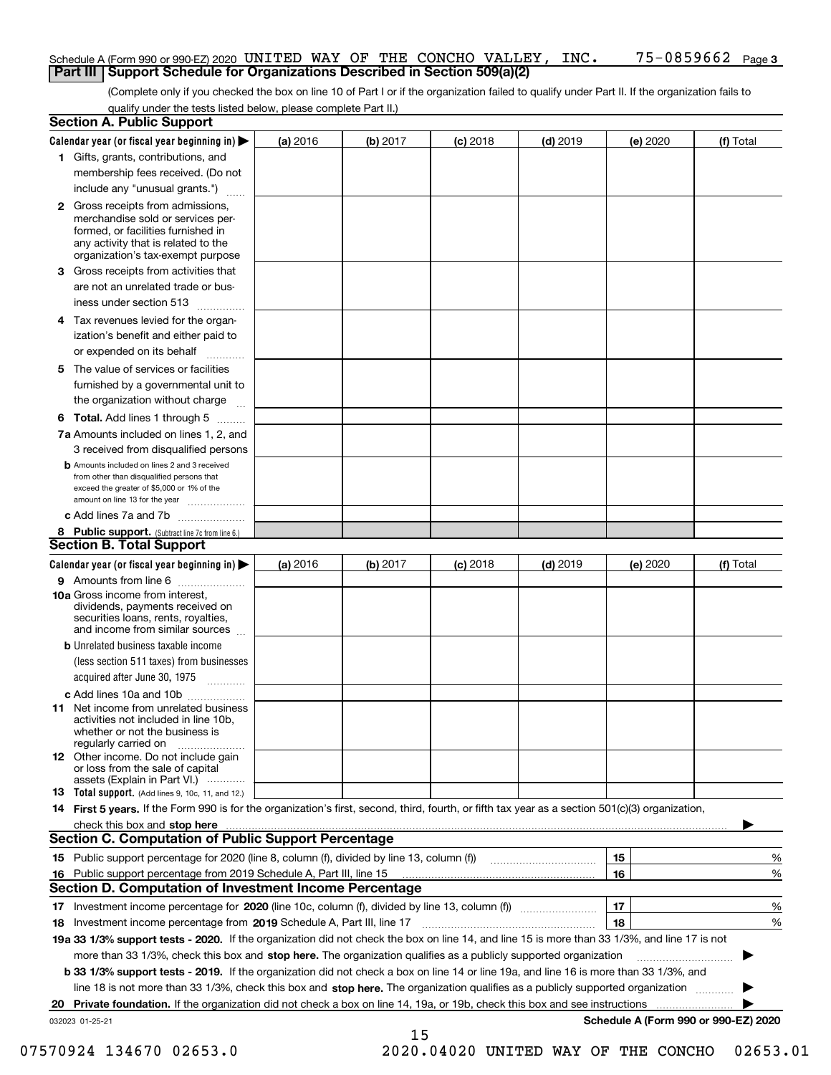### Schedule A (Form 990 or 990-EZ) 2020 UNITED WAY OF THE CONCHO VALLEY , INC • 75–0859662 Page<br>UPart III I Support Schedule for Organizations Described in Section 509(a)(2) **Part III** | Support Schedule for Organizations Described in Section 509(a)(2)

(Complete only if you checked the box on line 10 of Part I or if the organization failed to qualify under Part II. If the organization fails to qualify under the tests listed below, please complete Part II.)

|    | <b>Section A. Public Support</b>                                                                                                                                                                                                    |            |          |            |            |          |                                      |
|----|-------------------------------------------------------------------------------------------------------------------------------------------------------------------------------------------------------------------------------------|------------|----------|------------|------------|----------|--------------------------------------|
|    | Calendar year (or fiscal year beginning in) $\blacktriangleright$                                                                                                                                                                   | $(a)$ 2016 | (b) 2017 | $(c)$ 2018 | $(d)$ 2019 | (e) 2020 | (f) Total                            |
|    | 1 Gifts, grants, contributions, and                                                                                                                                                                                                 |            |          |            |            |          |                                      |
|    | membership fees received. (Do not                                                                                                                                                                                                   |            |          |            |            |          |                                      |
|    | include any "unusual grants.")                                                                                                                                                                                                      |            |          |            |            |          |                                      |
|    | <b>2</b> Gross receipts from admissions,<br>merchandise sold or services per-<br>formed, or facilities furnished in<br>any activity that is related to the<br>organization's tax-exempt purpose                                     |            |          |            |            |          |                                      |
|    | 3 Gross receipts from activities that<br>are not an unrelated trade or bus-                                                                                                                                                         |            |          |            |            |          |                                      |
|    | iness under section 513                                                                                                                                                                                                             |            |          |            |            |          |                                      |
|    | 4 Tax revenues levied for the organ-<br>ization's benefit and either paid to                                                                                                                                                        |            |          |            |            |          |                                      |
|    | or expended on its behalf<br>.                                                                                                                                                                                                      |            |          |            |            |          |                                      |
|    | 5 The value of services or facilities<br>furnished by a governmental unit to<br>the organization without charge                                                                                                                     |            |          |            |            |          |                                      |
|    | <b>6 Total.</b> Add lines 1 through 5                                                                                                                                                                                               |            |          |            |            |          |                                      |
|    | 7a Amounts included on lines 1, 2, and<br>3 received from disqualified persons                                                                                                                                                      |            |          |            |            |          |                                      |
|    | <b>b</b> Amounts included on lines 2 and 3 received<br>from other than disqualified persons that<br>exceed the greater of \$5,000 or 1% of the<br>amount on line 13 for the year                                                    |            |          |            |            |          |                                      |
|    | c Add lines 7a and 7b                                                                                                                                                                                                               |            |          |            |            |          |                                      |
|    | 8 Public support. (Subtract line 7c from line 6.)<br><b>Section B. Total Support</b>                                                                                                                                                |            |          |            |            |          |                                      |
|    | Calendar year (or fiscal year beginning in) $\blacktriangleright$                                                                                                                                                                   | (a) 2016   | (b) 2017 | $(c)$ 2018 | $(d)$ 2019 | (e) 2020 | (f) Total                            |
|    | 9 Amounts from line 6                                                                                                                                                                                                               |            |          |            |            |          |                                      |
|    | 10a Gross income from interest,<br>dividends, payments received on<br>securities loans, rents, royalties,<br>and income from similar sources                                                                                        |            |          |            |            |          |                                      |
|    | <b>b</b> Unrelated business taxable income<br>(less section 511 taxes) from businesses                                                                                                                                              |            |          |            |            |          |                                      |
|    | acquired after June 30, 1975                                                                                                                                                                                                        |            |          |            |            |          |                                      |
|    | c Add lines 10a and 10b<br>11 Net income from unrelated business<br>activities not included in line 10b,<br>whether or not the business is<br>regularly carried on                                                                  |            |          |            |            |          |                                      |
|    | <b>12</b> Other income. Do not include gain<br>or loss from the sale of capital<br>assets (Explain in Part VI.)                                                                                                                     |            |          |            |            |          |                                      |
|    | 13 Total support. (Add lines 9, 10c, 11, and 12.)                                                                                                                                                                                   |            |          |            |            |          |                                      |
|    | 14 First 5 years. If the Form 990 is for the organization's first, second, third, fourth, or fifth tax year as a section 501(c)(3) organization,                                                                                    |            |          |            |            |          |                                      |
|    | check this box and stop here <b>contractly constructed</b> that the state of the state of the state of the state of the state of the state of the state of the state of the state of the state of the state of the state of the sta |            |          |            |            |          |                                      |
|    | <b>Section C. Computation of Public Support Percentage</b>                                                                                                                                                                          |            |          |            |            |          |                                      |
|    |                                                                                                                                                                                                                                     |            |          |            |            | 15       | %                                    |
| 16 | Public support percentage from 2019 Schedule A, Part III, line 15                                                                                                                                                                   |            |          |            |            | 16       | %                                    |
|    | <b>Section D. Computation of Investment Income Percentage</b>                                                                                                                                                                       |            |          |            |            |          |                                      |
| 17 | Investment income percentage for 2020 (line 10c, column (f), divided by line 13, column (f))                                                                                                                                        |            |          |            |            | 17       | %                                    |
|    | 18 Investment income percentage from 2019 Schedule A, Part III, line 17                                                                                                                                                             |            |          |            |            | 18       | %                                    |
|    | 19a 33 1/3% support tests - 2020. If the organization did not check the box on line 14, and line 15 is more than 33 1/3%, and line 17 is not                                                                                        |            |          |            |            |          |                                      |
|    | more than 33 1/3%, check this box and stop here. The organization qualifies as a publicly supported organization                                                                                                                    |            |          |            |            |          |                                      |
|    | b 33 1/3% support tests - 2019. If the organization did not check a box on line 14 or line 19a, and line 16 is more than 33 1/3%, and                                                                                               |            |          |            |            |          |                                      |
|    | line 18 is not more than 33 1/3%, check this box and stop here. The organization qualifies as a publicly supported organization <i></i>                                                                                             |            |          |            |            |          |                                      |
|    | 20 Private foundation. If the organization did not check a box on line 14, 19a, or 19b, check this box and see instructions                                                                                                         |            |          |            |            |          |                                      |
|    | 032023 01-25-21                                                                                                                                                                                                                     |            | 15       |            |            |          | Schedule A (Form 990 or 990-EZ) 2020 |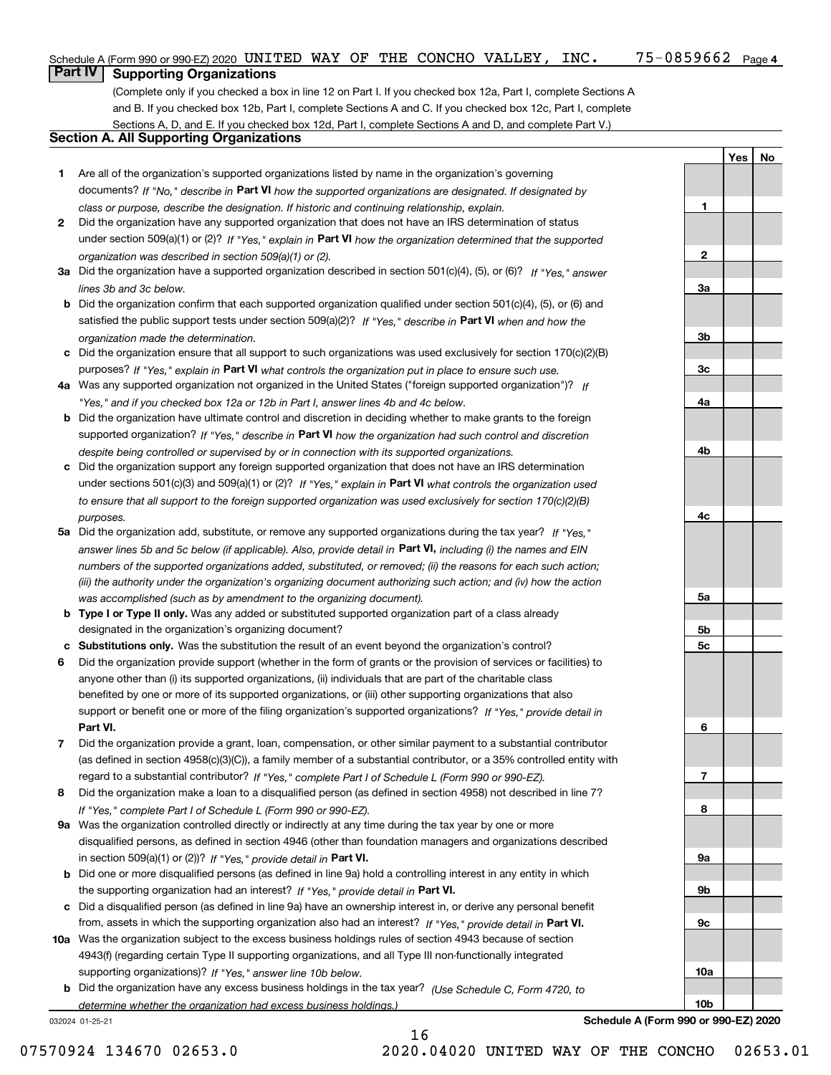(Complete only if you checked a box in line 12 on Part I. If you checked box 12a, Part I, complete Sections A and B. If you checked box 12b, Part I, complete Sections A and C. If you checked box 12c, Part I, complete Sections A, D, and E. If you checked box 12d, Part I, complete Sections A and D, and complete Part V.)

### **Section A. All Supporting Organizations**

- **1** Are all of the organization's supported organizations listed by name in the organization's governing documents? If "No," describe in **Part VI** how the supported organizations are designated. If designated by *class or purpose, describe the designation. If historic and continuing relationship, explain.*
- **2** Did the organization have any supported organization that does not have an IRS determination of status under section 509(a)(1) or (2)? If "Yes," explain in Part VI how the organization determined that the supported *organization was described in section 509(a)(1) or (2).*
- **3a** Did the organization have a supported organization described in section 501(c)(4), (5), or (6)? If "Yes," answer *lines 3b and 3c below.*
- **b** Did the organization confirm that each supported organization qualified under section 501(c)(4), (5), or (6) and satisfied the public support tests under section 509(a)(2)? If "Yes," describe in **Part VI** when and how the *organization made the determination.*
- **c**Did the organization ensure that all support to such organizations was used exclusively for section 170(c)(2)(B) purposes? If "Yes," explain in **Part VI** what controls the organization put in place to ensure such use.
- **4a***If* Was any supported organization not organized in the United States ("foreign supported organization")? *"Yes," and if you checked box 12a or 12b in Part I, answer lines 4b and 4c below.*
- **b** Did the organization have ultimate control and discretion in deciding whether to make grants to the foreign supported organization? If "Yes," describe in **Part VI** how the organization had such control and discretion *despite being controlled or supervised by or in connection with its supported organizations.*
- **c** Did the organization support any foreign supported organization that does not have an IRS determination under sections 501(c)(3) and 509(a)(1) or (2)? If "Yes," explain in **Part VI** what controls the organization used *to ensure that all support to the foreign supported organization was used exclusively for section 170(c)(2)(B) purposes.*
- **5a** Did the organization add, substitute, or remove any supported organizations during the tax year? If "Yes," answer lines 5b and 5c below (if applicable). Also, provide detail in **Part VI,** including (i) the names and EIN *numbers of the supported organizations added, substituted, or removed; (ii) the reasons for each such action; (iii) the authority under the organization's organizing document authorizing such action; and (iv) how the action was accomplished (such as by amendment to the organizing document).*
- **b** Type I or Type II only. Was any added or substituted supported organization part of a class already designated in the organization's organizing document?
- **cSubstitutions only.**  Was the substitution the result of an event beyond the organization's control?
- **6** Did the organization provide support (whether in the form of grants or the provision of services or facilities) to **Part VI.** *If "Yes," provide detail in* support or benefit one or more of the filing organization's supported organizations? anyone other than (i) its supported organizations, (ii) individuals that are part of the charitable class benefited by one or more of its supported organizations, or (iii) other supporting organizations that also
- **7**Did the organization provide a grant, loan, compensation, or other similar payment to a substantial contributor *If "Yes," complete Part I of Schedule L (Form 990 or 990-EZ).* regard to a substantial contributor? (as defined in section 4958(c)(3)(C)), a family member of a substantial contributor, or a 35% controlled entity with
- **8** Did the organization make a loan to a disqualified person (as defined in section 4958) not described in line 7? *If "Yes," complete Part I of Schedule L (Form 990 or 990-EZ).*
- **9a** Was the organization controlled directly or indirectly at any time during the tax year by one or more in section 509(a)(1) or (2))? If "Yes," *provide detail in* <code>Part VI.</code> disqualified persons, as defined in section 4946 (other than foundation managers and organizations described
- **b** Did one or more disqualified persons (as defined in line 9a) hold a controlling interest in any entity in which the supporting organization had an interest? If "Yes," provide detail in P**art VI**.
- **c**Did a disqualified person (as defined in line 9a) have an ownership interest in, or derive any personal benefit from, assets in which the supporting organization also had an interest? If "Yes," provide detail in P**art VI.**
- **10a** Was the organization subject to the excess business holdings rules of section 4943 because of section supporting organizations)? If "Yes," answer line 10b below. 4943(f) (regarding certain Type II supporting organizations, and all Type III non-functionally integrated
- **b** Did the organization have any excess business holdings in the tax year? (Use Schedule C, Form 4720, to *determine whether the organization had excess business holdings.)*

16

032024 01-25-21

**Schedule A (Form 990 or 990-EZ) 2020**

**Yes No**

**1**

**2**

**3a**

**3b**

**3c**

**4a**

**4b**

**4c**

**5a**

**5b5c**

**6**

**7**

**8**

**9a**

**9b**

**9c**

**10a**

**10b**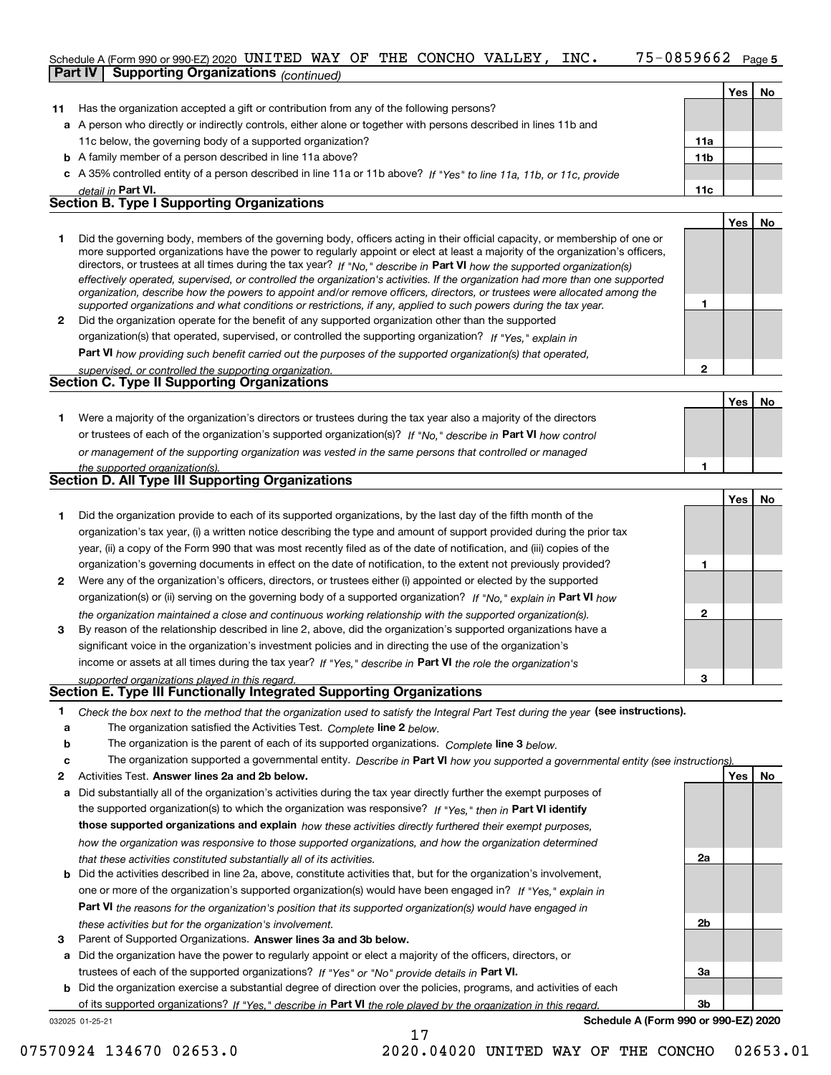### 75-0859662 Page 5 Schedule A (Form 990 or 990-EZ) 2020 UNITED WAY OF THE CONCHO VALLEY, INC. 75-0859662 Page<br>Part IV Supporting Organizations / www.assex.com **Part IV Supporting Organizations** *(continued)*

|    |                                                                                                                                                                                                                                                                                                                                                                                                                                                                                                                                                                                                                                                                                             |                 | Yes   | <b>No</b> |
|----|---------------------------------------------------------------------------------------------------------------------------------------------------------------------------------------------------------------------------------------------------------------------------------------------------------------------------------------------------------------------------------------------------------------------------------------------------------------------------------------------------------------------------------------------------------------------------------------------------------------------------------------------------------------------------------------------|-----------------|-------|-----------|
| 11 | Has the organization accepted a gift or contribution from any of the following persons?                                                                                                                                                                                                                                                                                                                                                                                                                                                                                                                                                                                                     |                 |       |           |
|    | a A person who directly or indirectly controls, either alone or together with persons described in lines 11b and                                                                                                                                                                                                                                                                                                                                                                                                                                                                                                                                                                            |                 |       |           |
|    | 11c below, the governing body of a supported organization?                                                                                                                                                                                                                                                                                                                                                                                                                                                                                                                                                                                                                                  | 11a             |       |           |
|    | <b>b</b> A family member of a person described in line 11a above?                                                                                                                                                                                                                                                                                                                                                                                                                                                                                                                                                                                                                           | 11 <sub>b</sub> |       |           |
|    | c A 35% controlled entity of a person described in line 11a or 11b above? If "Yes" to line 11a, 11b, or 11c, provide                                                                                                                                                                                                                                                                                                                                                                                                                                                                                                                                                                        |                 |       |           |
|    | detail in Part VI.                                                                                                                                                                                                                                                                                                                                                                                                                                                                                                                                                                                                                                                                          | 11c             |       |           |
|    | <b>Section B. Type I Supporting Organizations</b>                                                                                                                                                                                                                                                                                                                                                                                                                                                                                                                                                                                                                                           |                 |       |           |
|    |                                                                                                                                                                                                                                                                                                                                                                                                                                                                                                                                                                                                                                                                                             |                 | Yes l | No        |
|    | Did the governing body, members of the governing body, officers acting in their official capacity, or membership of one or<br>more supported organizations have the power to regularly appoint or elect at least a majority of the organization's officers,<br>$\mathbf{P} = \mathbf{P} = \mathbf{P} = \mathbf{P} = \mathbf{P} = \mathbf{P} = \mathbf{P} = \mathbf{P} = \mathbf{P} = \mathbf{P} = \mathbf{P} = \mathbf{P} = \mathbf{P} = \mathbf{P} = \mathbf{P} = \mathbf{P} = \mathbf{P} = \mathbf{P} = \mathbf{P} = \mathbf{P} = \mathbf{P} = \mathbf{P} = \mathbf{P} = \mathbf{P} = \mathbf{P} = \mathbf{P} = \mathbf{P} = \mathbf{P} = \mathbf{P} = \mathbf{P} = \mathbf{P} = \mathbf$ |                 |       |           |

|              | directors, or trustees at all times during the tax year? If "No," describe in Part VI how the supported organization(s)        |
|--------------|--------------------------------------------------------------------------------------------------------------------------------|
|              | effectively operated, supervised, or controlled the organization's activities. If the organization had more than one supported |
|              | organization, describe how the powers to appoint and/or remove officers, directors, or trustees were allocated among the       |
|              | supported organizations and what conditions or restrictions, if any, applied to such powers during the tax year.               |
| $\mathbf{2}$ | Did the organization operate for the benefit of any supported organization other than the supported                            |
|              | organization(s) that operated, supervised, or controlled the supporting organization? If "Yes," explain in                     |
|              |                                                                                                                                |

**Part VI**  *how providing such benefit carried out the purposes of the supported organization(s) that operated,*

| supervised, or controlled the supporting organization. |  |
|--------------------------------------------------------|--|
| <b>Section C. Type II Supporting Organizations</b>     |  |

|                                                                                                                  |  | . No |
|------------------------------------------------------------------------------------------------------------------|--|------|
| Were a majority of the organization's directors or trustees during the tax year also a majority of the directors |  |      |
| or trustees of each of the organization's supported organization(s)? If "No," describe in Part VI how control    |  |      |
| or management of the supporting organization was vested in the same persons that controlled or managed           |  |      |
| the supported organization(s).                                                                                   |  |      |
| Section D. All Type III Supporting Organizations                                                                 |  |      |

|    | <b>OCONOM D. All Type In Oupporting Organizations</b>                                                                  |
|----|------------------------------------------------------------------------------------------------------------------------|
|    |                                                                                                                        |
|    | Did the organization provide to each of its supported organizations, by the last day of the fifth month of the         |
|    | organization's tax year, (i) a written notice describing the type and amount of support provided during the prior tax  |
|    | year, (ii) a copy of the Form 990 that was most recently filed as of the date of notification, and (iii) copies of the |
|    | organization's governing documents in effect on the date of notification, to the extent not previously provided?       |
| 2. | Were any of the organization's officers, directors, or trustees either (i) appointed or elected by the supported       |
|    | $\alpha$                                                                                                               |

| organization(s) or (ii) serving on the governing body of a supported organization? If "No." explain in Part VI how |              |
|--------------------------------------------------------------------------------------------------------------------|--------------|
| the organization maintained a close and continuous working relationship with the supported organization(s).        | $\mathbf{2}$ |
| By reason of the relationship described in line 2, above, did the organization's supported organizations have a    |              |
| significant voice in the organization's investment policies and in directing the use of the organization's         |              |
| income or assets at all times during the tax year? If "Yes," describe in Part VI the role the organization's       |              |

*supported organizations played in this regard.*

### **Section E. Type III Functionally Integrated Supporting Organizations**

| Check the box next to the method that the organization used to satisfy the Integral Part Test during the year (see instructions). |
|-----------------------------------------------------------------------------------------------------------------------------------|
| The organization satisfied the Activities Test. Complete line 2 below.                                                            |

**b**The organization is the parent of each of its supported organizations. *Complete* line 3 below.<br>The state of the state of the state of the state of the state of the state of the state of the state of the state of the state

|  | The organization supported a governmental entity. Describe in Part VI how you supported a governmental entity (see instructions). |  |
|--|-----------------------------------------------------------------------------------------------------------------------------------|--|
|  |                                                                                                                                   |  |

17

- **2**Activities Test.
- **Activities Test. Answer lines 2a and 2b below.**<br>**a** Did substantially all of the organization's activities during the tax year directly further the exempt purposes of the supported organization(s) to which the organization was responsive? If "Yes," then in **Part VI identify those supported organizations and explain**  *how these activities directly furthered their exempt purposes, how the organization was responsive to those supported organizations, and how the organization determined that these activities constituted substantially all of its activities.*
- **b** Did the activities described in line 2a, above, constitute activities that, but for the organization's involvement, **Part VI**  *the reasons for the organization's position that its supported organization(s) would have engaged in* one or more of the organization's supported organization(s) would have been engaged in? If "Yes," e*xplain in these activities but for the organization's involvement.*
- **3** Parent of Supported Organizations. Answer lines 3a and 3b below.

**a** Did the organization have the power to regularly appoint or elect a majority of the officers, directors, or trustees of each of the supported organizations? If "Yes" or "No" provide details in **Part VI.** 

032025 01-25-21 **b** Did the organization exercise a substantial degree of direction over the policies, programs, and activities of each **Part VI**  *If "Yes," describe in the role played by the organization in this regard.* of its supported organizations?

**Schedule A (Form 990 or 990-EZ) 2020**

**1**

**2**

**1**

**3**

**2a**

**2b**

**3a**

**3b**

**Yes No**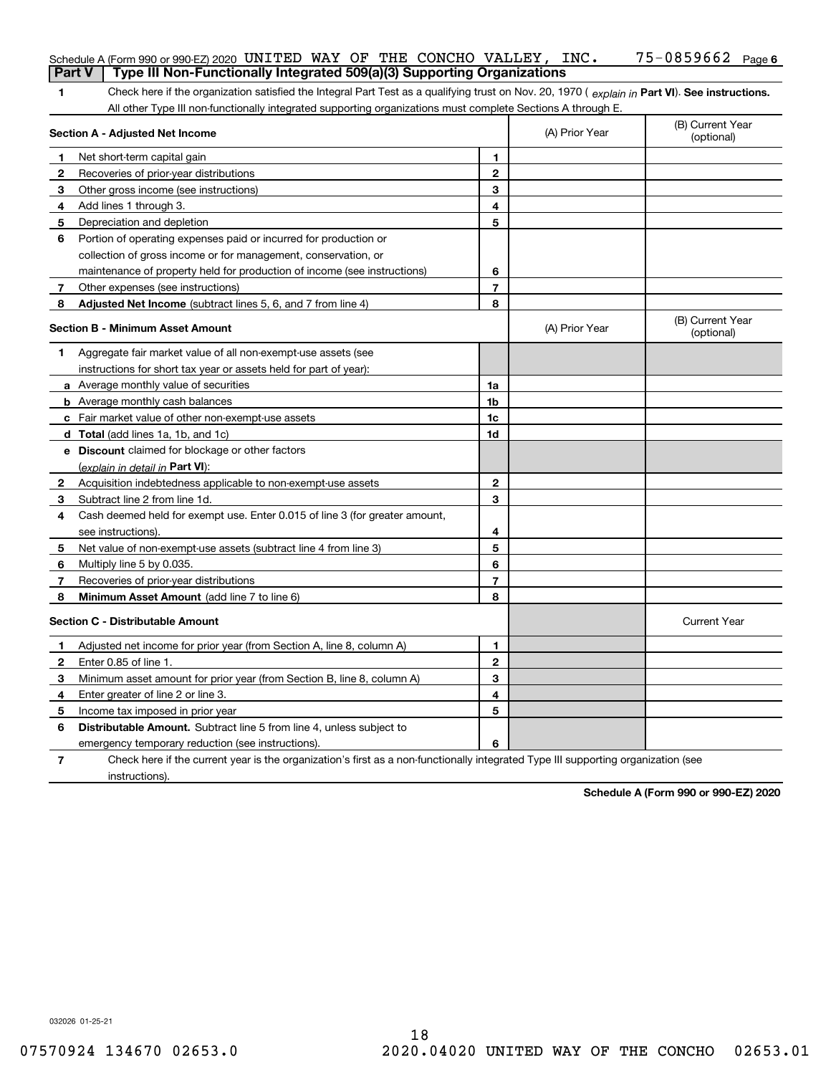| <b>Part V</b> | Schedule A (Form 990 or 990-EZ) 2020 UNITED WAY OF THE CONCHO VALLEY, $INC$ .<br>Type III Non-Functionally Integrated 509(a)(3) Supporting Organizations |                          |                | $75 - 0859662$ Page 6          |
|---------------|----------------------------------------------------------------------------------------------------------------------------------------------------------|--------------------------|----------------|--------------------------------|
| 1.            | Check here if the organization satisfied the Integral Part Test as a qualifying trust on Nov. 20, 1970 (explain in Part VI). See instructions.           |                          |                |                                |
|               | All other Type III non-functionally integrated supporting organizations must complete Sections A through E.                                              |                          |                |                                |
|               | Section A - Adjusted Net Income                                                                                                                          |                          | (A) Prior Year | (B) Current Year<br>(optional) |
| 1             | Net short-term capital gain                                                                                                                              | 1                        |                |                                |
| 2             | Recoveries of prior-year distributions                                                                                                                   | $\overline{2}$           |                |                                |
| 3             | Other gross income (see instructions)                                                                                                                    | 3                        |                |                                |
| 4             | Add lines 1 through 3.                                                                                                                                   | 4                        |                |                                |
| 5             | Depreciation and depletion                                                                                                                               | 5                        |                |                                |
| 6             | Portion of operating expenses paid or incurred for production or                                                                                         |                          |                |                                |
|               | collection of gross income or for management, conservation, or                                                                                           |                          |                |                                |
|               | maintenance of property held for production of income (see instructions)                                                                                 | 6                        |                |                                |
| $\mathbf{7}$  | Other expenses (see instructions)                                                                                                                        | 7                        |                |                                |
| 8             | Adjusted Net Income (subtract lines 5, 6, and 7 from line 4)                                                                                             | 8                        |                |                                |
|               | <b>Section B - Minimum Asset Amount</b>                                                                                                                  |                          | (A) Prior Year | (B) Current Year<br>(optional) |
| 1             | Aggregate fair market value of all non-exempt-use assets (see                                                                                            |                          |                |                                |
|               | instructions for short tax year or assets held for part of year):                                                                                        |                          |                |                                |
|               | a Average monthly value of securities                                                                                                                    | 1a                       |                |                                |
|               | <b>b</b> Average monthly cash balances                                                                                                                   | 1b                       |                |                                |
|               | c Fair market value of other non-exempt-use assets                                                                                                       | 1c                       |                |                                |
|               | <b>d</b> Total (add lines 1a, 1b, and 1c)                                                                                                                | 1d                       |                |                                |
|               | <b>e</b> Discount claimed for blockage or other factors                                                                                                  |                          |                |                                |
|               | (explain in detail in Part VI):                                                                                                                          |                          |                |                                |
| 2             | Acquisition indebtedness applicable to non-exempt-use assets                                                                                             | $\mathbf{2}$             |                |                                |
| 3.            | Subtract line 2 from line 1d.                                                                                                                            | 3                        |                |                                |
| 4             | Cash deemed held for exempt use. Enter 0.015 of line 3 (for greater amount,                                                                              |                          |                |                                |
|               | see instructions).                                                                                                                                       | 4                        |                |                                |
| 5             | Net value of non-exempt-use assets (subtract line 4 from line 3)                                                                                         | 5                        |                |                                |
| 6             | Multiply line 5 by 0.035.                                                                                                                                | 6                        |                |                                |
| 7             | Recoveries of prior-year distributions                                                                                                                   | $\overline{\phantom{a}}$ |                |                                |
| 8             | Minimum Asset Amount (add line 7 to line 6)                                                                                                              | 8                        |                |                                |
|               | <b>Section C - Distributable Amount</b>                                                                                                                  |                          |                | <b>Current Year</b>            |
|               | Adjusted net income for prior year (from Section A, line 8, column A)                                                                                    | 1                        |                |                                |
| 2             | Enter 0.85 of line 1.                                                                                                                                    | 2                        |                |                                |
| 3.            | Minimum asset amount for prior year (from Section B, line 8, column A)                                                                                   | 3                        |                |                                |
| 4             | Enter greater of line 2 or line 3.                                                                                                                       | 4                        |                |                                |
|               | 5 Income tax imposed in prior year                                                                                                                       | 5                        |                |                                |
| 6             | <b>Distributable Amount.</b> Subtract line 5 from line 4, unless subject to                                                                              |                          |                |                                |
|               | emergency temporary reduction (see instructions).                                                                                                        | 6                        |                |                                |
| 7             | Check here if the current year is the organization's first as a non-functionally integrated Type III supporting organization (see                        |                          |                |                                |

**Schedule A (Form 990 or 990-EZ) 2020**

032026 01-25-21

instructions).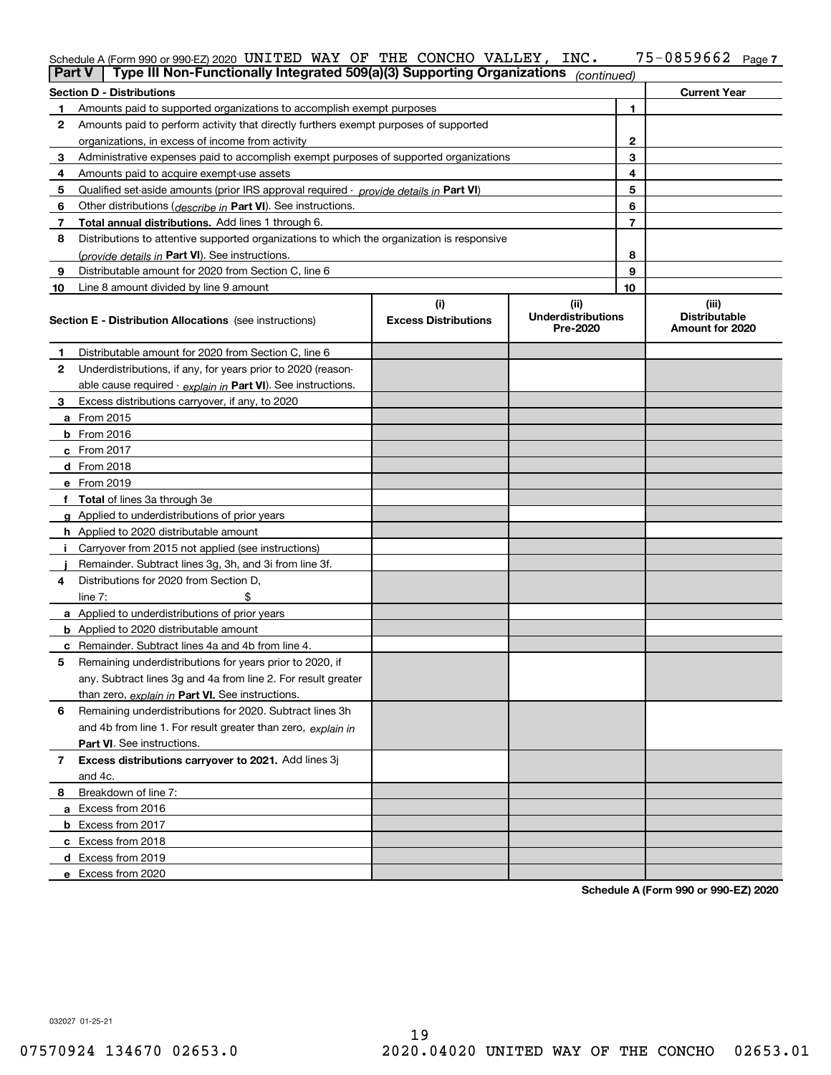| $Part V$ Type III Nep Eupotionally Integrated $E(00/a)(2)$ Supporting Organizations |  |  |  |                       |  |
|-------------------------------------------------------------------------------------|--|--|--|-----------------------|--|
| Schedule A (Form 990 or 990-EZ) 2020 UNITED WAY OF THE CONCHO VALLEY, INC.          |  |  |  | $75 - 0859662$ Page 7 |  |

| <b>Part V</b> | Type III Non-Functionally Integrated 509(a)(3) Supporting Organizations                       |                             | (continued)                           |    |                                         |
|---------------|-----------------------------------------------------------------------------------------------|-----------------------------|---------------------------------------|----|-----------------------------------------|
|               | <b>Section D - Distributions</b>                                                              |                             |                                       |    | <b>Current Year</b>                     |
| 1             | Amounts paid to supported organizations to accomplish exempt purposes                         |                             | 1                                     |    |                                         |
| 2             | Amounts paid to perform activity that directly furthers exempt purposes of supported          |                             |                                       |    |                                         |
|               | organizations, in excess of income from activity                                              |                             | $\mathbf{2}$                          |    |                                         |
| 3             | Administrative expenses paid to accomplish exempt purposes of supported organizations         |                             | 3                                     |    |                                         |
| 4             | Amounts paid to acquire exempt-use assets                                                     |                             | 4                                     |    |                                         |
| 5             | Qualified set-aside amounts (prior IRS approval required - <i>provide details in</i> Part VI) |                             |                                       | 5  |                                         |
| 6             | Other distributions ( <i>describe in</i> Part VI). See instructions.                          |                             |                                       | 6  |                                         |
| 7             | Total annual distributions. Add lines 1 through 6.                                            |                             |                                       | 7  |                                         |
| 8             | Distributions to attentive supported organizations to which the organization is responsive    |                             |                                       |    |                                         |
|               | (provide details in Part VI). See instructions.                                               |                             |                                       | 8  |                                         |
| 9             | Distributable amount for 2020 from Section C, line 6                                          |                             |                                       | 9  |                                         |
| 10            | Line 8 amount divided by line 9 amount                                                        |                             |                                       | 10 |                                         |
|               |                                                                                               | (i)                         | (ii)                                  |    | (iii)                                   |
|               | <b>Section E - Distribution Allocations</b> (see instructions)                                | <b>Excess Distributions</b> | <b>Underdistributions</b><br>Pre-2020 |    | <b>Distributable</b><br>Amount for 2020 |
| 1             | Distributable amount for 2020 from Section C, line 6                                          |                             |                                       |    |                                         |
| 2             | Underdistributions, if any, for years prior to 2020 (reason-                                  |                             |                                       |    |                                         |
|               | able cause required - explain in Part VI). See instructions.                                  |                             |                                       |    |                                         |
| 3             | Excess distributions carryover, if any, to 2020                                               |                             |                                       |    |                                         |
|               | a From 2015                                                                                   |                             |                                       |    |                                         |
|               | <b>b</b> From 2016                                                                            |                             |                                       |    |                                         |
|               | $c$ From 2017                                                                                 |                             |                                       |    |                                         |
|               | d From 2018                                                                                   |                             |                                       |    |                                         |
|               | e From 2019                                                                                   |                             |                                       |    |                                         |
|               | f Total of lines 3a through 3e                                                                |                             |                                       |    |                                         |
|               | g Applied to underdistributions of prior years                                                |                             |                                       |    |                                         |
|               | <b>h</b> Applied to 2020 distributable amount                                                 |                             |                                       |    |                                         |
|               | Carryover from 2015 not applied (see instructions)                                            |                             |                                       |    |                                         |
|               | Remainder. Subtract lines 3g, 3h, and 3i from line 3f.                                        |                             |                                       |    |                                         |
| 4             | Distributions for 2020 from Section D,                                                        |                             |                                       |    |                                         |
|               | line $7:$                                                                                     |                             |                                       |    |                                         |
|               | a Applied to underdistributions of prior years                                                |                             |                                       |    |                                         |
|               | <b>b</b> Applied to 2020 distributable amount                                                 |                             |                                       |    |                                         |
|               | c Remainder. Subtract lines 4a and 4b from line 4.                                            |                             |                                       |    |                                         |
| 5.            | Remaining underdistributions for years prior to 2020, if                                      |                             |                                       |    |                                         |
|               | any. Subtract lines 3g and 4a from line 2. For result greater                                 |                             |                                       |    |                                         |
|               | than zero, explain in Part VI. See instructions.                                              |                             |                                       |    |                                         |
| 6             | Remaining underdistributions for 2020. Subtract lines 3h                                      |                             |                                       |    |                                         |
|               | and 4b from line 1. For result greater than zero, explain in                                  |                             |                                       |    |                                         |
|               | Part VI. See instructions.                                                                    |                             |                                       |    |                                         |
| 7             | Excess distributions carryover to 2021. Add lines 3j                                          |                             |                                       |    |                                         |
|               | and 4c.                                                                                       |                             |                                       |    |                                         |
| 8             | Breakdown of line 7:                                                                          |                             |                                       |    |                                         |
|               | a Excess from 2016                                                                            |                             |                                       |    |                                         |
|               | <b>b</b> Excess from 2017                                                                     |                             |                                       |    |                                         |
|               | c Excess from 2018                                                                            |                             |                                       |    |                                         |
|               | d Excess from 2019                                                                            |                             |                                       |    |                                         |
|               | e Excess from 2020                                                                            |                             |                                       |    |                                         |

**Schedule A (Form 990 or 990-EZ) 2020**

032027 01-25-21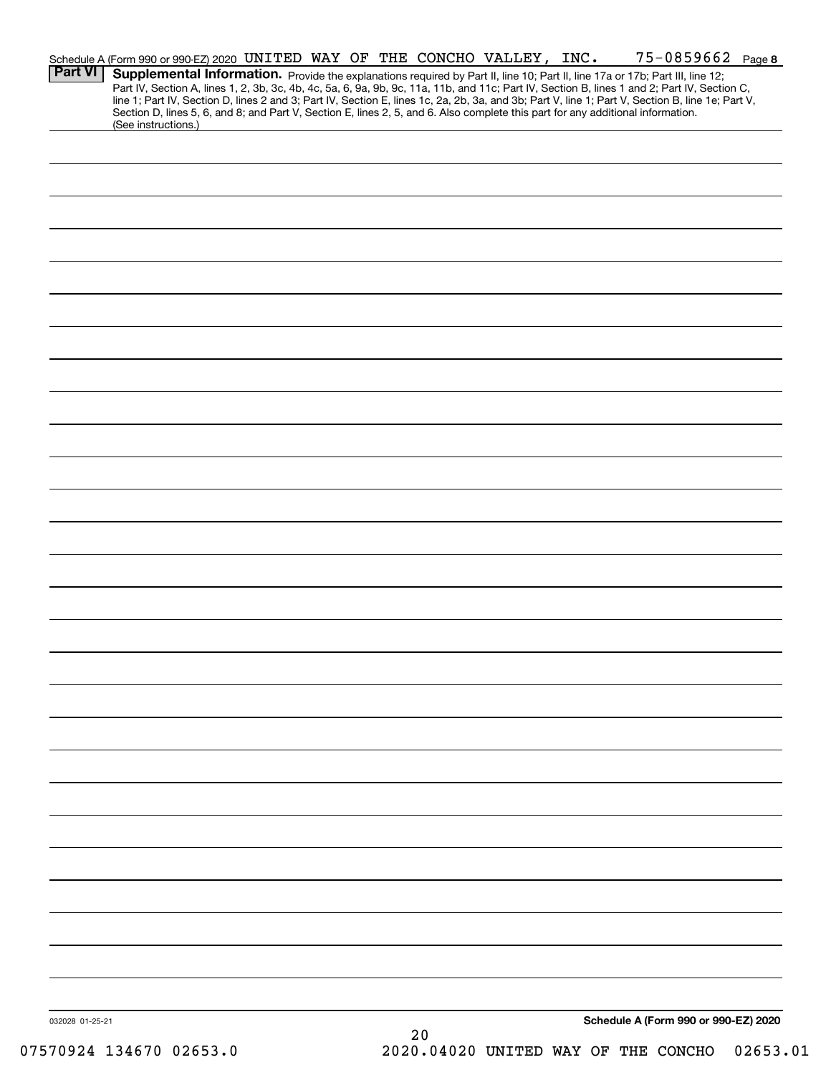|                 | Schedule A (Form 990 or 990-EZ) 2020 UNITED WAY OF THE CONCHO VALLEY, INC. |  |  |    |  | 75-0859662 Page 8                                                                                                                                                                                                                                                                                |  |
|-----------------|----------------------------------------------------------------------------|--|--|----|--|--------------------------------------------------------------------------------------------------------------------------------------------------------------------------------------------------------------------------------------------------------------------------------------------------|--|
| <b>Part VI</b>  |                                                                            |  |  |    |  | Supplemental Information. Provide the explanations required by Part II, line 10; Part II, line 17a or 17b; Part III, line 12;                                                                                                                                                                    |  |
|                 |                                                                            |  |  |    |  | Part IV, Section A, lines 1, 2, 3b, 3c, 4b, 4c, 5a, 6, 9a, 9b, 9c, 11a, 11b, and 11c; Part IV, Section B, lines 1 and 2; Part IV, Section C,<br>line 1; Part IV, Section D, lines 2 and 3; Part IV, Section E, lines 1c, 2a, 2b, 3a, and 3b; Part V, line 1; Part V, Section B, line 1e; Part V, |  |
|                 |                                                                            |  |  |    |  | Section D, lines 5, 6, and 8; and Part V, Section E, lines 2, 5, and 6. Also complete this part for any additional information.                                                                                                                                                                  |  |
|                 | (See instructions.)                                                        |  |  |    |  |                                                                                                                                                                                                                                                                                                  |  |
|                 |                                                                            |  |  |    |  |                                                                                                                                                                                                                                                                                                  |  |
|                 |                                                                            |  |  |    |  |                                                                                                                                                                                                                                                                                                  |  |
|                 |                                                                            |  |  |    |  |                                                                                                                                                                                                                                                                                                  |  |
|                 |                                                                            |  |  |    |  |                                                                                                                                                                                                                                                                                                  |  |
|                 |                                                                            |  |  |    |  |                                                                                                                                                                                                                                                                                                  |  |
|                 |                                                                            |  |  |    |  |                                                                                                                                                                                                                                                                                                  |  |
|                 |                                                                            |  |  |    |  |                                                                                                                                                                                                                                                                                                  |  |
|                 |                                                                            |  |  |    |  |                                                                                                                                                                                                                                                                                                  |  |
|                 |                                                                            |  |  |    |  |                                                                                                                                                                                                                                                                                                  |  |
|                 |                                                                            |  |  |    |  |                                                                                                                                                                                                                                                                                                  |  |
|                 |                                                                            |  |  |    |  |                                                                                                                                                                                                                                                                                                  |  |
|                 |                                                                            |  |  |    |  |                                                                                                                                                                                                                                                                                                  |  |
|                 |                                                                            |  |  |    |  |                                                                                                                                                                                                                                                                                                  |  |
|                 |                                                                            |  |  |    |  |                                                                                                                                                                                                                                                                                                  |  |
|                 |                                                                            |  |  |    |  |                                                                                                                                                                                                                                                                                                  |  |
|                 |                                                                            |  |  |    |  |                                                                                                                                                                                                                                                                                                  |  |
|                 |                                                                            |  |  |    |  |                                                                                                                                                                                                                                                                                                  |  |
|                 |                                                                            |  |  |    |  |                                                                                                                                                                                                                                                                                                  |  |
|                 |                                                                            |  |  |    |  |                                                                                                                                                                                                                                                                                                  |  |
|                 |                                                                            |  |  |    |  |                                                                                                                                                                                                                                                                                                  |  |
|                 |                                                                            |  |  |    |  |                                                                                                                                                                                                                                                                                                  |  |
|                 |                                                                            |  |  |    |  |                                                                                                                                                                                                                                                                                                  |  |
|                 |                                                                            |  |  |    |  |                                                                                                                                                                                                                                                                                                  |  |
|                 |                                                                            |  |  |    |  |                                                                                                                                                                                                                                                                                                  |  |
|                 |                                                                            |  |  |    |  |                                                                                                                                                                                                                                                                                                  |  |
|                 |                                                                            |  |  |    |  |                                                                                                                                                                                                                                                                                                  |  |
|                 |                                                                            |  |  |    |  |                                                                                                                                                                                                                                                                                                  |  |
|                 |                                                                            |  |  |    |  |                                                                                                                                                                                                                                                                                                  |  |
|                 |                                                                            |  |  |    |  |                                                                                                                                                                                                                                                                                                  |  |
|                 |                                                                            |  |  |    |  |                                                                                                                                                                                                                                                                                                  |  |
|                 |                                                                            |  |  |    |  |                                                                                                                                                                                                                                                                                                  |  |
|                 |                                                                            |  |  |    |  |                                                                                                                                                                                                                                                                                                  |  |
|                 |                                                                            |  |  |    |  |                                                                                                                                                                                                                                                                                                  |  |
|                 |                                                                            |  |  |    |  |                                                                                                                                                                                                                                                                                                  |  |
|                 |                                                                            |  |  |    |  |                                                                                                                                                                                                                                                                                                  |  |
|                 |                                                                            |  |  |    |  |                                                                                                                                                                                                                                                                                                  |  |
|                 |                                                                            |  |  |    |  |                                                                                                                                                                                                                                                                                                  |  |
|                 |                                                                            |  |  |    |  |                                                                                                                                                                                                                                                                                                  |  |
|                 |                                                                            |  |  |    |  |                                                                                                                                                                                                                                                                                                  |  |
|                 |                                                                            |  |  |    |  |                                                                                                                                                                                                                                                                                                  |  |
|                 |                                                                            |  |  |    |  |                                                                                                                                                                                                                                                                                                  |  |
|                 |                                                                            |  |  |    |  |                                                                                                                                                                                                                                                                                                  |  |
|                 |                                                                            |  |  |    |  |                                                                                                                                                                                                                                                                                                  |  |
|                 |                                                                            |  |  |    |  |                                                                                                                                                                                                                                                                                                  |  |
|                 |                                                                            |  |  |    |  |                                                                                                                                                                                                                                                                                                  |  |
|                 |                                                                            |  |  |    |  |                                                                                                                                                                                                                                                                                                  |  |
|                 |                                                                            |  |  |    |  |                                                                                                                                                                                                                                                                                                  |  |
|                 |                                                                            |  |  |    |  |                                                                                                                                                                                                                                                                                                  |  |
| 032028 01-25-21 |                                                                            |  |  |    |  | Schedule A (Form 990 or 990-EZ) 2020                                                                                                                                                                                                                                                             |  |
|                 |                                                                            |  |  | 20 |  |                                                                                                                                                                                                                                                                                                  |  |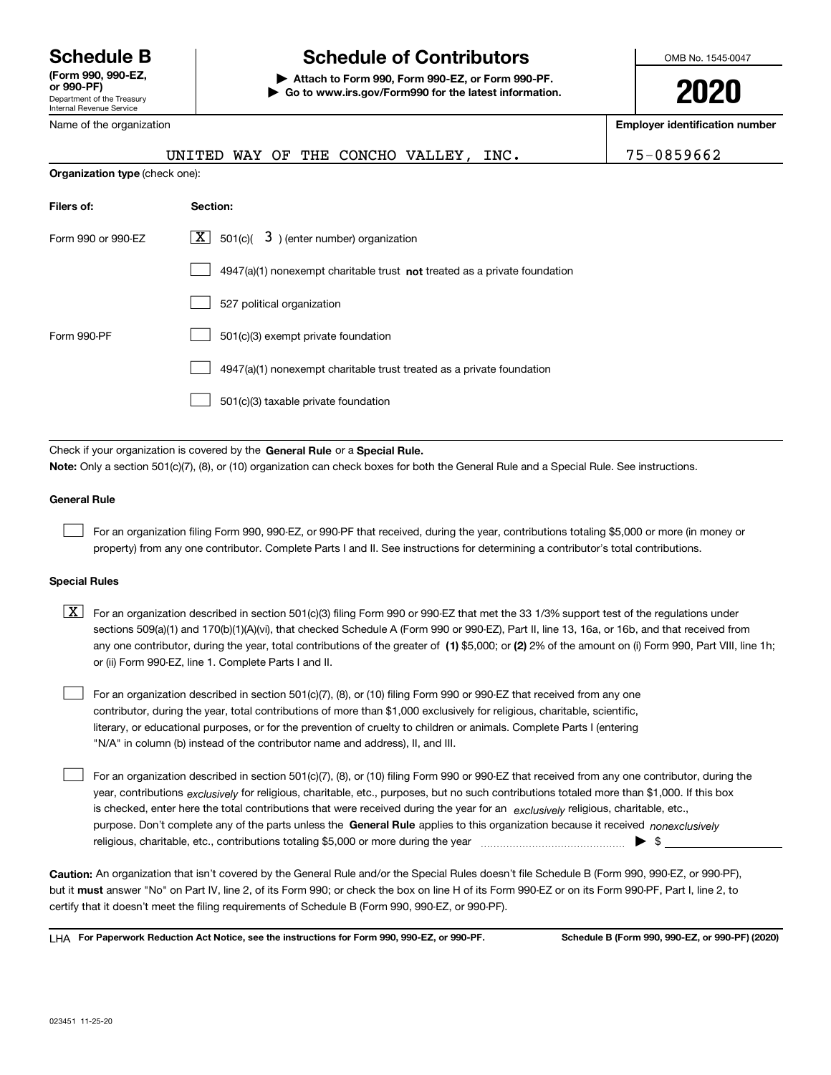Department of the Treasury Internal Revenue Service **(Form 990, 990-EZ, or 990-PF)** Name of the organization

# **Schedule B Schedule of Contributors**

**| Attach to Form 990, Form 990-EZ, or Form 990-PF. | Go to www.irs.gov/Form990 for the latest information.** OMB No. 1545-0047

**2020**

**Employer identification number**

|                                | UNITED WAY OF THE CONCHO VALLEY,<br>INC.                                                                                                                                                                                                                                                                                                                                                                                                                                                                  | 75-0859662 |  |  |  |  |  |  |
|--------------------------------|-----------------------------------------------------------------------------------------------------------------------------------------------------------------------------------------------------------------------------------------------------------------------------------------------------------------------------------------------------------------------------------------------------------------------------------------------------------------------------------------------------------|------------|--|--|--|--|--|--|
| Organization type (check one): |                                                                                                                                                                                                                                                                                                                                                                                                                                                                                                           |            |  |  |  |  |  |  |
| Filers of:                     | Section:                                                                                                                                                                                                                                                                                                                                                                                                                                                                                                  |            |  |  |  |  |  |  |
| Form 990 or 990-EZ             | $501(c)$ $3$ ) (enter number) organization<br> X                                                                                                                                                                                                                                                                                                                                                                                                                                                          |            |  |  |  |  |  |  |
|                                | 4947(a)(1) nonexempt charitable trust not treated as a private foundation                                                                                                                                                                                                                                                                                                                                                                                                                                 |            |  |  |  |  |  |  |
|                                | 527 political organization                                                                                                                                                                                                                                                                                                                                                                                                                                                                                |            |  |  |  |  |  |  |
| Form 990-PF                    | 501(c)(3) exempt private foundation                                                                                                                                                                                                                                                                                                                                                                                                                                                                       |            |  |  |  |  |  |  |
|                                | 4947(a)(1) nonexempt charitable trust treated as a private foundation                                                                                                                                                                                                                                                                                                                                                                                                                                     |            |  |  |  |  |  |  |
|                                | 501(c)(3) taxable private foundation                                                                                                                                                                                                                                                                                                                                                                                                                                                                      |            |  |  |  |  |  |  |
|                                |                                                                                                                                                                                                                                                                                                                                                                                                                                                                                                           |            |  |  |  |  |  |  |
|                                | Check if your organization is covered by the General Rule or a Special Rule.<br><b>Note:</b> Only a section 501(c)(7), (8), or (10) organization can check boxes for both the General Rule and a Special Rule. See instructions.                                                                                                                                                                                                                                                                          |            |  |  |  |  |  |  |
| <b>General Rule</b>            |                                                                                                                                                                                                                                                                                                                                                                                                                                                                                                           |            |  |  |  |  |  |  |
|                                | For an organization filing Form 990, 990-EZ, or 990-PF that received, during the year, contributions totaling \$5,000 or more (in money or<br>property) from any one contributor. Complete Parts I and II. See instructions for determining a contributor's total contributions.                                                                                                                                                                                                                          |            |  |  |  |  |  |  |
| <b>Special Rules</b>           |                                                                                                                                                                                                                                                                                                                                                                                                                                                                                                           |            |  |  |  |  |  |  |
| $\mid$ X $\mid$                | For an organization described in section 501(c)(3) filing Form 990 or 990-EZ that met the 33 1/3% support test of the regulations under<br>sections 509(a)(1) and 170(b)(1)(A)(vi), that checked Schedule A (Form 990 or 990-EZ), Part II, line 13, 16a, or 16b, and that received from<br>any one contributor, during the year, total contributions of the greater of (1) \$5,000; or (2) 2% of the amount on (i) Form 990, Part VIII, line 1h;<br>or (ii) Form 990-EZ, line 1. Complete Parts I and II. |            |  |  |  |  |  |  |
|                                | For an organization described in section 501(c)(7), (8), or (10) filing Form 990 or 990-EZ that received from any one<br>contributor, during the year, total contributions of more than \$1,000 exclusively for religious, charitable, scientific,<br>literary, or educational purposes, or for the prevention of cruelty to children or animals. Complete Parts I (entering<br>"N/A" in column (b) instead of the contributor name and address), II, and III.                                            |            |  |  |  |  |  |  |

purpose. Don't complete any of the parts unless the **General Rule** applies to this organization because it received *nonexclusively* year, contributions <sub>exclusively</sub> for religious, charitable, etc., purposes, but no such contributions totaled more than \$1,000. If this box is checked, enter here the total contributions that were received during the year for an  $\;$ exclusively religious, charitable, etc., For an organization described in section 501(c)(7), (8), or (10) filing Form 990 or 990-EZ that received from any one contributor, during the religious, charitable, etc., contributions totaling \$5,000 or more during the year  $\ldots$  $\ldots$  $\ldots$  $\ldots$  $\ldots$  $\ldots$  $\mathcal{L}^{\text{max}}$ 

**Caution:**  An organization that isn't covered by the General Rule and/or the Special Rules doesn't file Schedule B (Form 990, 990-EZ, or 990-PF),  **must** but it answer "No" on Part IV, line 2, of its Form 990; or check the box on line H of its Form 990-EZ or on its Form 990-PF, Part I, line 2, to certify that it doesn't meet the filing requirements of Schedule B (Form 990, 990-EZ, or 990-PF).

**For Paperwork Reduction Act Notice, see the instructions for Form 990, 990-EZ, or 990-PF. Schedule B (Form 990, 990-EZ, or 990-PF) (2020)** LHA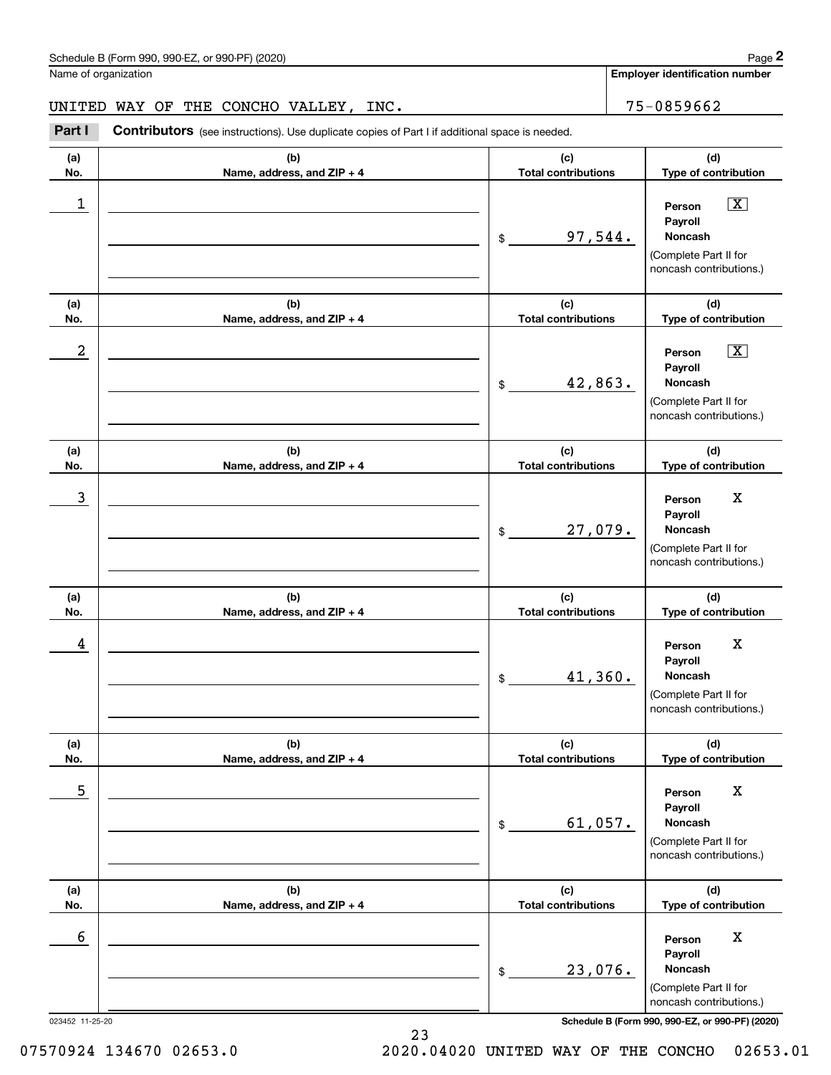**Employer identification number**

### UNITED WAY OF THE CONCHO VALLEY, INC. 75-0859662

Contributors (see instructions). Use duplicate copies of Part I if additional space is needed. **2** Chedule B (Form 990, 990-EZ, or 990-PF) (2020)<br> **2Part I CONCHO VALLEY, INC.**<br> **Part I Contributors** (see instructions). Use duplicate copies of Part I if additional space is needed.

| (a)<br>No.      | (b)<br>Name, address, and ZIP + 4 | (c)<br><b>Total contributions</b> | (d)<br>Type of contribution                                                                                   |
|-----------------|-----------------------------------|-----------------------------------|---------------------------------------------------------------------------------------------------------------|
| 1               |                                   | 97,544.<br>\$                     | $\overline{\mathbf{X}}$<br>Person<br>Payroll<br>Noncash<br>(Complete Part II for<br>noncash contributions.)   |
| (a)<br>No.      | (b)<br>Name, address, and ZIP + 4 | (c)<br><b>Total contributions</b> | (d)<br>Type of contribution                                                                                   |
| 2               |                                   | 42,863.<br>$\$$                   | $\boxed{\text{X}}$<br>Person<br>Payroll<br><b>Noncash</b><br>(Complete Part II for<br>noncash contributions.) |
| (a)<br>No.      | (b)<br>Name, address, and ZIP + 4 | (c)<br><b>Total contributions</b> | (d)<br>Type of contribution                                                                                   |
| 3               |                                   | 27,079.<br>\$                     | $\mathbf X$<br>Person<br>Payroll<br><b>Noncash</b><br>(Complete Part II for<br>noncash contributions.)        |
| (a)<br>No.      | (b)<br>Name, address, and ZIP + 4 | (c)<br><b>Total contributions</b> | (d)<br>Type of contribution                                                                                   |
| 4               |                                   | 41,360.<br>$\$$                   | X<br>Person<br>Payroll<br><b>Noncash</b><br>(Complete Part II for<br>noncash contributions.)                  |
| (a)<br>No.      | (b)<br>Name, address, and ZIP + 4 | (c)<br><b>Total contributions</b> | (d)<br>Type of contribution                                                                                   |
| 5               |                                   | 61,057.<br>\$                     | X<br>Person<br>Payroll<br>Noncash<br>(Complete Part II for<br>noncash contributions.)                         |
| (a)<br>No.      | (b)<br>Name, address, and ZIP + 4 | (c)<br><b>Total contributions</b> | (d)<br>Type of contribution                                                                                   |
| 6               |                                   | 23,076.<br>\$                     | X<br>Person<br>Payroll<br>Noncash<br>(Complete Part II for<br>noncash contributions.)                         |
| 023452 11-25-20 |                                   |                                   | Schedule B (Form 990, 990-EZ, or 990-PF) (2020)                                                               |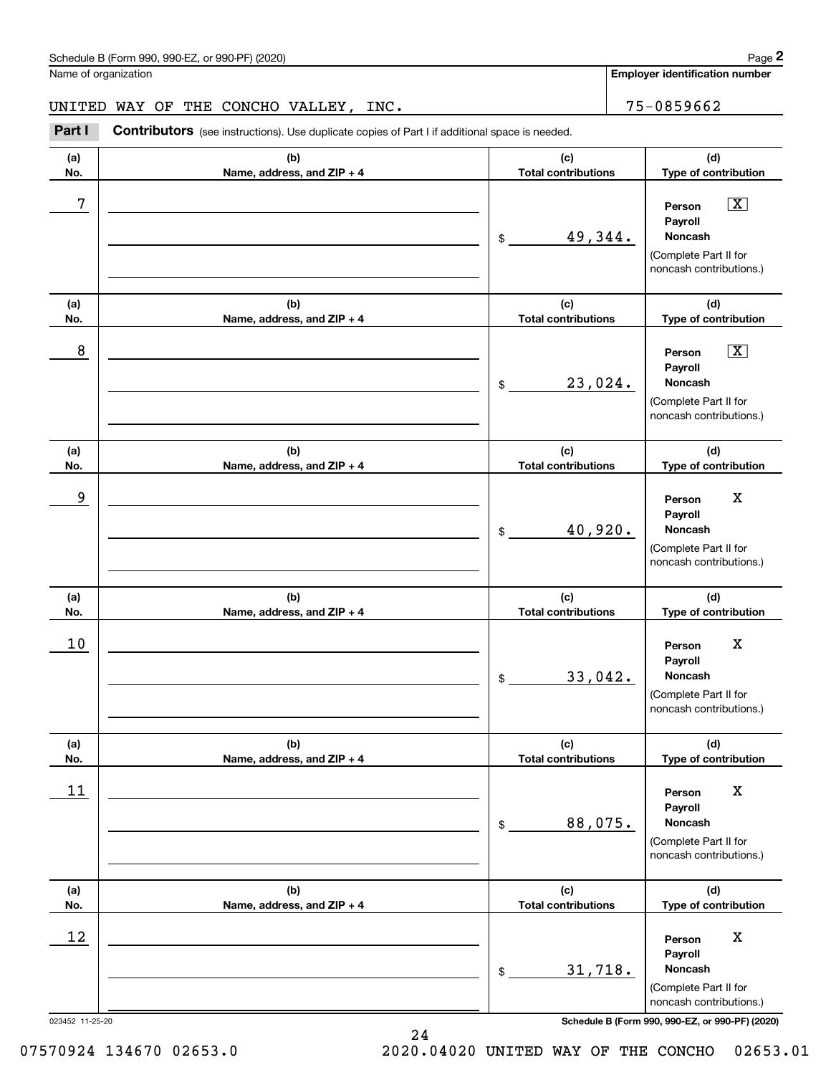Name of organization

**Employer identification number**

### UNITED WAY OF THE CONCHO VALLEY, INC. 75-0859662

Contributors (see instructions). Use duplicate copies of Part I if additional space is needed. **2** Chedule B (Form 990, 990-EZ, or 990-PF) (2020)<br> **2Part I CONCHO VALLEY, INC.**<br> **Part I Contributors** (see instructions). Use duplicate copies of Part I if additional space is needed.

| (a)             | (b)                               | (c)                               | (d)                                                                                                           |
|-----------------|-----------------------------------|-----------------------------------|---------------------------------------------------------------------------------------------------------------|
| No.             | Name, address, and ZIP + 4        | <b>Total contributions</b>        | Type of contribution                                                                                          |
| 7               |                                   | 49,344.<br>\$                     | $\boxed{\text{X}}$<br>Person<br>Payroll<br><b>Noncash</b><br>(Complete Part II for<br>noncash contributions.) |
| (a)<br>No.      | (b)<br>Name, address, and ZIP + 4 | (c)<br><b>Total contributions</b> | (d)<br>Type of contribution                                                                                   |
| 8               |                                   | 23,024.<br>\$                     | $\boxed{\text{X}}$<br>Person<br>Payroll<br>Noncash<br>(Complete Part II for<br>noncash contributions.)        |
| (a)<br>No.      | (b)<br>Name, address, and ZIP + 4 | (c)<br><b>Total contributions</b> | (d)<br>Type of contribution                                                                                   |
| 9               |                                   | 40,920.<br>\$                     | $\mathbf X$<br>Person<br>Payroll<br><b>Noncash</b><br>(Complete Part II for<br>noncash contributions.)        |
| (a)<br>No.      | (b)<br>Name, address, and ZIP + 4 | (c)<br><b>Total contributions</b> | (d)<br>Type of contribution                                                                                   |
| 10              |                                   | 33,042.<br>\$                     | $\mathbf X$<br>Person<br>Payroll<br><b>Noncash</b><br>(Complete Part II for<br>noncash contributions.)        |
| (a)<br>No.      | (b)<br>Name, address, and ZIP + 4 | (c)<br><b>Total contributions</b> | (d)<br>Type of contribution                                                                                   |
| $11\,$          |                                   | 88,075.<br>\$                     | X<br>Person<br>Payroll<br><b>Noncash</b><br>(Complete Part II for<br>noncash contributions.)                  |
| (a)<br>No.      | (b)<br>Name, address, and ZIP + 4 | (c)<br><b>Total contributions</b> | (d)<br>Type of contribution                                                                                   |
| 12              |                                   | 31,718.<br>\$                     | X<br>Person<br>Payroll<br>Noncash<br>(Complete Part II for<br>noncash contributions.)                         |
| 023452 11-25-20 |                                   |                                   | Schedule B (Form 990, 990-EZ, or 990-PF) (2020)                                                               |

07570924 134670 02653.0 2020.04020 UNITED WAY OF THE CONCHO 02653.01

24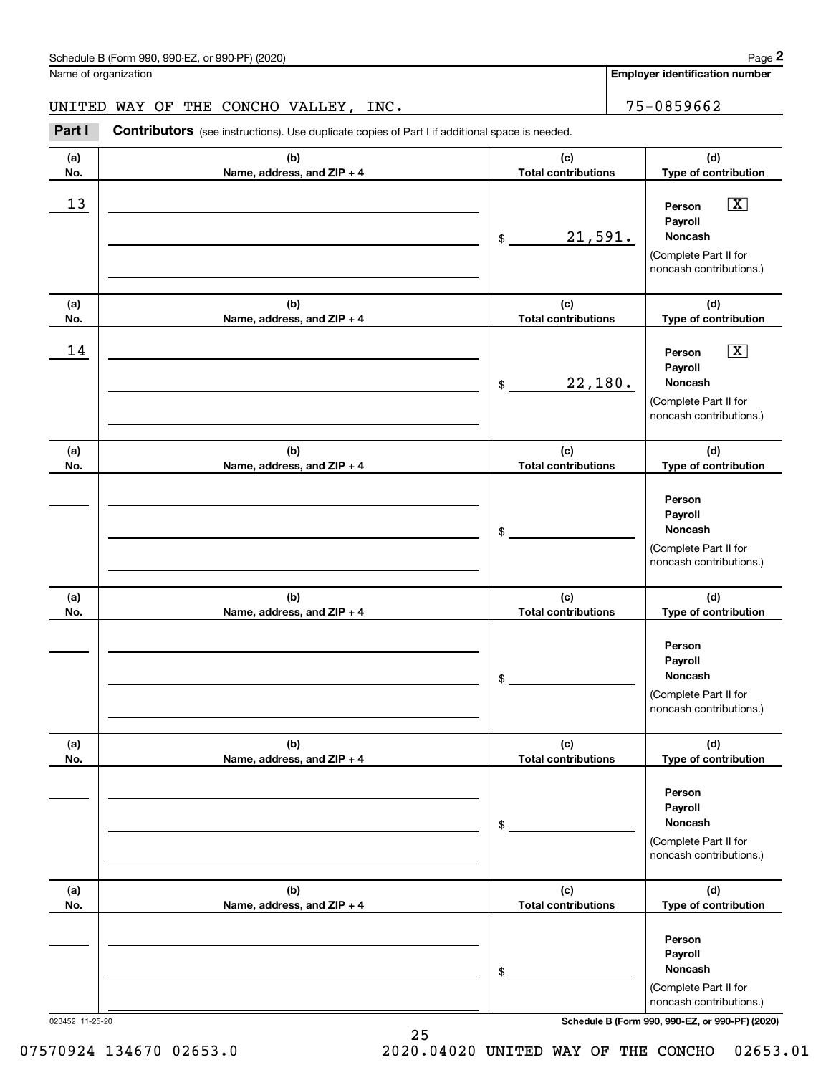Name of organization

**Employer identification number**

### UNITED WAY OF THE CONCHO VALLEY, INC. THE 2001 15-0859662

**(a)No.(b)Name, address, and ZIP + 4 (c)Total contributions (d)Type of contribution PersonPayrollNoncash(a)No.(b)Name, address, and ZIP + 4 (c)Total contributions (d)Type of contribution PersonPayrollNoncash(a)No.(b)Name, address, and ZIP + 4 (c)Total contributions (d)Type of contribution PersonPayrollNoncash(a) No.(b) Name, address, and ZIP + 4 (c) Total contributions (d) Type of contribution PersonPayrollNoncash(a) No.(b) Name, address, and ZIP + 4 (c) Total contributions (d) Type of contribution PersonPayrollNoncash(a) No.(b)Name, address, and ZIP + 4 (c) Total contributions (d)Type of contribution PersonPayrollNoncash**Contributors (see instructions). Use duplicate copies of Part I if additional space is needed. \$(Complete Part II for noncash contributions.) \$(Complete Part II for noncash contributions.) \$(Complete Part II for noncash contributions.) \$(Complete Part II for noncash contributions.) \$(Complete Part II for noncash contributions.) \$(Complete Part II for noncash contributions.) **2** Chedule B (Form 990, 990-EZ, or 990-PF) (2020)<br> **2Part I CONCHO VALLEY, INC.**<br> **Part I Contributors** (see instructions). Use duplicate copies of Part I if additional space is needed.  $\boxed{\mathbf{X}}$  $\boxed{\mathbf{X}}$  $13$  Person X 21,591.  $14$  Person X 22,180.

023452 11-25-20 **Schedule B (Form 990, 990-EZ, or 990-PF) (2020)**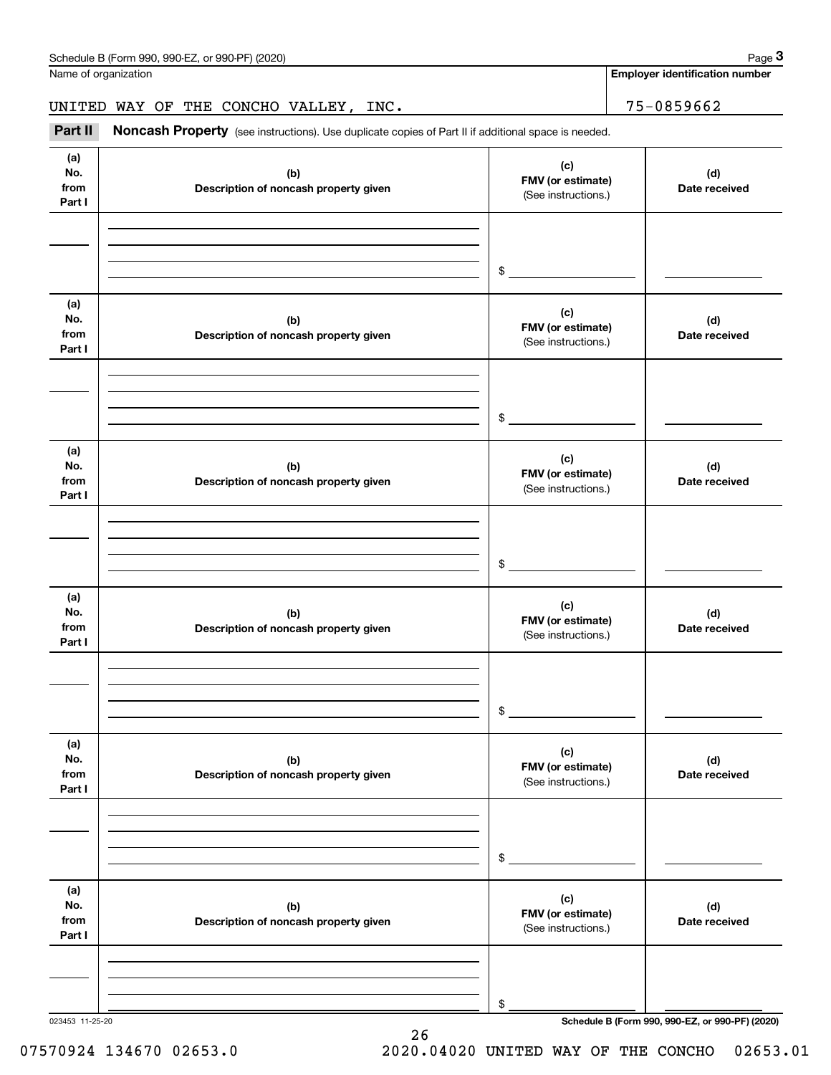|                                                                                                                                                                                                                                                                                                                                                                                                                                                                                                                                                                                                                                                                                                                                                       |  |                                                 | Page 3                                          |
|-------------------------------------------------------------------------------------------------------------------------------------------------------------------------------------------------------------------------------------------------------------------------------------------------------------------------------------------------------------------------------------------------------------------------------------------------------------------------------------------------------------------------------------------------------------------------------------------------------------------------------------------------------------------------------------------------------------------------------------------------------|--|-------------------------------------------------|-------------------------------------------------|
| Schedule B (Form 990, 990-EZ, or 990-PF) (2020)<br>Name of organization<br>UNITED WAY OF THE CONCHO VALLEY, INC.<br>Noncash Property (see instructions). Use duplicate copies of Part II if additional space is needed.<br>(a)<br>No.<br>(b)<br>from<br>Description of noncash property given<br>Part I<br>\$<br>(a)<br>No.<br>(b)<br>from<br>Description of noncash property given<br>Part I<br>\$<br>(a)<br>No.<br>(b)<br>from<br>Description of noncash property given<br>Part I<br>\$<br>(a)<br>No.<br>(b)<br>from<br>Description of noncash property given<br>Part I<br>\$<br>(a)<br>No.<br>(b)<br>from<br>Description of noncash property given<br>Part I<br>\$<br>(a)<br>No.<br>(b)<br>from<br>Description of noncash property given<br>Part I |  |                                                 | <b>Employer identification number</b>           |
|                                                                                                                                                                                                                                                                                                                                                                                                                                                                                                                                                                                                                                                                                                                                                       |  |                                                 | 75-0859662                                      |
| Part II                                                                                                                                                                                                                                                                                                                                                                                                                                                                                                                                                                                                                                                                                                                                               |  |                                                 |                                                 |
|                                                                                                                                                                                                                                                                                                                                                                                                                                                                                                                                                                                                                                                                                                                                                       |  | (c)<br>FMV (or estimate)<br>(See instructions.) | (d)<br>Date received                            |
|                                                                                                                                                                                                                                                                                                                                                                                                                                                                                                                                                                                                                                                                                                                                                       |  |                                                 |                                                 |
|                                                                                                                                                                                                                                                                                                                                                                                                                                                                                                                                                                                                                                                                                                                                                       |  | (c)<br>FMV (or estimate)<br>(See instructions.) | (d)<br>Date received                            |
|                                                                                                                                                                                                                                                                                                                                                                                                                                                                                                                                                                                                                                                                                                                                                       |  |                                                 |                                                 |
|                                                                                                                                                                                                                                                                                                                                                                                                                                                                                                                                                                                                                                                                                                                                                       |  | (c)<br>FMV (or estimate)<br>(See instructions.) | (d)<br>Date received                            |
|                                                                                                                                                                                                                                                                                                                                                                                                                                                                                                                                                                                                                                                                                                                                                       |  |                                                 |                                                 |
|                                                                                                                                                                                                                                                                                                                                                                                                                                                                                                                                                                                                                                                                                                                                                       |  | (c)<br>FMV (or estimate)<br>(See instructions.) | (d)<br>Date received                            |
|                                                                                                                                                                                                                                                                                                                                                                                                                                                                                                                                                                                                                                                                                                                                                       |  |                                                 |                                                 |
|                                                                                                                                                                                                                                                                                                                                                                                                                                                                                                                                                                                                                                                                                                                                                       |  | (c)<br>FMV (or estimate)<br>(See instructions.) | (d)<br>Date received                            |
|                                                                                                                                                                                                                                                                                                                                                                                                                                                                                                                                                                                                                                                                                                                                                       |  |                                                 |                                                 |
|                                                                                                                                                                                                                                                                                                                                                                                                                                                                                                                                                                                                                                                                                                                                                       |  | (c)<br>FMV (or estimate)<br>(See instructions.) | (d)<br>Date received                            |
|                                                                                                                                                                                                                                                                                                                                                                                                                                                                                                                                                                                                                                                                                                                                                       |  | \$                                              |                                                 |
| 023453 11-25-20                                                                                                                                                                                                                                                                                                                                                                                                                                                                                                                                                                                                                                                                                                                                       |  |                                                 | Schedule B (Form 990, 990-EZ, or 990-PF) (2020) |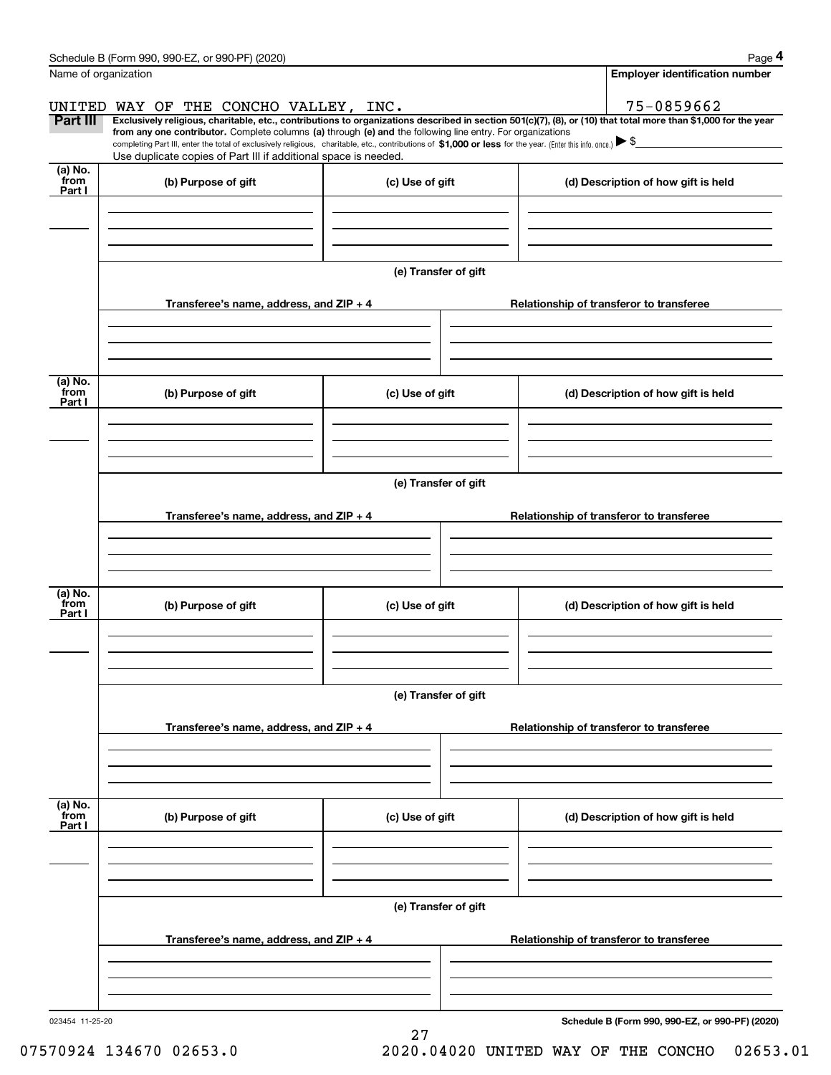|                           | Schedule B (Form 990, 990-EZ, or 990-PF) (2020)                                                                                                                                                                                                                              |                      |  |                                     | Page 4                                          |  |  |  |  |
|---------------------------|------------------------------------------------------------------------------------------------------------------------------------------------------------------------------------------------------------------------------------------------------------------------------|----------------------|--|-------------------------------------|-------------------------------------------------|--|--|--|--|
| Name of organization      |                                                                                                                                                                                                                                                                              |                      |  |                                     | <b>Employer identification number</b>           |  |  |  |  |
|                           | UNITED WAY OF THE CONCHO VALLEY, INC.                                                                                                                                                                                                                                        |                      |  |                                     | 75-0859662                                      |  |  |  |  |
| Part III                  | Exclusively religious, charitable, etc., contributions to organizations described in section 501(c)(7), (8), or (10) that total more than \$1,000 for the year<br>from any one contributor. Complete columns (a) through (e) and the following line entry. For organizations |                      |  |                                     |                                                 |  |  |  |  |
|                           | completing Part III, enter the total of exclusively religious, charitable, etc., contributions of \$1,000 or less for the year. (Enter this info. once.) $\blacktriangleright$ \$<br>Use duplicate copies of Part III if additional space is needed.                         |                      |  |                                     |                                                 |  |  |  |  |
| (a) No.<br>from           | (b) Purpose of gift                                                                                                                                                                                                                                                          | (c) Use of gift      |  |                                     | (d) Description of how gift is held             |  |  |  |  |
| Part I                    |                                                                                                                                                                                                                                                                              |                      |  |                                     |                                                 |  |  |  |  |
|                           |                                                                                                                                                                                                                                                                              |                      |  |                                     |                                                 |  |  |  |  |
|                           |                                                                                                                                                                                                                                                                              |                      |  |                                     |                                                 |  |  |  |  |
|                           |                                                                                                                                                                                                                                                                              | (e) Transfer of gift |  |                                     |                                                 |  |  |  |  |
|                           | Transferee's name, address, and ZIP + 4                                                                                                                                                                                                                                      |                      |  |                                     | Relationship of transferor to transferee        |  |  |  |  |
|                           |                                                                                                                                                                                                                                                                              |                      |  |                                     |                                                 |  |  |  |  |
|                           |                                                                                                                                                                                                                                                                              |                      |  |                                     |                                                 |  |  |  |  |
|                           |                                                                                                                                                                                                                                                                              |                      |  |                                     |                                                 |  |  |  |  |
| (a) No.<br>from<br>Part I | (b) Purpose of gift                                                                                                                                                                                                                                                          | (c) Use of gift      |  | (d) Description of how gift is held |                                                 |  |  |  |  |
|                           |                                                                                                                                                                                                                                                                              |                      |  |                                     |                                                 |  |  |  |  |
|                           |                                                                                                                                                                                                                                                                              |                      |  |                                     |                                                 |  |  |  |  |
|                           |                                                                                                                                                                                                                                                                              |                      |  |                                     |                                                 |  |  |  |  |
|                           |                                                                                                                                                                                                                                                                              | (e) Transfer of gift |  |                                     |                                                 |  |  |  |  |
|                           | Transferee's name, address, and ZIP + 4                                                                                                                                                                                                                                      |                      |  |                                     | Relationship of transferor to transferee        |  |  |  |  |
|                           |                                                                                                                                                                                                                                                                              |                      |  |                                     |                                                 |  |  |  |  |
|                           |                                                                                                                                                                                                                                                                              |                      |  |                                     |                                                 |  |  |  |  |
|                           |                                                                                                                                                                                                                                                                              |                      |  |                                     |                                                 |  |  |  |  |
| (a) No.<br>from<br>Part I | (b) Purpose of gift                                                                                                                                                                                                                                                          | (c) Use of gift      |  |                                     | (d) Description of how gift is held             |  |  |  |  |
|                           |                                                                                                                                                                                                                                                                              |                      |  |                                     |                                                 |  |  |  |  |
|                           |                                                                                                                                                                                                                                                                              |                      |  |                                     |                                                 |  |  |  |  |
|                           |                                                                                                                                                                                                                                                                              |                      |  |                                     |                                                 |  |  |  |  |
|                           | (e) Transfer of gift                                                                                                                                                                                                                                                         |                      |  |                                     |                                                 |  |  |  |  |
|                           | Transferee's name, address, and $ZIP + 4$                                                                                                                                                                                                                                    |                      |  |                                     | Relationship of transferor to transferee        |  |  |  |  |
|                           |                                                                                                                                                                                                                                                                              |                      |  |                                     |                                                 |  |  |  |  |
|                           |                                                                                                                                                                                                                                                                              |                      |  |                                     |                                                 |  |  |  |  |
| (a) No.                   |                                                                                                                                                                                                                                                                              |                      |  |                                     |                                                 |  |  |  |  |
| from<br>Part I            | (b) Purpose of gift                                                                                                                                                                                                                                                          | (c) Use of gift      |  |                                     | (d) Description of how gift is held             |  |  |  |  |
|                           |                                                                                                                                                                                                                                                                              |                      |  |                                     |                                                 |  |  |  |  |
|                           |                                                                                                                                                                                                                                                                              |                      |  |                                     |                                                 |  |  |  |  |
|                           |                                                                                                                                                                                                                                                                              |                      |  |                                     |                                                 |  |  |  |  |
|                           |                                                                                                                                                                                                                                                                              | (e) Transfer of gift |  |                                     |                                                 |  |  |  |  |
|                           | Transferee's name, address, and $ZIP + 4$                                                                                                                                                                                                                                    |                      |  |                                     | Relationship of transferor to transferee        |  |  |  |  |
|                           |                                                                                                                                                                                                                                                                              |                      |  |                                     |                                                 |  |  |  |  |
|                           |                                                                                                                                                                                                                                                                              |                      |  |                                     |                                                 |  |  |  |  |
|                           |                                                                                                                                                                                                                                                                              |                      |  |                                     |                                                 |  |  |  |  |
| 023454 11-25-20           |                                                                                                                                                                                                                                                                              | 27                   |  |                                     | Schedule B (Form 990, 990-EZ, or 990-PF) (2020) |  |  |  |  |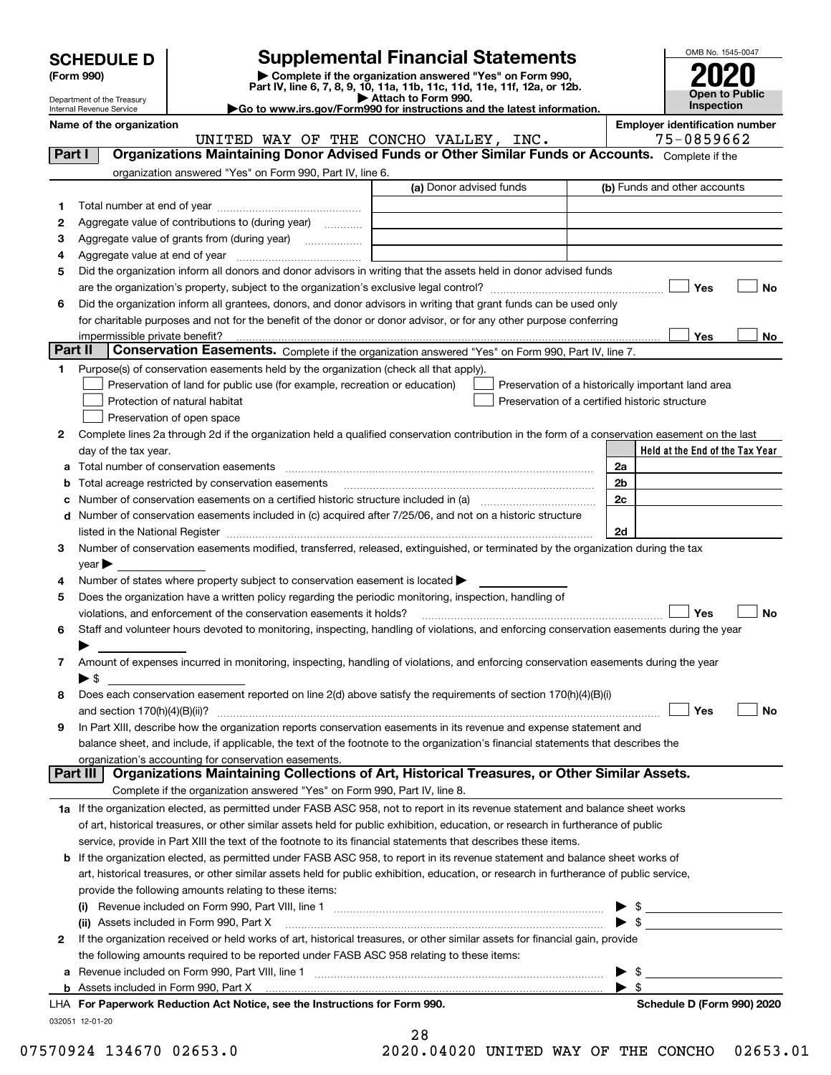| <b>SCHEDULE D</b> |  |
|-------------------|--|
|-------------------|--|

| (Form 990) |  |
|------------|--|
|------------|--|

# **Supplemental Financial Statements**

(Form 990)<br>
Pepartment of the Treasury<br>
Department of the Treasury<br>
Department of the Treasury<br>
Department of the Treasury<br> **Co to www.irs.gov/Form990 for instructions and the latest information.**<br> **Co to www.irs.gov/Form9** 



Department of the Treasury Internal Revenue Service

**Name of the organization Employer identification number**

UNITED WAY OF THE CONCHO VALLEY, INC. 75-0859662

| Part I  | <b>Organizations Maintaining Donor Advised Funds or Other Similar Funds or Accounts.</b> Complete if the                                                          |                         |                                                    |
|---------|-------------------------------------------------------------------------------------------------------------------------------------------------------------------|-------------------------|----------------------------------------------------|
|         | organization answered "Yes" on Form 990, Part IV, line 6.                                                                                                         | (a) Donor advised funds | (b) Funds and other accounts                       |
|         |                                                                                                                                                                   |                         |                                                    |
| 1.      |                                                                                                                                                                   |                         |                                                    |
| 2       | Aggregate value of contributions to (during year)                                                                                                                 |                         |                                                    |
| з       | Aggregate value of grants from (during year)                                                                                                                      |                         |                                                    |
| 4       |                                                                                                                                                                   |                         |                                                    |
| 5       | Did the organization inform all donors and donor advisors in writing that the assets held in donor advised funds                                                  |                         |                                                    |
|         |                                                                                                                                                                   |                         | Yes<br>No                                          |
| 6       | Did the organization inform all grantees, donors, and donor advisors in writing that grant funds can be used only                                                 |                         |                                                    |
|         | for charitable purposes and not for the benefit of the donor or donor advisor, or for any other purpose conferring                                                |                         |                                                    |
| Part II | impermissible private benefit?<br>Conservation Easements. Complete if the organization answered "Yes" on Form 990, Part IV, line 7.                               |                         | Yes<br>No                                          |
|         |                                                                                                                                                                   |                         |                                                    |
| 1.      | Purpose(s) of conservation easements held by the organization (check all that apply).                                                                             |                         |                                                    |
|         | Preservation of land for public use (for example, recreation or education)                                                                                        |                         | Preservation of a historically important land area |
|         | Protection of natural habitat                                                                                                                                     |                         | Preservation of a certified historic structure     |
|         | Preservation of open space                                                                                                                                        |                         |                                                    |
| 2       | Complete lines 2a through 2d if the organization held a qualified conservation contribution in the form of a conservation easement on the last                    |                         |                                                    |
|         | day of the tax year.                                                                                                                                              |                         | Held at the End of the Tax Year                    |
|         |                                                                                                                                                                   |                         | 2a                                                 |
|         | <b>b</b> Total acreage restricted by conservation easements                                                                                                       |                         | 2 <sub>b</sub>                                     |
|         |                                                                                                                                                                   |                         | 2c                                                 |
|         | d Number of conservation easements included in (c) acquired after 7/25/06, and not on a historic structure                                                        |                         |                                                    |
|         |                                                                                                                                                                   |                         | 2d                                                 |
| 3       | Number of conservation easements modified, transferred, released, extinguished, or terminated by the organization during the tax                                  |                         |                                                    |
|         | $year \blacktriangleright$                                                                                                                                        |                         |                                                    |
| 4       | Number of states where property subject to conservation easement is located $\blacktriangleright$                                                                 |                         |                                                    |
| 5       | Does the organization have a written policy regarding the periodic monitoring, inspection, handling of                                                            |                         |                                                    |
|         | violations, and enforcement of the conservation easements it holds?                                                                                               |                         | Yes<br>No                                          |
| 6       | Staff and volunteer hours devoted to monitoring, inspecting, handling of violations, and enforcing conservation easements during the year                         |                         |                                                    |
|         |                                                                                                                                                                   |                         |                                                    |
| 7       | Amount of expenses incurred in monitoring, inspecting, handling of violations, and enforcing conservation easements during the year                               |                         |                                                    |
|         | $\blacktriangleright$ \$                                                                                                                                          |                         |                                                    |
| 8       | Does each conservation easement reported on line 2(d) above satisfy the requirements of section 170(h)(4)(B)(i)                                                   |                         |                                                    |
|         |                                                                                                                                                                   |                         | Yes<br>No                                          |
| 9       | In Part XIII, describe how the organization reports conservation easements in its revenue and expense statement and                                               |                         |                                                    |
|         | balance sheet, and include, if applicable, the text of the footnote to the organization's financial statements that describes the                                 |                         |                                                    |
|         | organization's accounting for conservation easements.<br>Organizations Maintaining Collections of Art, Historical Treasures, or Other Similar Assets.<br>Part III |                         |                                                    |
|         | Complete if the organization answered "Yes" on Form 990, Part IV, line 8.                                                                                         |                         |                                                    |
|         | 1a If the organization elected, as permitted under FASB ASC 958, not to report in its revenue statement and balance sheet works                                   |                         |                                                    |
|         | of art, historical treasures, or other similar assets held for public exhibition, education, or research in furtherance of public                                 |                         |                                                    |
|         | service, provide in Part XIII the text of the footnote to its financial statements that describes these items.                                                    |                         |                                                    |
|         | <b>b</b> If the organization elected, as permitted under FASB ASC 958, to report in its revenue statement and balance sheet works of                              |                         |                                                    |
|         | art, historical treasures, or other similar assets held for public exhibition, education, or research in furtherance of public service,                           |                         |                                                    |
|         | provide the following amounts relating to these items:                                                                                                            |                         |                                                    |
|         |                                                                                                                                                                   |                         |                                                    |
|         |                                                                                                                                                                   |                         | $\triangleright$ \$<br>$\triangleright$ \$         |
| 2       | (ii) Assets included in Form 990, Part X                                                                                                                          |                         |                                                    |
|         | If the organization received or held works of art, historical treasures, or other similar assets for financial gain, provide                                      |                         |                                                    |
|         | the following amounts required to be reported under FASB ASC 958 relating to these items:                                                                         |                         |                                                    |
|         | a Revenue included on Form 990, Part VIII, line 1 [2000] [2000] [2000] [2000] [2000] [2000] [2000] [2000] [2000                                                   |                         | $\frac{1}{2}$<br>$\blacktriangleright$ s           |
|         | LHA For Paperwork Reduction Act Notice, see the Instructions for Form 990.                                                                                        |                         |                                                    |
|         |                                                                                                                                                                   |                         | Schedule D (Form 990) 2020                         |
|         | 032051 12-01-20                                                                                                                                                   |                         |                                                    |

|  | <br>۰,<br>٧<br>× |  |
|--|------------------|--|
|  |                  |  |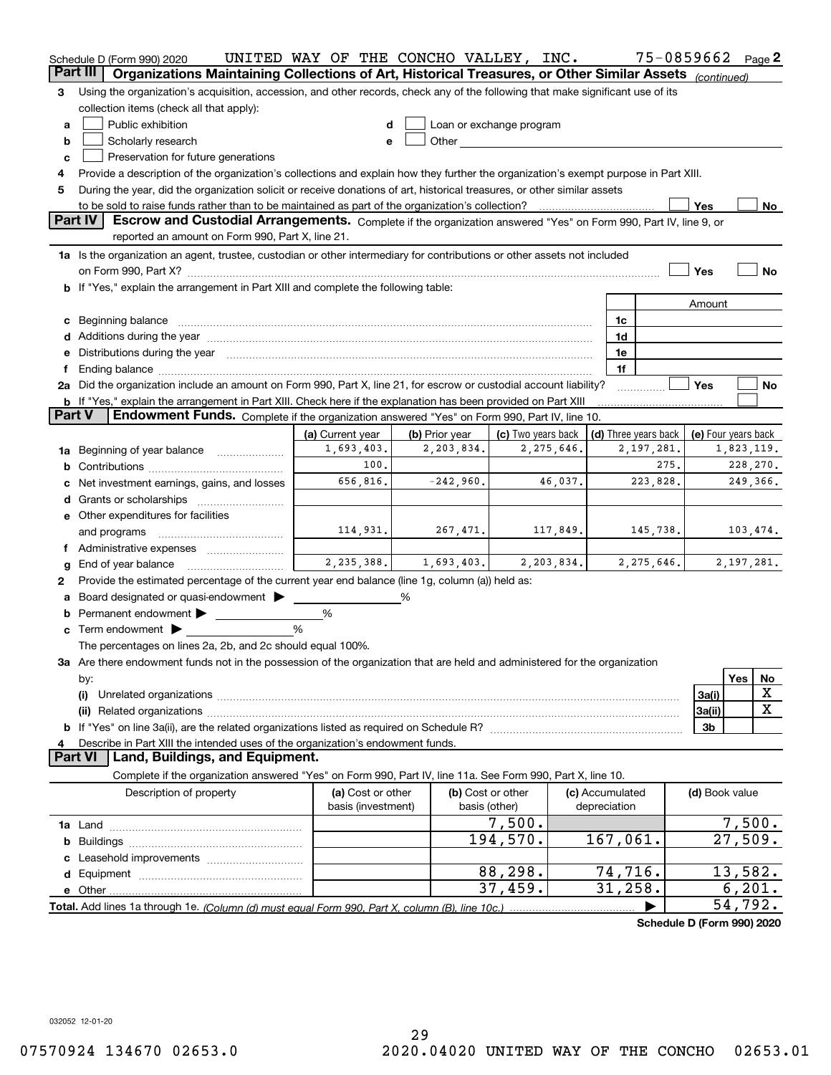|                 | Schedule D (Form 990) 2020                                                                                                                                                                                                           | UNITED WAY OF THE CONCHO VALLEY, INC.   |                |                                                                                                                                                                                                                                |            |                                 | 75-0859662 Page 2                    |                     |              |    |
|-----------------|--------------------------------------------------------------------------------------------------------------------------------------------------------------------------------------------------------------------------------------|-----------------------------------------|----------------|--------------------------------------------------------------------------------------------------------------------------------------------------------------------------------------------------------------------------------|------------|---------------------------------|--------------------------------------|---------------------|--------------|----|
| <b>Part III</b> | Organizations Maintaining Collections of Art, Historical Treasures, or Other Similar Assets (continued)                                                                                                                              |                                         |                |                                                                                                                                                                                                                                |            |                                 |                                      |                     |              |    |
| 3               | Using the organization's acquisition, accession, and other records, check any of the following that make significant use of its                                                                                                      |                                         |                |                                                                                                                                                                                                                                |            |                                 |                                      |                     |              |    |
|                 | collection items (check all that apply):                                                                                                                                                                                             |                                         |                |                                                                                                                                                                                                                                |            |                                 |                                      |                     |              |    |
| a               | Public exhibition                                                                                                                                                                                                                    |                                         |                | Loan or exchange program                                                                                                                                                                                                       |            |                                 |                                      |                     |              |    |
| b               | Scholarly research                                                                                                                                                                                                                   | e                                       |                | Other and the control of the control of the control of the control of the control of the control of the control of the control of the control of the control of the control of the control of the control of the control of th |            |                                 |                                      |                     |              |    |
| c               | Preservation for future generations                                                                                                                                                                                                  |                                         |                |                                                                                                                                                                                                                                |            |                                 |                                      |                     |              |    |
| 4               | Provide a description of the organization's collections and explain how they further the organization's exempt purpose in Part XIII.                                                                                                 |                                         |                |                                                                                                                                                                                                                                |            |                                 |                                      |                     |              |    |
| 5               | During the year, did the organization solicit or receive donations of art, historical treasures, or other similar assets                                                                                                             |                                         |                |                                                                                                                                                                                                                                |            |                                 |                                      |                     |              |    |
|                 |                                                                                                                                                                                                                                      |                                         |                |                                                                                                                                                                                                                                |            |                                 |                                      | Yes                 |              | No |
|                 | Part IV<br>Escrow and Custodial Arrangements. Complete if the organization answered "Yes" on Form 990, Part IV, line 9, or                                                                                                           |                                         |                |                                                                                                                                                                                                                                |            |                                 |                                      |                     |              |    |
|                 | reported an amount on Form 990, Part X, line 21.                                                                                                                                                                                     |                                         |                |                                                                                                                                                                                                                                |            |                                 |                                      |                     |              |    |
|                 | 1a Is the organization an agent, trustee, custodian or other intermediary for contributions or other assets not included                                                                                                             |                                         |                |                                                                                                                                                                                                                                |            |                                 |                                      |                     |              |    |
|                 |                                                                                                                                                                                                                                      |                                         |                |                                                                                                                                                                                                                                |            |                                 |                                      | Yes                 |              | No |
|                 | b If "Yes," explain the arrangement in Part XIII and complete the following table:                                                                                                                                                   |                                         |                |                                                                                                                                                                                                                                |            |                                 |                                      |                     |              |    |
|                 |                                                                                                                                                                                                                                      |                                         |                |                                                                                                                                                                                                                                |            |                                 |                                      | Amount              |              |    |
| с               | Beginning balance <b>contract to the contract of the contract of the contract of the contract of the contract of the contract of the contract of the contract of the contract of the contract of the contract of the contract of</b> |                                         |                |                                                                                                                                                                                                                                |            | 1c                              |                                      |                     |              |    |
| d               | Additions during the year manufactured and an account of the state of the state of the state of the state of the state of the state of the state of the state of the state of the state of the state of the state of the state       |                                         |                |                                                                                                                                                                                                                                |            | 1d                              |                                      |                     |              |    |
| е               | Distributions during the year manufactured and continuum and contact the year manufactured and contact the year                                                                                                                      |                                         |                |                                                                                                                                                                                                                                |            | 1e                              |                                      |                     |              |    |
| f               |                                                                                                                                                                                                                                      |                                         |                |                                                                                                                                                                                                                                |            | 1f                              |                                      |                     |              |    |
|                 | 2a Did the organization include an amount on Form 990, Part X, line 21, for escrow or custodial account liability?                                                                                                                   |                                         |                |                                                                                                                                                                                                                                |            |                                 |                                      | Yes                 |              | No |
| <b>Part V</b>   | <b>b</b> If "Yes," explain the arrangement in Part XIII. Check here if the explanation has been provided on Part XIII<br><b>Endowment Funds.</b> Complete if the organization answered "Yes" on Form 990, Part IV, line 10.          |                                         |                |                                                                                                                                                                                                                                |            |                                 |                                      |                     |              |    |
|                 |                                                                                                                                                                                                                                      |                                         | (b) Prior year | (c) Two years back                                                                                                                                                                                                             |            |                                 |                                      |                     |              |    |
|                 |                                                                                                                                                                                                                                      | (a) Current year<br>1,693,403.          | 2,203,834.     |                                                                                                                                                                                                                                | 2,275,646. |                                 | (d) Three years back<br>2, 197, 281. | (e) Four years back | 1,823,119.   |    |
| 1a              | Beginning of year balance                                                                                                                                                                                                            | 100.                                    |                |                                                                                                                                                                                                                                |            |                                 | 275.                                 |                     | 228,270.     |    |
| b               | Net investment earnings, gains, and losses                                                                                                                                                                                           | 656,816.                                | $-242,960.$    |                                                                                                                                                                                                                                | 46,037.    |                                 | 223,828.                             | 249,366.            |              |    |
| d               |                                                                                                                                                                                                                                      |                                         |                |                                                                                                                                                                                                                                |            |                                 |                                      |                     |              |    |
|                 | e Other expenditures for facilities                                                                                                                                                                                                  |                                         |                |                                                                                                                                                                                                                                |            |                                 |                                      |                     |              |    |
|                 | and programs                                                                                                                                                                                                                         | 114,931.                                | 267,471.       |                                                                                                                                                                                                                                | 117,849.   |                                 | 145,738.                             |                     | 103,474.     |    |
|                 | f Administrative expenses <i></i>                                                                                                                                                                                                    |                                         |                |                                                                                                                                                                                                                                |            |                                 |                                      |                     |              |    |
| g               | End of year balance                                                                                                                                                                                                                  | 2,235,388.                              | 1,693,403.     |                                                                                                                                                                                                                                | 2,203,834. |                                 | 2,275,646.                           |                     | 2, 197, 281. |    |
| 2               | Provide the estimated percentage of the current year end balance (line 1g, column (a)) held as:                                                                                                                                      |                                         |                |                                                                                                                                                                                                                                |            |                                 |                                      |                     |              |    |
|                 | Board designated or quasi-endowment >                                                                                                                                                                                                |                                         | %              |                                                                                                                                                                                                                                |            |                                 |                                      |                     |              |    |
| b               | Permanent endowment >                                                                                                                                                                                                                | %                                       |                |                                                                                                                                                                                                                                |            |                                 |                                      |                     |              |    |
| c               | Term endowment $\blacktriangleright$                                                                                                                                                                                                 | %                                       |                |                                                                                                                                                                                                                                |            |                                 |                                      |                     |              |    |
|                 | The percentages on lines 2a, 2b, and 2c should equal 100%.                                                                                                                                                                           |                                         |                |                                                                                                                                                                                                                                |            |                                 |                                      |                     |              |    |
|                 | 3a Are there endowment funds not in the possession of the organization that are held and administered for the organization                                                                                                           |                                         |                |                                                                                                                                                                                                                                |            |                                 |                                      |                     |              |    |
|                 | by:                                                                                                                                                                                                                                  |                                         |                |                                                                                                                                                                                                                                |            |                                 |                                      |                     | Yes          | No |
|                 | (i)                                                                                                                                                                                                                                  |                                         |                |                                                                                                                                                                                                                                |            |                                 |                                      | 3a(i)               |              | X  |
|                 |                                                                                                                                                                                                                                      |                                         |                |                                                                                                                                                                                                                                |            |                                 |                                      | 3a(ii)              |              | X  |
|                 |                                                                                                                                                                                                                                      |                                         |                |                                                                                                                                                                                                                                |            |                                 |                                      | 3b                  |              |    |
|                 | Describe in Part XIII the intended uses of the organization's endowment funds.                                                                                                                                                       |                                         |                |                                                                                                                                                                                                                                |            |                                 |                                      |                     |              |    |
|                 | <b>Part VI</b><br>Land, Buildings, and Equipment.                                                                                                                                                                                    |                                         |                |                                                                                                                                                                                                                                |            |                                 |                                      |                     |              |    |
|                 | Complete if the organization answered "Yes" on Form 990, Part IV, line 11a. See Form 990, Part X, line 10.                                                                                                                           |                                         |                |                                                                                                                                                                                                                                |            |                                 |                                      |                     |              |    |
|                 | Description of property                                                                                                                                                                                                              | (a) Cost or other<br>basis (investment) |                | (b) Cost or other<br>basis (other)                                                                                                                                                                                             |            | (c) Accumulated<br>depreciation |                                      | (d) Book value      |              |    |
|                 |                                                                                                                                                                                                                                      |                                         |                | 7,500.                                                                                                                                                                                                                         |            |                                 |                                      |                     | 7,500.       |    |
| b               |                                                                                                                                                                                                                                      |                                         |                | 194,570.                                                                                                                                                                                                                       |            | 167,061.                        |                                      |                     | 27,509.      |    |
|                 |                                                                                                                                                                                                                                      |                                         |                |                                                                                                                                                                                                                                |            |                                 |                                      |                     |              |    |
|                 |                                                                                                                                                                                                                                      |                                         |                | 88,298.                                                                                                                                                                                                                        |            | 74,716.                         |                                      |                     | 13,582.      |    |
|                 |                                                                                                                                                                                                                                      |                                         |                | 37,459.                                                                                                                                                                                                                        |            | 31, 258.                        |                                      |                     | 6, 201.      |    |
|                 |                                                                                                                                                                                                                                      |                                         |                |                                                                                                                                                                                                                                |            |                                 |                                      |                     | 54, 792.     |    |

**Schedule D (Form 990) 2020**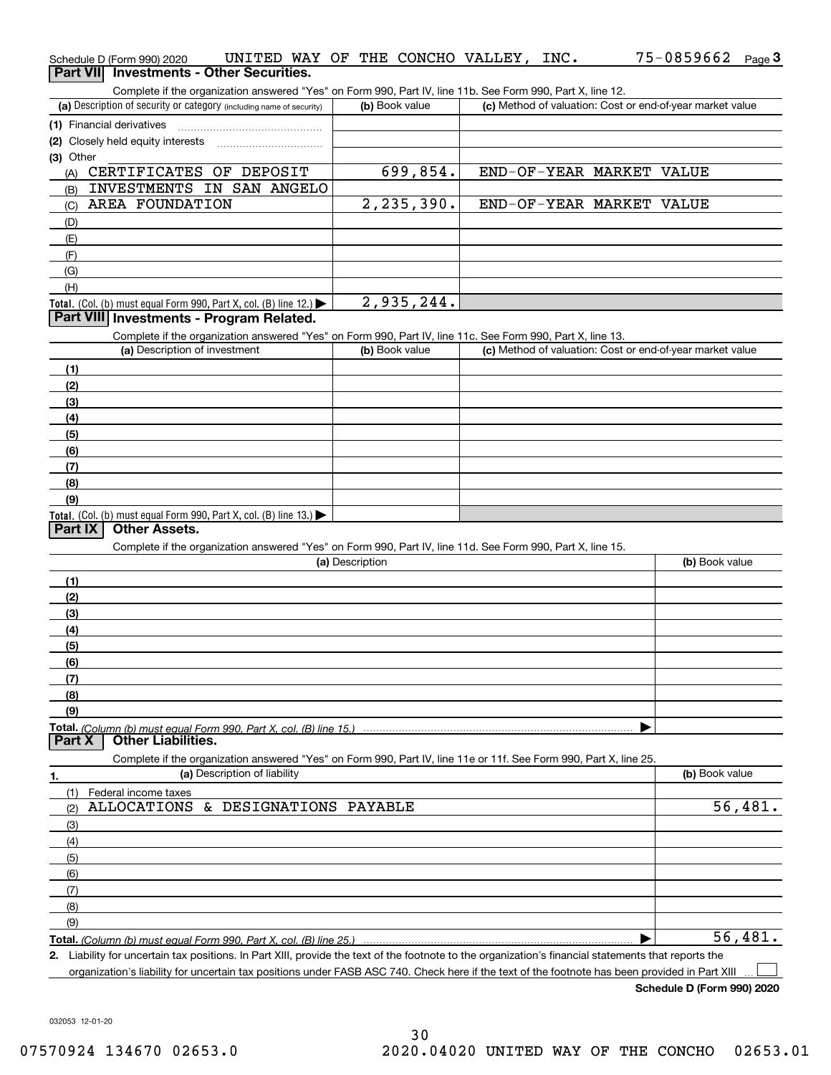| <b>Part VII</b> | Schedule D (Form 990) 2020        | UNITED WAY OF THE CONCHO VALLEY, INC.<br><b>Investments - Other Securities.</b>                                                                      |                 |                |  |                          | 75-0859662 Page 3                                         |          |
|-----------------|-----------------------------------|------------------------------------------------------------------------------------------------------------------------------------------------------|-----------------|----------------|--|--------------------------|-----------------------------------------------------------|----------|
|                 |                                   | Complete if the organization answered "Yes" on Form 990, Part IV, line 11b. See Form 990, Part X, line 12.                                           |                 |                |  |                          |                                                           |          |
|                 |                                   | (a) Description of security or category (including name of security)                                                                                 |                 | (b) Book value |  |                          | (c) Method of valuation: Cost or end-of-year market value |          |
|                 | (1) Financial derivatives         |                                                                                                                                                      |                 |                |  |                          |                                                           |          |
|                 | (2) Closely held equity interests |                                                                                                                                                      |                 |                |  |                          |                                                           |          |
| (3) Other       |                                   |                                                                                                                                                      |                 |                |  |                          |                                                           |          |
| (A)             | CERTIFICATES OF DEPOSIT           |                                                                                                                                                      |                 | 699,854.       |  | END-OF-YEAR MARKET VALUE |                                                           |          |
| (B)             |                                   | INVESTMENTS IN SAN ANGELO                                                                                                                            |                 |                |  |                          |                                                           |          |
| (C)             | AREA FOUNDATION                   |                                                                                                                                                      |                 | 2, 235, 390.   |  | END-OF-YEAR MARKET VALUE |                                                           |          |
| (D)             |                                   |                                                                                                                                                      |                 |                |  |                          |                                                           |          |
| (E)             |                                   |                                                                                                                                                      |                 |                |  |                          |                                                           |          |
| (F)             |                                   |                                                                                                                                                      |                 |                |  |                          |                                                           |          |
| (G)<br>(H)      |                                   |                                                                                                                                                      |                 |                |  |                          |                                                           |          |
|                 |                                   | <b>Total.</b> (Col. (b) must equal Form 990, Part X, col. (B) line 12.)                                                                              |                 | 2,935,244.     |  |                          |                                                           |          |
|                 |                                   | Part VIII Investments - Program Related.                                                                                                             |                 |                |  |                          |                                                           |          |
|                 |                                   | Complete if the organization answered "Yes" on Form 990, Part IV, line 11c. See Form 990, Part X, line 13.                                           |                 |                |  |                          |                                                           |          |
|                 | (a) Description of investment     |                                                                                                                                                      |                 | (b) Book value |  |                          | (c) Method of valuation: Cost or end-of-year market value |          |
| (1)             |                                   |                                                                                                                                                      |                 |                |  |                          |                                                           |          |
| (2)             |                                   |                                                                                                                                                      |                 |                |  |                          |                                                           |          |
| (3)             |                                   |                                                                                                                                                      |                 |                |  |                          |                                                           |          |
| (4)             |                                   |                                                                                                                                                      |                 |                |  |                          |                                                           |          |
| (5)             |                                   |                                                                                                                                                      |                 |                |  |                          |                                                           |          |
| (6)             |                                   |                                                                                                                                                      |                 |                |  |                          |                                                           |          |
| (7)             |                                   |                                                                                                                                                      |                 |                |  |                          |                                                           |          |
| (8)             |                                   |                                                                                                                                                      |                 |                |  |                          |                                                           |          |
| (9)             |                                   |                                                                                                                                                      |                 |                |  |                          |                                                           |          |
| Part IX         | <b>Other Assets.</b>              | Total. (Col. (b) must equal Form 990, Part X, col. (B) line 13.)                                                                                     |                 |                |  |                          |                                                           |          |
|                 |                                   | Complete if the organization answered "Yes" on Form 990, Part IV, line 11d. See Form 990, Part X, line 15.                                           |                 |                |  |                          |                                                           |          |
|                 |                                   |                                                                                                                                                      | (a) Description |                |  |                          | (b) Book value                                            |          |
| (1)             |                                   |                                                                                                                                                      |                 |                |  |                          |                                                           |          |
| (2)             |                                   |                                                                                                                                                      |                 |                |  |                          |                                                           |          |
| (3)             |                                   |                                                                                                                                                      |                 |                |  |                          |                                                           |          |
| (4)             |                                   |                                                                                                                                                      |                 |                |  |                          |                                                           |          |
| (5)             |                                   |                                                                                                                                                      |                 |                |  |                          |                                                           |          |
| (6)             |                                   |                                                                                                                                                      |                 |                |  |                          |                                                           |          |
| (7)             |                                   |                                                                                                                                                      |                 |                |  |                          |                                                           |          |
| (8)             |                                   |                                                                                                                                                      |                 |                |  |                          |                                                           |          |
| (9)             |                                   |                                                                                                                                                      |                 |                |  |                          |                                                           |          |
| Part X          | <b>Other Liabilities.</b>         | Total. (Column (b) must equal Form 990. Part X. col. (B) line 15.)                                                                                   |                 |                |  |                          |                                                           |          |
|                 |                                   | Complete if the organization answered "Yes" on Form 990, Part IV, line 11e or 11f. See Form 990, Part X, line 25.                                    |                 |                |  |                          |                                                           |          |
| 1.              |                                   | (a) Description of liability                                                                                                                         |                 |                |  |                          | (b) Book value                                            |          |
| (1)             | Federal income taxes              |                                                                                                                                                      |                 |                |  |                          |                                                           |          |
| (2)             |                                   | ALLOCATIONS & DESIGNATIONS PAYABLE                                                                                                                   |                 |                |  |                          |                                                           | 56,481.  |
| (3)             |                                   |                                                                                                                                                      |                 |                |  |                          |                                                           |          |
| (4)             |                                   |                                                                                                                                                      |                 |                |  |                          |                                                           |          |
| (5)             |                                   |                                                                                                                                                      |                 |                |  |                          |                                                           |          |
| (6)             |                                   |                                                                                                                                                      |                 |                |  |                          |                                                           |          |
| (7)             |                                   |                                                                                                                                                      |                 |                |  |                          |                                                           |          |
| (8)             |                                   |                                                                                                                                                      |                 |                |  |                          |                                                           |          |
| (9)             |                                   |                                                                                                                                                      |                 |                |  |                          |                                                           |          |
|                 |                                   | Total. (Column (b) must equal Form 990. Part X, col. (B) line 25.)                                                                                   |                 |                |  |                          |                                                           | 56, 481. |
|                 |                                   | 2. Liability for uncertain tax positions. In Part XIII, provide the text of the footnote to the organization's financial statements that reports the |                 |                |  |                          |                                                           |          |
|                 |                                   | organization's liability for uncertain tax positions under FASB ASC 740. Check here if the text of the footnote has been provided in Part XIII       |                 |                |  |                          |                                                           |          |

**Schedule D (Form 990) 2020**

032053 12-01-20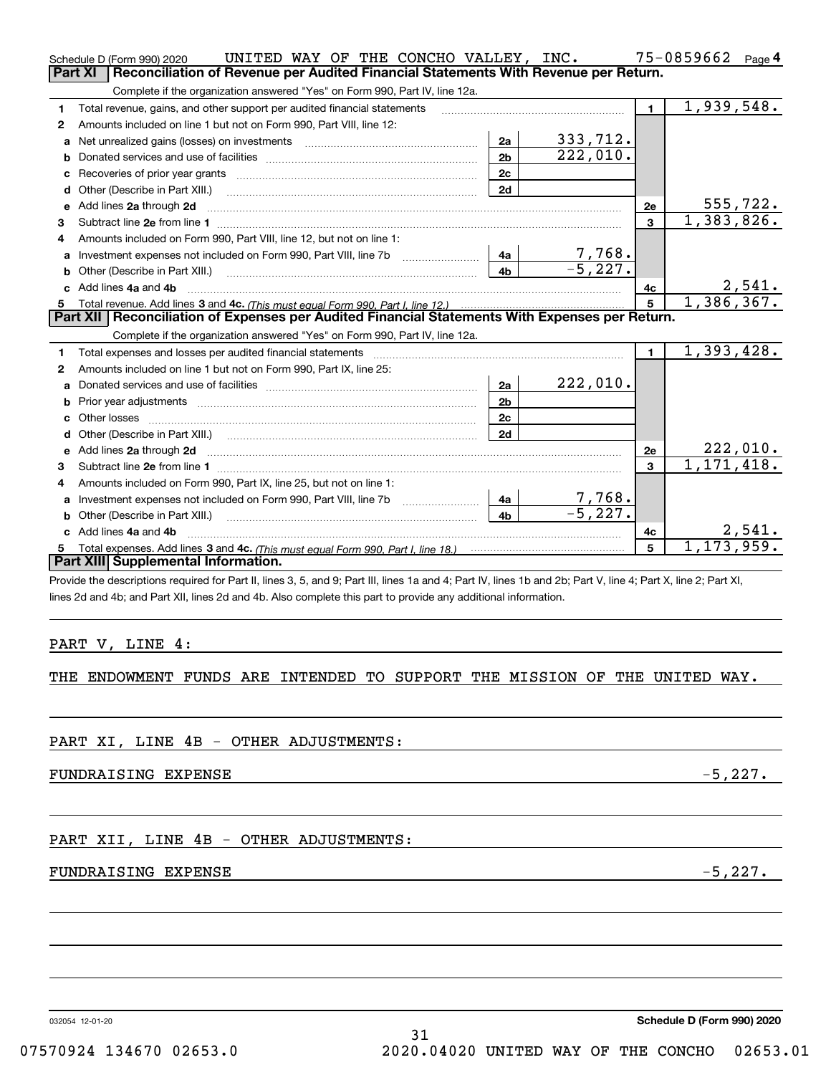|    | UNITED WAY OF THE CONCHO VALLEY, INC.<br>Schedule D (Form 990) 2020                                                                                            |                |                          |                | 75-0859662                 | Page 4 |
|----|----------------------------------------------------------------------------------------------------------------------------------------------------------------|----------------|--------------------------|----------------|----------------------------|--------|
|    | Reconciliation of Revenue per Audited Financial Statements With Revenue per Return.<br><b>Part XI</b>                                                          |                |                          |                |                            |        |
|    | Complete if the organization answered "Yes" on Form 990, Part IV, line 12a.                                                                                    |                |                          |                |                            |        |
| 1  | Total revenue, gains, and other support per audited financial statements                                                                                       |                |                          | $\blacksquare$ | 1,939,548.                 |        |
| 2  | Amounts included on line 1 but not on Form 990, Part VIII, line 12:                                                                                            |                |                          |                |                            |        |
| a  |                                                                                                                                                                | 2a             | 333,712.                 |                |                            |        |
| b  |                                                                                                                                                                | 2 <sub>b</sub> | 222,010.                 |                |                            |        |
| с  | Recoveries of prior year grants [11,111] Recoveries of prior year grants [11,111] Recoveries of prior year grants                                              | 2c             |                          |                |                            |        |
| d  | Other (Describe in Part XIII.)                                                                                                                                 | 2d             |                          |                |                            |        |
| е  | Add lines 2a through 2d                                                                                                                                        |                |                          | 2e             | 555,722.                   |        |
| 3  |                                                                                                                                                                |                |                          | 3              | 1,383,826.                 |        |
| 4  | Amounts included on Form 990, Part VIII, line 12, but not on line 1:                                                                                           |                |                          |                |                            |        |
| а  |                                                                                                                                                                | 4a             | $\frac{7,168}{-5,227}$ . |                |                            |        |
| b  |                                                                                                                                                                | 4b             |                          |                |                            |        |
|    | c Add lines 4a and 4b                                                                                                                                          |                |                          | 4c             |                            | 2,541. |
| 5. |                                                                                                                                                                |                |                          | 5              | 1,386,367.                 |        |
|    | Part XII   Reconciliation of Expenses per Audited Financial Statements With Expenses per Return.                                                               |                |                          |                |                            |        |
|    | Complete if the organization answered "Yes" on Form 990, Part IV, line 12a.                                                                                    |                |                          |                |                            |        |
| 1  |                                                                                                                                                                |                |                          | $\mathbf{1}$   | $\overline{1}$ , 393, 428. |        |
| 2  | Amounts included on line 1 but not on Form 990, Part IX, line 25:                                                                                              |                |                          |                |                            |        |
| a  |                                                                                                                                                                | 2a             | 222,010.                 |                |                            |        |
| b  |                                                                                                                                                                | 2 <sub>b</sub> |                          |                |                            |        |
| c  |                                                                                                                                                                | 2c             |                          |                |                            |        |
| d  |                                                                                                                                                                | 2d             |                          |                |                            |        |
| е  | Add lines 2a through 2d                                                                                                                                        |                |                          | 2e             | 222,010.                   |        |
| 3  | Subtract line 2e from line 1                                                                                                                                   |                |                          | 3              | 1,171,418.                 |        |
| 4  | Amounts included on Form 990, Part IX, line 25, but not on line 1:                                                                                             |                |                          |                |                            |        |
| a  |                                                                                                                                                                | 4a             | 7,768.                   |                |                            |        |
| b  | Other (Describe in Part XIII.)                                                                                                                                 | 4b             | $-5,227.$                |                |                            |        |
|    | c Add lines 4a and 4b                                                                                                                                          |                |                          | 4с             |                            | 2,541. |
| 5. |                                                                                                                                                                |                |                          | 5              | 1, 173, 959.               |        |
|    | Part XIII Supplemental Information.                                                                                                                            |                |                          |                |                            |        |
|    | Provide the descriptions required for Part II, lines 3, 5, and 9; Part III, lines 1a and 4; Part IV, lines 1b and 2b; Part V, line 4; Part X, line 2; Part XI, |                |                          |                |                            |        |
|    | lines 2d and 4b; and Part XII, lines 2d and 4b. Also complete this part to provide any additional information.                                                 |                |                          |                |                            |        |
|    |                                                                                                                                                                |                |                          |                |                            |        |
|    |                                                                                                                                                                |                |                          |                |                            |        |
|    | PART V, LINE 4:                                                                                                                                                |                |                          |                |                            |        |

## THE ENDOWMENT FUNDS ARE INTENDED TO SUPPORT THE MISSION OF THE UNITED WAY.

FUNDRAISING EXPENSE  $-5,227.$ 

PART XII, LINE 4B - OTHER ADJUSTMENTS:

## FUNDRAISING EXPENSE  $-5,227$ .

032054 12-01-20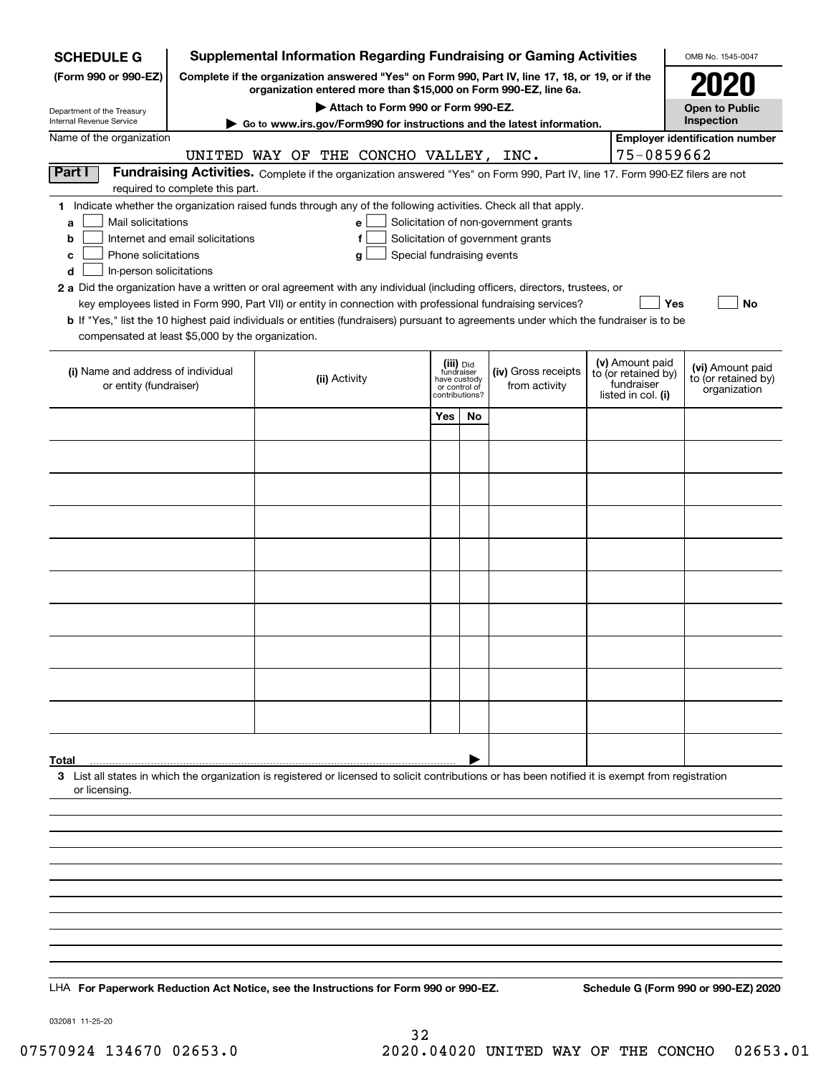| <b>Supplemental Information Regarding Fundraising or Gaming Activities</b><br><b>SCHEDULE G</b>                                                                     |                                  |                                                                                                                                                                     |                                                                                                                                       |            |                                 |                                       |                                  | OMB No. 1545-0047   |                                         |  |
|---------------------------------------------------------------------------------------------------------------------------------------------------------------------|----------------------------------|---------------------------------------------------------------------------------------------------------------------------------------------------------------------|---------------------------------------------------------------------------------------------------------------------------------------|------------|---------------------------------|---------------------------------------|----------------------------------|---------------------|-----------------------------------------|--|
| (Form 990 or 990-EZ)                                                                                                                                                |                                  | Complete if the organization answered "Yes" on Form 990, Part IV, line 17, 18, or 19, or if the<br>organization entered more than \$15,000 on Form 990-EZ, line 6a. |                                                                                                                                       |            |                                 |                                       |                                  |                     |                                         |  |
| Department of the Treasury                                                                                                                                          |                                  |                                                                                                                                                                     | Attach to Form 990 or Form 990-EZ.                                                                                                    |            |                                 |                                       |                                  |                     | <b>Open to Public</b>                   |  |
| Internal Revenue Service                                                                                                                                            |                                  |                                                                                                                                                                     | ► Go to www.irs.gov/Form990 for instructions and the latest information.                                                              |            |                                 |                                       |                                  |                     | Inspection                              |  |
| Name of the organization                                                                                                                                            |                                  |                                                                                                                                                                     |                                                                                                                                       |            |                                 |                                       |                                  |                     | <b>Employer identification number</b>   |  |
|                                                                                                                                                                     |                                  |                                                                                                                                                                     | UNITED WAY OF THE CONCHO VALLEY, INC.                                                                                                 |            |                                 |                                       |                                  | 75-0859662          |                                         |  |
| Part I                                                                                                                                                              | required to complete this part.  |                                                                                                                                                                     | Fundraising Activities. Complete if the organization answered "Yes" on Form 990, Part IV, line 17. Form 990-EZ filers are not         |            |                                 |                                       |                                  |                     |                                         |  |
| 1 Indicate whether the organization raised funds through any of the following activities. Check all that apply.                                                     |                                  |                                                                                                                                                                     |                                                                                                                                       |            |                                 |                                       |                                  |                     |                                         |  |
| Mail solicitations<br>a                                                                                                                                             |                                  |                                                                                                                                                                     | e                                                                                                                                     |            |                                 | Solicitation of non-government grants |                                  |                     |                                         |  |
| b                                                                                                                                                                   | Internet and email solicitations |                                                                                                                                                                     | f                                                                                                                                     |            |                                 | Solicitation of government grants     |                                  |                     |                                         |  |
| Phone solicitations<br>c                                                                                                                                            |                                  |                                                                                                                                                                     | Special fundraising events<br>g                                                                                                       |            |                                 |                                       |                                  |                     |                                         |  |
| In-person solicitations<br>d                                                                                                                                        |                                  |                                                                                                                                                                     |                                                                                                                                       |            |                                 |                                       |                                  |                     |                                         |  |
| 2 a Did the organization have a written or oral agreement with any individual (including officers, directors, trustees, or                                          |                                  |                                                                                                                                                                     | key employees listed in Form 990, Part VII) or entity in connection with professional fundraising services?                           |            |                                 |                                       |                                  |                     | Yes<br><b>No</b>                        |  |
|                                                                                                                                                                     |                                  |                                                                                                                                                                     | b If "Yes," list the 10 highest paid individuals or entities (fundraisers) pursuant to agreements under which the fundraiser is to be |            |                                 |                                       |                                  |                     |                                         |  |
| compensated at least \$5,000 by the organization.                                                                                                                   |                                  |                                                                                                                                                                     |                                                                                                                                       |            |                                 |                                       |                                  |                     |                                         |  |
|                                                                                                                                                                     |                                  |                                                                                                                                                                     |                                                                                                                                       |            | (iii) Did                       |                                       |                                  | (v) Amount paid     |                                         |  |
| (i) Name and address of individual                                                                                                                                  |                                  |                                                                                                                                                                     | (ii) Activity                                                                                                                         | fundraiser | have custody                    | (iv) Gross receipts                   |                                  | to (or retained by) | (vi) Amount paid<br>to (or retained by) |  |
| or entity (fundraiser)                                                                                                                                              |                                  |                                                                                                                                                                     |                                                                                                                                       |            | or control of<br>contributions? | from activity                         | fundraiser<br>listed in col. (i) |                     | organization                            |  |
|                                                                                                                                                                     |                                  |                                                                                                                                                                     |                                                                                                                                       | Yes        | No                              |                                       |                                  |                     |                                         |  |
|                                                                                                                                                                     |                                  |                                                                                                                                                                     |                                                                                                                                       |            |                                 |                                       |                                  |                     |                                         |  |
|                                                                                                                                                                     |                                  |                                                                                                                                                                     |                                                                                                                                       |            |                                 |                                       |                                  |                     |                                         |  |
|                                                                                                                                                                     |                                  |                                                                                                                                                                     |                                                                                                                                       |            |                                 |                                       |                                  |                     |                                         |  |
|                                                                                                                                                                     |                                  |                                                                                                                                                                     |                                                                                                                                       |            |                                 |                                       |                                  |                     |                                         |  |
|                                                                                                                                                                     |                                  |                                                                                                                                                                     |                                                                                                                                       |            |                                 |                                       |                                  |                     |                                         |  |
|                                                                                                                                                                     |                                  |                                                                                                                                                                     |                                                                                                                                       |            |                                 |                                       |                                  |                     |                                         |  |
|                                                                                                                                                                     |                                  |                                                                                                                                                                     |                                                                                                                                       |            |                                 |                                       |                                  |                     |                                         |  |
|                                                                                                                                                                     |                                  |                                                                                                                                                                     |                                                                                                                                       |            |                                 |                                       |                                  |                     |                                         |  |
|                                                                                                                                                                     |                                  |                                                                                                                                                                     |                                                                                                                                       |            |                                 |                                       |                                  |                     |                                         |  |
|                                                                                                                                                                     |                                  |                                                                                                                                                                     |                                                                                                                                       |            |                                 |                                       |                                  |                     |                                         |  |
|                                                                                                                                                                     |                                  |                                                                                                                                                                     |                                                                                                                                       |            |                                 |                                       |                                  |                     |                                         |  |
|                                                                                                                                                                     |                                  |                                                                                                                                                                     |                                                                                                                                       |            |                                 |                                       |                                  |                     |                                         |  |
|                                                                                                                                                                     |                                  |                                                                                                                                                                     |                                                                                                                                       |            |                                 |                                       |                                  |                     |                                         |  |
|                                                                                                                                                                     |                                  |                                                                                                                                                                     |                                                                                                                                       |            |                                 |                                       |                                  |                     |                                         |  |
|                                                                                                                                                                     |                                  |                                                                                                                                                                     |                                                                                                                                       |            |                                 |                                       |                                  |                     |                                         |  |
|                                                                                                                                                                     |                                  |                                                                                                                                                                     |                                                                                                                                       |            |                                 |                                       |                                  |                     |                                         |  |
|                                                                                                                                                                     |                                  |                                                                                                                                                                     |                                                                                                                                       |            |                                 |                                       |                                  |                     |                                         |  |
| Total                                                                                                                                                               |                                  |                                                                                                                                                                     |                                                                                                                                       |            |                                 |                                       |                                  |                     |                                         |  |
| 3 List all states in which the organization is registered or licensed to solicit contributions or has been notified it is exempt from registration<br>or licensing. |                                  |                                                                                                                                                                     |                                                                                                                                       |            |                                 |                                       |                                  |                     |                                         |  |
|                                                                                                                                                                     |                                  |                                                                                                                                                                     |                                                                                                                                       |            |                                 |                                       |                                  |                     |                                         |  |
|                                                                                                                                                                     |                                  |                                                                                                                                                                     |                                                                                                                                       |            |                                 |                                       |                                  |                     |                                         |  |
|                                                                                                                                                                     |                                  |                                                                                                                                                                     |                                                                                                                                       |            |                                 |                                       |                                  |                     |                                         |  |
|                                                                                                                                                                     |                                  |                                                                                                                                                                     |                                                                                                                                       |            |                                 |                                       |                                  |                     |                                         |  |
|                                                                                                                                                                     |                                  |                                                                                                                                                                     |                                                                                                                                       |            |                                 |                                       |                                  |                     |                                         |  |
|                                                                                                                                                                     |                                  |                                                                                                                                                                     |                                                                                                                                       |            |                                 |                                       |                                  |                     |                                         |  |
|                                                                                                                                                                     |                                  |                                                                                                                                                                     |                                                                                                                                       |            |                                 |                                       |                                  |                     |                                         |  |
|                                                                                                                                                                     |                                  |                                                                                                                                                                     |                                                                                                                                       |            |                                 |                                       |                                  |                     |                                         |  |
|                                                                                                                                                                     |                                  |                                                                                                                                                                     |                                                                                                                                       |            |                                 |                                       |                                  |                     |                                         |  |
|                                                                                                                                                                     |                                  |                                                                                                                                                                     |                                                                                                                                       |            |                                 |                                       |                                  |                     |                                         |  |
| LHA For Paperwork Reduction Act Notice, see the Instructions for Form 990 or 990-EZ.                                                                                |                                  |                                                                                                                                                                     |                                                                                                                                       |            |                                 |                                       |                                  |                     | Schedule G (Form 990 or 990-EZ) 2020    |  |

032081 11-25-20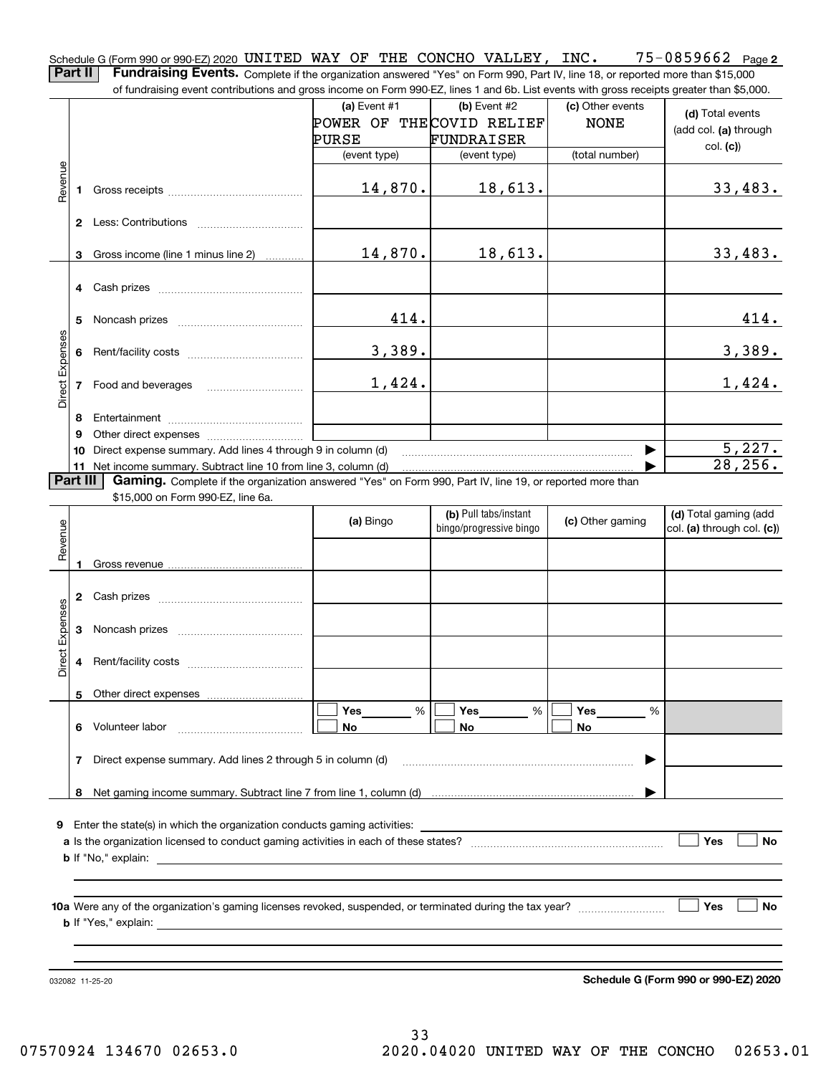$75 - 0859662$  Page 2 Schedule G (Form 990 or 990-EZ) 2020 <code>UNITED WAY OF THE CONCHO VALLEY, INC.  $75\text{--}0859662$  Page</code> **Part II** | Fundraising Events. Complete if the organization answered "Yes" on Form 990, Part IV, line 18, or reported more than \$15,000

of fundraising event contributions and gross income on Form 990-EZ, lines 1 and 6b. List events with gross receipts greater than \$5,000. **(a)** Event #1  $\vert$  **(b)** Event #2 (c) Other events **(d)**  Total events NONE POWER OF THE COVID RELIEF (add col. **(a)** through PURSE FUNDRAISER col. **(c)**) (event type) (event type) (total number) Revenue Revenue 14,870. 18,613. 33,483. **1**Gross receipts ~~~~~~~~~~~~~~ **2** Less: Contributions ................................ Gross income (line 1 minus line 2) 14,870. 18,613. 33,483. **3**. . . . . . . . . . . . **4** Cash prizes <sub>……………………………………</sub> 414. 414. **5** Noncash prizes \_\_\_\_\_\_\_\_\_\_\_\_\_\_\_\_\_\_\_\_\_\_\_\_\_\_\_\_ Direct Expenses Direct Expense 3,389. 3,389. **6**Rent/facility costs ~~~~~~~~~~~~ 1,424. 1,424. **7**Food and beverages ~~~~~~~~~~**8**Entertainment ~~~~~~~~~~~~~~ Other direct expenses ~~~~~~~~~~ **9**5,227.  $\blacktriangleright$ **10** Direct expense summary. Add lines 4 through 9 in column (d) 28,256. …… ▶ **11** Net income summary. Subtract line 10 from line 3, column (d) **Part III | Gaming.** Complete if the organization answered "Yes" on Form 990, Part IV, line 19, or reported more than \$15,000 on Form 990-EZ, line 6a. **(b)**  Pull tabs/instant **(d)**  Total gaming (add **(a)**  Revenue Bingo **Contract of Contract Contract Contract Contract Contract Contract Contract Contract Contract Contract Contract Contract Contract Contract Contract Contract Contract Contract Contract Contract Contract Contract Contr** Revenue bingo/progressive bingo col. **(a)** through col. **(c)**) **1**Gross revenue **2** Cash prizes <sub>……………………………………</sub> Direct Expenses Direct Expenses **3**Noncash prizes **4**Rent/facility costs ~~~~~~~~~~~~**5**Other direct expenses  $\boxed{\Box}$  Yes \_\_\_\_\_\_\_ %  $\boxed{\Box}$  Yes \_\_\_\_\_\_\_ %  $\boxed{\Box}$  $\mathcal{L}^{\text{max}}$ %**Yes Yes Yes** % %  $\mathcal{L}^{\text{max}}$ **6** Volunteer labor **No No No**  $\overline{\phantom{a}}$ Direct expense summary. Add lines 2 through 5 in column (d) **7** | …… ▶ **8**Net gaming income summary. Subtract line 7 from line 1, column (d) **9**Enter the state(s) in which the organization conducts gaming activities: **Yes**  $\mathcal{L}^{\text{max}}$ **a**Is the organization licensed to conduct gaming activities in each of these states? ~~~~~~~~~~~~~~~~~~~~ **No b**If "No," explain: **Yes No 10a**Were any of the organization's gaming licenses revoked, suspended, or terminated during the tax year? **b** If "Yes," explain: 032082 11-25-20

**Schedule G (Form 990 or 990-EZ) 2020**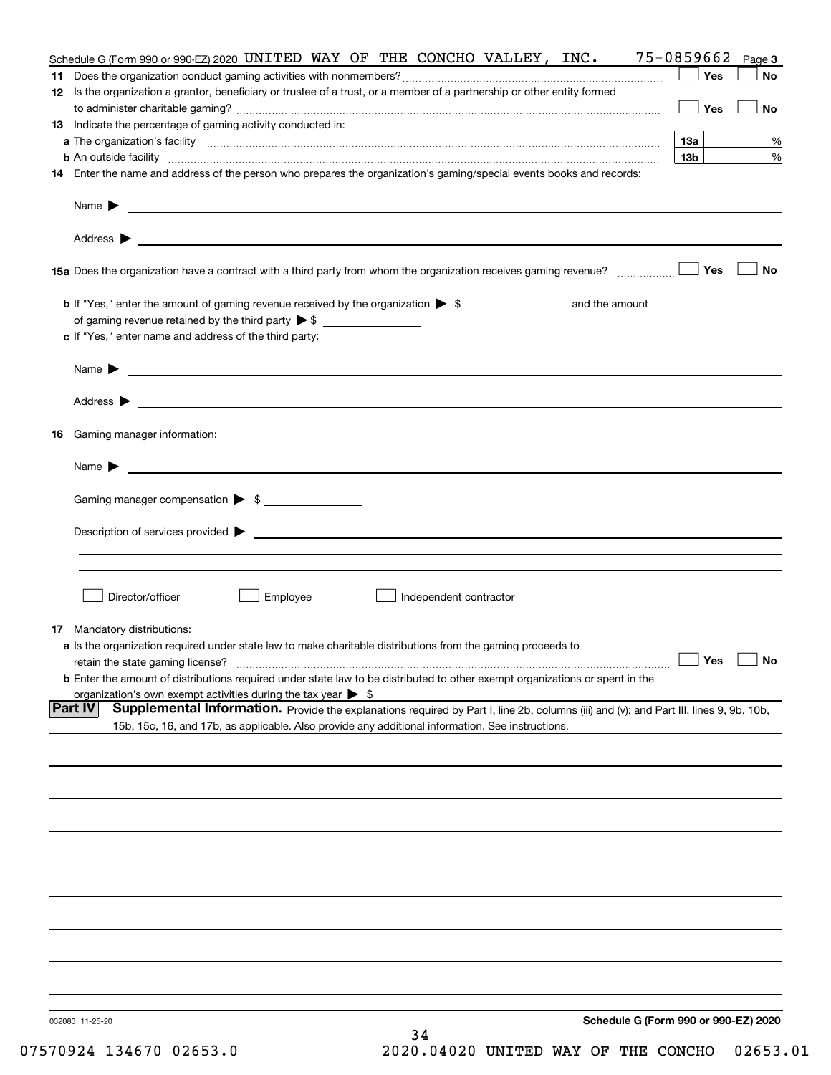|    | Schedule G (Form 990 or 990-EZ) 2020 UNITED WAY OF THE CONCHO VALLEY, INC.                                                                                                                                                                                   | 75-0859662      | Page 3    |
|----|--------------------------------------------------------------------------------------------------------------------------------------------------------------------------------------------------------------------------------------------------------------|-----------------|-----------|
|    |                                                                                                                                                                                                                                                              | Yes             | No        |
|    | 12 Is the organization a grantor, beneficiary or trustee of a trust, or a member of a partnership or other entity formed                                                                                                                                     | Yes             | No        |
|    | <b>13</b> Indicate the percentage of gaming activity conducted in:                                                                                                                                                                                           |                 |           |
|    |                                                                                                                                                                                                                                                              | 13а             | %         |
|    |                                                                                                                                                                                                                                                              | 13 <sub>b</sub> | %         |
|    | 14 Enter the name and address of the person who prepares the organization's gaming/special events books and records:                                                                                                                                         |                 |           |
|    |                                                                                                                                                                                                                                                              |                 |           |
|    |                                                                                                                                                                                                                                                              |                 |           |
|    |                                                                                                                                                                                                                                                              | Yes             | No        |
|    |                                                                                                                                                                                                                                                              |                 |           |
|    | of gaming revenue retained by the third party $\triangleright$ \$                                                                                                                                                                                            |                 |           |
|    | c If "Yes," enter name and address of the third party:                                                                                                                                                                                                       |                 |           |
|    | <u> 1989 - Johann Barbara, martin amerikan basal dan berasal dan berasal dalam basal dan berasal dan berasal dan</u><br>Name $\blacktriangleright$                                                                                                           |                 |           |
|    |                                                                                                                                                                                                                                                              |                 |           |
| 16 | Gaming manager information:                                                                                                                                                                                                                                  |                 |           |
|    | $Name \rightarrow$                                                                                                                                                                                                                                           |                 |           |
|    |                                                                                                                                                                                                                                                              |                 |           |
|    | Gaming manager compensation > \$                                                                                                                                                                                                                             |                 |           |
|    |                                                                                                                                                                                                                                                              |                 |           |
|    |                                                                                                                                                                                                                                                              |                 |           |
|    | Director/officer<br>Employee<br>Independent contractor                                                                                                                                                                                                       |                 |           |
|    | <b>17</b> Mandatory distributions:                                                                                                                                                                                                                           |                 |           |
|    | a Is the organization required under state law to make charitable distributions from the gaming proceeds to                                                                                                                                                  |                 |           |
|    | retain the state gaming license?                                                                                                                                                                                                                             | $\Box$ Yes      | $\Box$ No |
|    | <b>b</b> Enter the amount of distributions required under state law to be distributed to other exempt organizations or spent in the                                                                                                                          |                 |           |
|    | organization's own exempt activities during the tax year $\triangleright$ \$                                                                                                                                                                                 |                 |           |
|    | <b>Part IV</b><br>Supplemental Information. Provide the explanations required by Part I, line 2b, columns (iii) and (v); and Part III, lines 9, 9b, 10b,<br>15b, 15c, 16, and 17b, as applicable. Also provide any additional information. See instructions. |                 |           |
|    |                                                                                                                                                                                                                                                              |                 |           |
|    |                                                                                                                                                                                                                                                              |                 |           |
|    |                                                                                                                                                                                                                                                              |                 |           |
|    |                                                                                                                                                                                                                                                              |                 |           |
|    |                                                                                                                                                                                                                                                              |                 |           |
|    |                                                                                                                                                                                                                                                              |                 |           |
|    |                                                                                                                                                                                                                                                              |                 |           |
|    |                                                                                                                                                                                                                                                              |                 |           |
|    |                                                                                                                                                                                                                                                              |                 |           |
|    | Schedule G (Form 990 or 990-EZ) 2020<br>032083 11-25-20                                                                                                                                                                                                      |                 |           |
|    | 34                                                                                                                                                                                                                                                           |                 |           |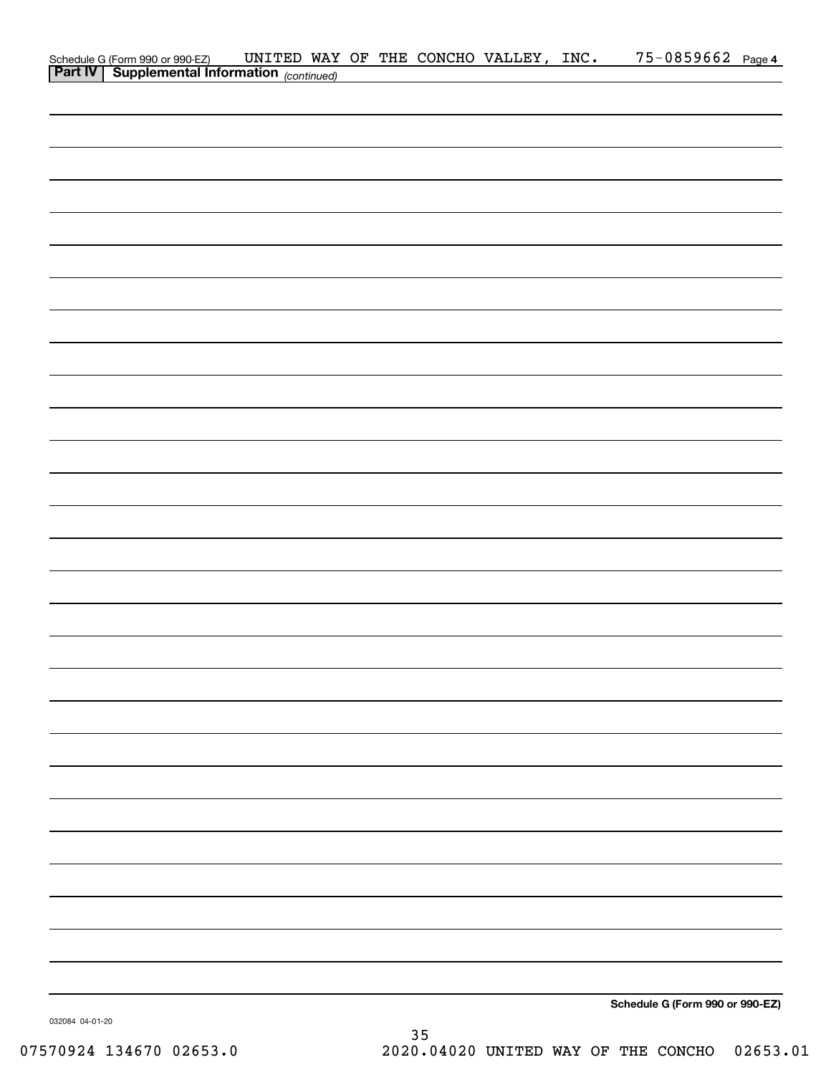| Schedule G (Form 990 or 990-EZ) UNITED WAY<br><b>Part IV</b> Supplemental Information (continued) |  |  | UNITED WAY OF THE CONCHO VALLEY, INC. | 75-0859662 Page 4               |  |
|---------------------------------------------------------------------------------------------------|--|--|---------------------------------------|---------------------------------|--|
|                                                                                                   |  |  |                                       |                                 |  |
|                                                                                                   |  |  |                                       |                                 |  |
|                                                                                                   |  |  |                                       |                                 |  |
|                                                                                                   |  |  |                                       |                                 |  |
|                                                                                                   |  |  |                                       |                                 |  |
|                                                                                                   |  |  |                                       |                                 |  |
|                                                                                                   |  |  |                                       |                                 |  |
|                                                                                                   |  |  |                                       |                                 |  |
|                                                                                                   |  |  |                                       |                                 |  |
|                                                                                                   |  |  |                                       |                                 |  |
|                                                                                                   |  |  |                                       |                                 |  |
|                                                                                                   |  |  |                                       |                                 |  |
|                                                                                                   |  |  |                                       |                                 |  |
|                                                                                                   |  |  |                                       |                                 |  |
|                                                                                                   |  |  |                                       |                                 |  |
|                                                                                                   |  |  |                                       |                                 |  |
|                                                                                                   |  |  |                                       |                                 |  |
|                                                                                                   |  |  |                                       |                                 |  |
|                                                                                                   |  |  |                                       |                                 |  |
|                                                                                                   |  |  |                                       |                                 |  |
|                                                                                                   |  |  |                                       |                                 |  |
|                                                                                                   |  |  |                                       |                                 |  |
|                                                                                                   |  |  |                                       |                                 |  |
|                                                                                                   |  |  |                                       |                                 |  |
|                                                                                                   |  |  |                                       |                                 |  |
|                                                                                                   |  |  |                                       |                                 |  |
|                                                                                                   |  |  |                                       |                                 |  |
|                                                                                                   |  |  |                                       |                                 |  |
|                                                                                                   |  |  |                                       |                                 |  |
|                                                                                                   |  |  |                                       |                                 |  |
|                                                                                                   |  |  |                                       |                                 |  |
|                                                                                                   |  |  |                                       |                                 |  |
|                                                                                                   |  |  |                                       |                                 |  |
|                                                                                                   |  |  |                                       |                                 |  |
|                                                                                                   |  |  |                                       |                                 |  |
|                                                                                                   |  |  |                                       |                                 |  |
|                                                                                                   |  |  |                                       |                                 |  |
|                                                                                                   |  |  |                                       |                                 |  |
|                                                                                                   |  |  |                                       |                                 |  |
|                                                                                                   |  |  |                                       |                                 |  |
|                                                                                                   |  |  |                                       |                                 |  |
|                                                                                                   |  |  |                                       |                                 |  |
|                                                                                                   |  |  |                                       |                                 |  |
|                                                                                                   |  |  |                                       |                                 |  |
|                                                                                                   |  |  |                                       | Schedule G (Form 990 or 990-EZ) |  |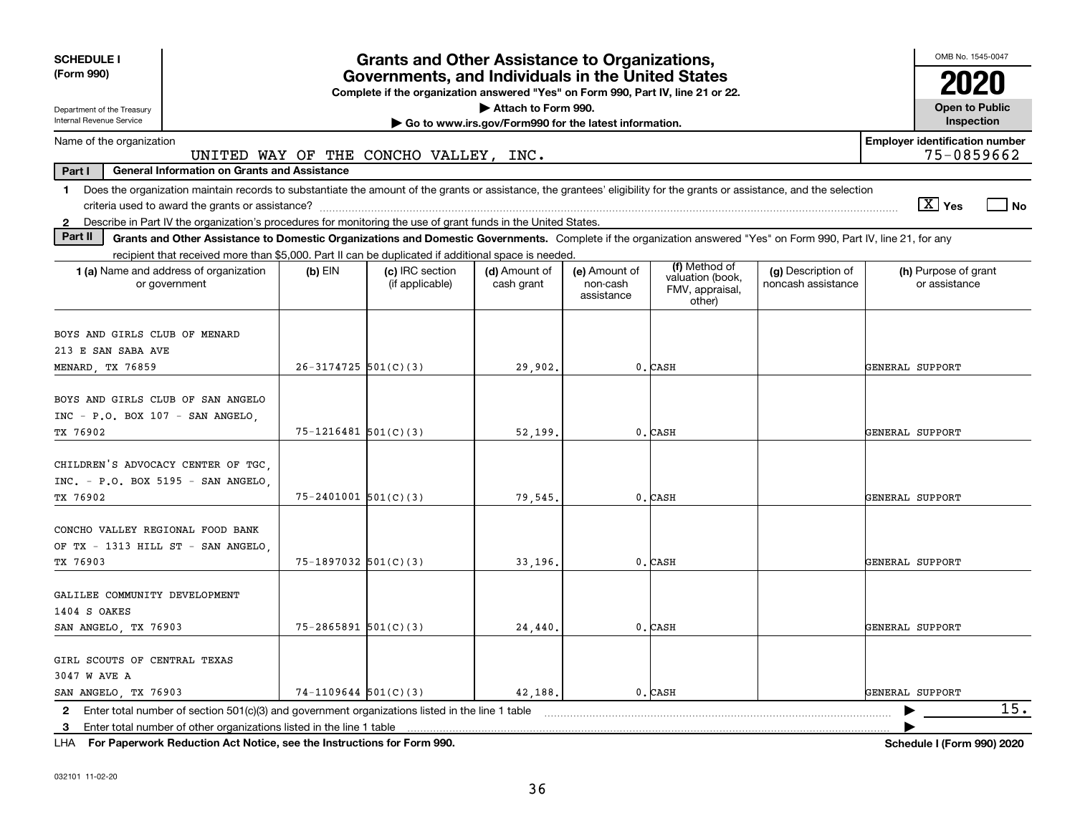| <b>SCHEDULE I</b><br>(Form 990)                                                                                                                                                                                                                                           |                            | <b>Grants and Other Assistance to Organizations,</b>                                                                                  |                                                                              |                                         |                                                                |                                          |                                       | OMB No. 1545-0047                   |
|---------------------------------------------------------------------------------------------------------------------------------------------------------------------------------------------------------------------------------------------------------------------------|----------------------------|---------------------------------------------------------------------------------------------------------------------------------------|------------------------------------------------------------------------------|-----------------------------------------|----------------------------------------------------------------|------------------------------------------|---------------------------------------|-------------------------------------|
|                                                                                                                                                                                                                                                                           |                            | Governments, and Individuals in the United States<br>Complete if the organization answered "Yes" on Form 990, Part IV, line 21 or 22. |                                                                              |                                         |                                                                |                                          |                                       |                                     |
| Department of the Treasury<br>Internal Revenue Service                                                                                                                                                                                                                    |                            |                                                                                                                                       | Attach to Form 990.<br>Go to www.irs.gov/Form990 for the latest information. |                                         |                                                                |                                          |                                       | <b>Open to Public</b><br>Inspection |
| Name of the organization                                                                                                                                                                                                                                                  |                            | UNITED WAY OF THE CONCHO VALLEY, INC.                                                                                                 |                                                                              |                                         |                                                                |                                          | <b>Employer identification number</b> | 75-0859662                          |
| Part I<br><b>General Information on Grants and Assistance</b>                                                                                                                                                                                                             |                            |                                                                                                                                       |                                                                              |                                         |                                                                |                                          |                                       |                                     |
| Does the organization maintain records to substantiate the amount of the grants or assistance, the grantees' eligibility for the grants or assistance, and the selection<br>$\mathbf 1$                                                                                   |                            |                                                                                                                                       |                                                                              |                                         |                                                                |                                          | $\sqrt{X}$ Yes                        | l No                                |
| Describe in Part IV the organization's procedures for monitoring the use of grant funds in the United States.<br>$\mathbf{2}$<br>Part II                                                                                                                                  |                            |                                                                                                                                       |                                                                              |                                         |                                                                |                                          |                                       |                                     |
| Grants and Other Assistance to Domestic Organizations and Domestic Governments. Complete if the organization answered "Yes" on Form 990, Part IV, line 21, for any<br>recipient that received more than \$5,000. Part II can be duplicated if additional space is needed. |                            |                                                                                                                                       |                                                                              |                                         |                                                                |                                          |                                       |                                     |
| <b>1 (a)</b> Name and address of organization<br>or government                                                                                                                                                                                                            | $(b)$ EIN                  | (c) IRC section<br>(if applicable)                                                                                                    | (d) Amount of<br>cash grant                                                  | (e) Amount of<br>non-cash<br>assistance | (f) Method of<br>valuation (book,<br>FMV, appraisal,<br>other) | (g) Description of<br>noncash assistance | (h) Purpose of grant<br>or assistance |                                     |
| BOYS AND GIRLS CLUB OF MENARD                                                                                                                                                                                                                                             |                            |                                                                                                                                       |                                                                              |                                         |                                                                |                                          |                                       |                                     |
| 213 E SAN SABA AVE                                                                                                                                                                                                                                                        |                            |                                                                                                                                       |                                                                              |                                         |                                                                |                                          |                                       |                                     |
| MENARD, TX 76859                                                                                                                                                                                                                                                          | $26-3174725$ 501(C)(3)     |                                                                                                                                       | 29,902.                                                                      |                                         | 0. CASH                                                        |                                          | GENERAL SUPPORT                       |                                     |
| BOYS AND GIRLS CLUB OF SAN ANGELO<br>INC - P.O. BOX 107 - SAN ANGELO,<br>TX 76902                                                                                                                                                                                         | $75 - 1216481$ 501(C)(3)   |                                                                                                                                       | 52,199                                                                       |                                         | 0. CASH                                                        |                                          | GENERAL SUPPORT                       |                                     |
| CHILDREN'S ADVOCACY CENTER OF TGC.<br>INC. - P.O. BOX 5195 - SAN ANGELO,<br>TX 76902                                                                                                                                                                                      | $75 - 2401001$ 501(C)(3)   |                                                                                                                                       | 79,545.                                                                      |                                         | 0. CASH                                                        |                                          | GENERAL SUPPORT                       |                                     |
| CONCHO VALLEY REGIONAL FOOD BANK<br>OF TX - 1313 HILL ST - SAN ANGELO.<br>TX 76903                                                                                                                                                                                        | $75-1897032$ 501(C)(3)     |                                                                                                                                       | 33.196.                                                                      |                                         | 0. CASH                                                        |                                          | GENERAL SUPPORT                       |                                     |
| GALILEE COMMUNITY DEVELOPMENT<br>1404 S OAKES<br>SAN ANGELO, TX 76903                                                                                                                                                                                                     | $75 - 2865891$ $501(C)(3)$ |                                                                                                                                       | 24,440.                                                                      |                                         | 0. CASH                                                        |                                          | GENERAL SUPPORT                       |                                     |
| GIRL SCOUTS OF CENTRAL TEXAS<br>3047 W AVE A<br>SAN ANGELO, TX 76903                                                                                                                                                                                                      | $74-1109644$ $501(C)(3)$   |                                                                                                                                       | 42,188.                                                                      |                                         | 0. CASH                                                        |                                          | GENERAL SUPPORT                       |                                     |
| Enter total number of section $501(c)(3)$ and government organizations listed in the line 1 table<br>$\mathbf{2}$<br>Enter total number of other organizations listed in the line 1 table<br>3                                                                            |                            |                                                                                                                                       |                                                                              |                                         |                                                                |                                          |                                       | 15.                                 |

**For Paperwork Reduction Act Notice, see the Instructions for Form 990. Schedule I (Form 990) 2020** LHA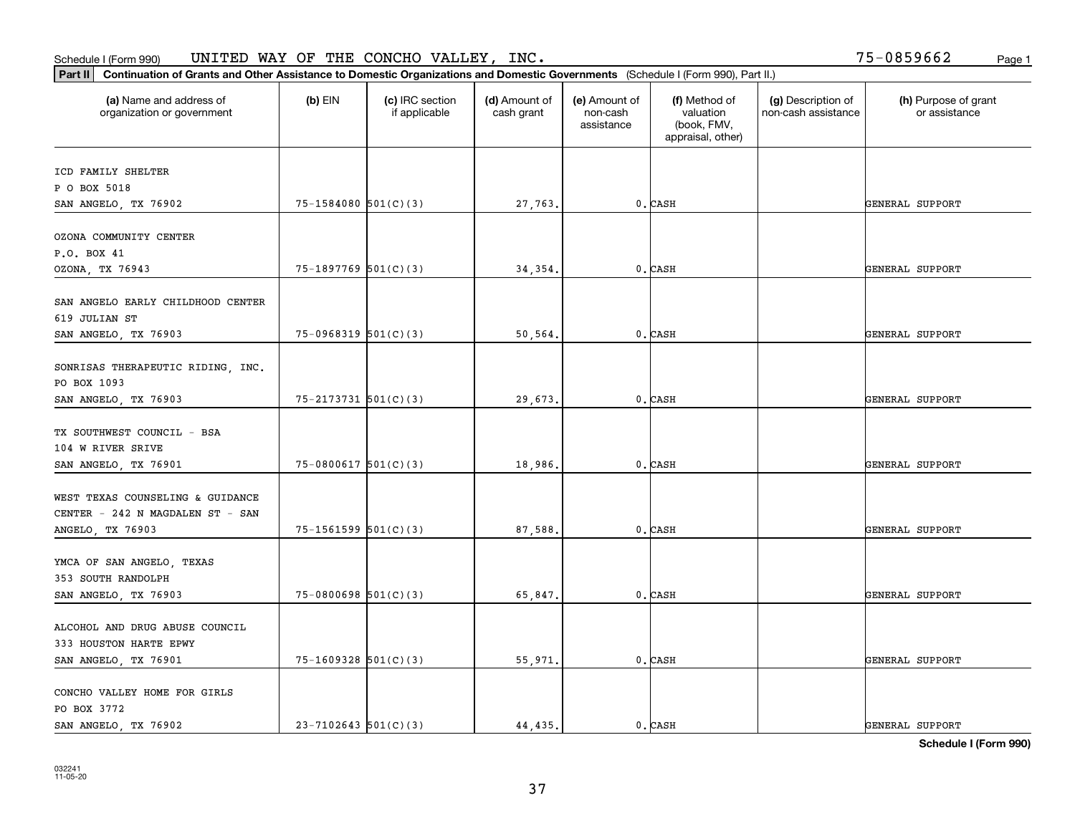### Schedule I (Form 990) Page 1 UNITED WAY OF THE CONCHO VALLEY, INC.

75-0859662

| Part II   Continuation of Grants and Other Assistance to Domestic Organizations and Domestic Governments (Schedule I (Form 990), Part II.) |                            |                                  |                             |                                         |                                                                |                                           |                                       |
|--------------------------------------------------------------------------------------------------------------------------------------------|----------------------------|----------------------------------|-----------------------------|-----------------------------------------|----------------------------------------------------------------|-------------------------------------------|---------------------------------------|
| (a) Name and address of<br>organization or government                                                                                      | $(b)$ EIN                  | (c) IRC section<br>if applicable | (d) Amount of<br>cash grant | (e) Amount of<br>non-cash<br>assistance | (f) Method of<br>valuation<br>(book, FMV,<br>appraisal, other) | (g) Description of<br>non-cash assistance | (h) Purpose of grant<br>or assistance |
| ICD FAMILY SHELTER                                                                                                                         |                            |                                  |                             |                                         |                                                                |                                           |                                       |
| P O BOX 5018                                                                                                                               |                            |                                  |                             |                                         |                                                                |                                           |                                       |
| SAN ANGELO, TX 76902                                                                                                                       | $75 - 1584080$ $501(C)(3)$ |                                  | 27,763.                     |                                         | 0. CASH                                                        |                                           | <b>GENERAL SUPPORT</b>                |
|                                                                                                                                            |                            |                                  |                             |                                         |                                                                |                                           |                                       |
| OZONA COMMUNITY CENTER                                                                                                                     |                            |                                  |                             |                                         |                                                                |                                           |                                       |
| P.O. BOX 41                                                                                                                                |                            |                                  |                             |                                         |                                                                |                                           |                                       |
| OZONA, TX 76943                                                                                                                            | $75-1897769$ 501(C)(3)     |                                  | 34,354                      |                                         | 0. CASH                                                        |                                           | GENERAL SUPPORT                       |
| SAN ANGELO EARLY CHILDHOOD CENTER                                                                                                          |                            |                                  |                             |                                         |                                                                |                                           |                                       |
| 619 JULIAN ST                                                                                                                              |                            |                                  |                             |                                         |                                                                |                                           |                                       |
| SAN ANGELO, TX 76903                                                                                                                       | $75-0968319$ 501(C)(3)     |                                  | 50,564.                     |                                         | $0$ . $\mathtt{CASH}$                                          |                                           | GENERAL SUPPORT                       |
|                                                                                                                                            |                            |                                  |                             |                                         |                                                                |                                           |                                       |
| SONRISAS THERAPEUTIC RIDING, INC.                                                                                                          |                            |                                  |                             |                                         |                                                                |                                           |                                       |
| PO BOX 1093                                                                                                                                |                            |                                  |                             |                                         |                                                                |                                           |                                       |
| SAN ANGELO, TX 76903                                                                                                                       | $75 - 2173731$ 501(C)(3)   |                                  | 29,673.                     |                                         | 0. CASH                                                        |                                           | GENERAL SUPPORT                       |
|                                                                                                                                            |                            |                                  |                             |                                         |                                                                |                                           |                                       |
| TX SOUTHWEST COUNCIL - BSA                                                                                                                 |                            |                                  |                             |                                         |                                                                |                                           |                                       |
| 104 W RIVER SRIVE                                                                                                                          |                            |                                  |                             |                                         |                                                                |                                           |                                       |
| SAN ANGELO, TX 76901                                                                                                                       | $75-0800617$ 501(C)(3)     |                                  | 18,986.                     |                                         | 0. CASH                                                        |                                           | GENERAL SUPPORT                       |
|                                                                                                                                            |                            |                                  |                             |                                         |                                                                |                                           |                                       |
| WEST TEXAS COUNSELING & GUIDANCE                                                                                                           |                            |                                  |                             |                                         |                                                                |                                           |                                       |
| CENTER - 242 N MAGDALEN ST - SAN                                                                                                           |                            |                                  |                             |                                         |                                                                |                                           |                                       |
| ANGELO, TX 76903                                                                                                                           | $75 - 1561599$ $501(C)(3)$ |                                  | 87,588.                     |                                         | 0. CASH                                                        |                                           | GENERAL SUPPORT                       |
|                                                                                                                                            |                            |                                  |                             |                                         |                                                                |                                           |                                       |
| YMCA OF SAN ANGELO, TEXAS                                                                                                                  |                            |                                  |                             |                                         |                                                                |                                           |                                       |
| 353 SOUTH RANDOLPH                                                                                                                         |                            |                                  |                             |                                         |                                                                |                                           |                                       |
| SAN ANGELO, TX 76903                                                                                                                       | $75-0800698$ 501(C)(3)     |                                  | 65,847.                     |                                         | $0$ . CASH                                                     |                                           | GENERAL SUPPORT                       |
|                                                                                                                                            |                            |                                  |                             |                                         |                                                                |                                           |                                       |
| ALCOHOL AND DRUG ABUSE COUNCIL                                                                                                             |                            |                                  |                             |                                         |                                                                |                                           |                                       |
| 333 HOUSTON HARTE EPWY                                                                                                                     |                            |                                  |                             |                                         |                                                                |                                           |                                       |
| SAN ANGELO, TX 76901                                                                                                                       | $75-1609328$ 501(C)(3)     |                                  | 55,971.                     |                                         | $0$ . CASH                                                     |                                           | GENERAL SUPPORT                       |
|                                                                                                                                            |                            |                                  |                             |                                         |                                                                |                                           |                                       |
| CONCHO VALLEY HOME FOR GIRLS                                                                                                               |                            |                                  |                             |                                         |                                                                |                                           |                                       |
| PO BOX 3772                                                                                                                                |                            |                                  |                             |                                         |                                                                |                                           |                                       |
| SAN ANGELO, TX 76902                                                                                                                       | $23 - 7102643$ 501(C)(3)   |                                  | 44,435.                     |                                         | 0. CASH                                                        |                                           | GENERAL SUPPORT                       |

**Schedule I (Form 990)**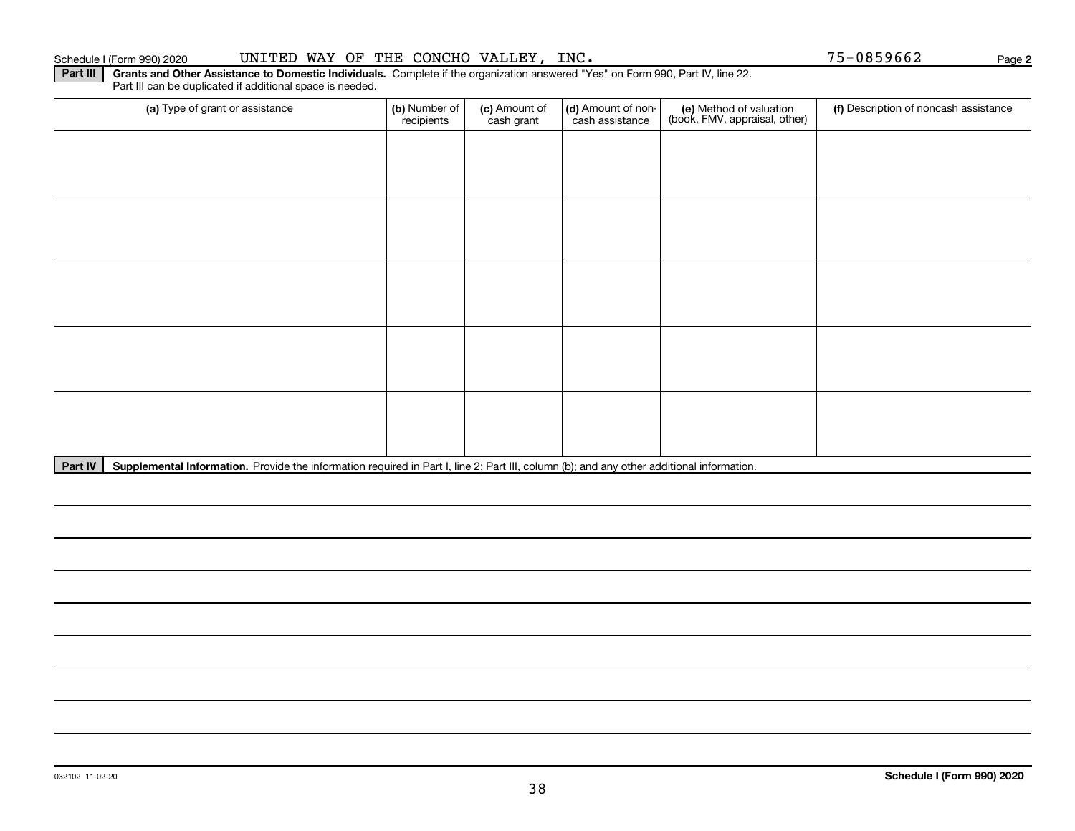**Part III** | Grants and Other Assistance to Domestic Individuals. Complete if the organization answered "Yes" on Form 990, Part IV, line 22. Part III can be duplicated if additional space is needed.

| (a) Type of grant or assistance | (b) Number of<br>recipients | (c) Amount of<br>cash grant | (d) Amount of non-<br>cash assistance | (e) Method of valuation<br>(book, FMV, appraisal, other) | (f) Description of noncash assistance |
|---------------------------------|-----------------------------|-----------------------------|---------------------------------------|----------------------------------------------------------|---------------------------------------|
|                                 |                             |                             |                                       |                                                          |                                       |
|                                 |                             |                             |                                       |                                                          |                                       |
|                                 |                             |                             |                                       |                                                          |                                       |
|                                 |                             |                             |                                       |                                                          |                                       |
|                                 |                             |                             |                                       |                                                          |                                       |
|                                 |                             |                             |                                       |                                                          |                                       |
|                                 |                             |                             |                                       |                                                          |                                       |
|                                 |                             |                             |                                       |                                                          |                                       |
|                                 |                             |                             |                                       |                                                          |                                       |
|                                 |                             |                             |                                       |                                                          |                                       |

Part IV | Supplemental Information. Provide the information required in Part I, line 2; Part III, column (b); and any other additional information.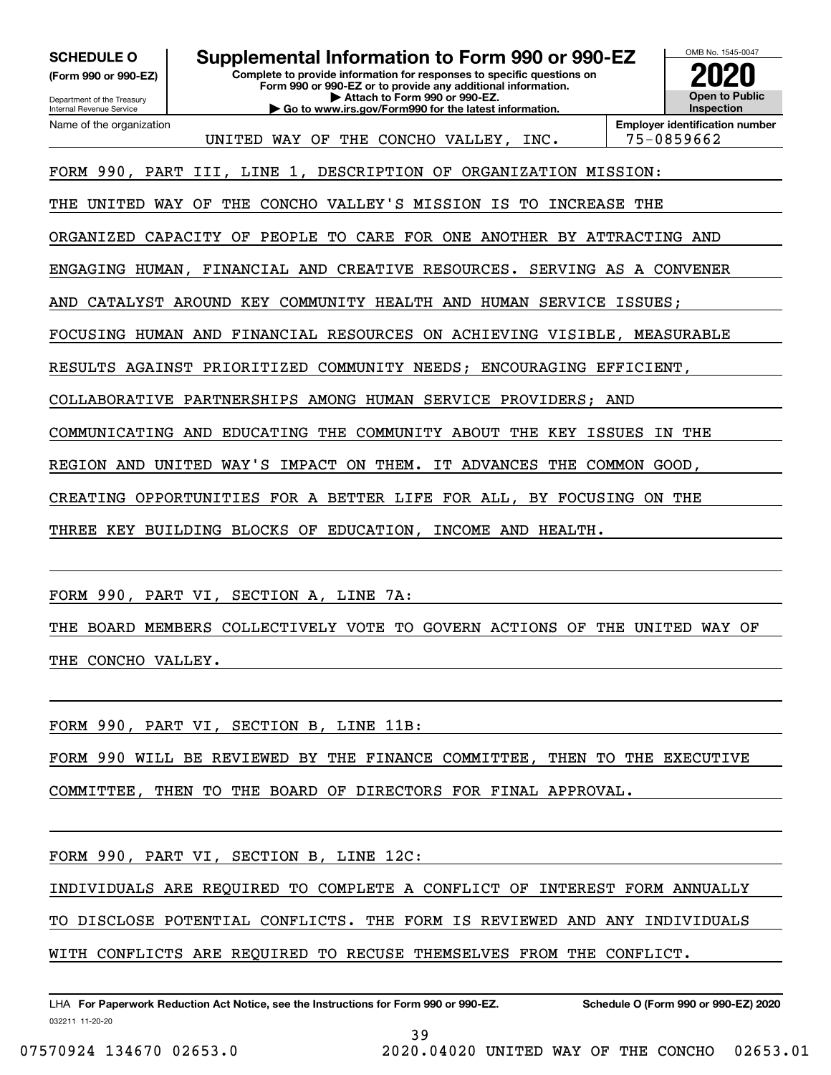**(Form 990 or 990-EZ)**

Department of the Treasury Internal Revenue Service Name of the organization

**SCHEDULE O Supplemental Information to Form 990 or 990-EZ**

**Complete to provide information for responses to specific questions on Form 990 or 990-EZ or to provide any additional information. | Attach to Form 990 or 990-EZ.**

**| Go to www.irs.gov/Form990 for the latest information.**



UNITED WAY OF THE CONCHO VALLEY, INC. | 75-0859662

FORM 990, PART III, LINE 1, DESCRIPTION OF ORGANIZATION MISSION:

THE UNITED WAY OF THE CONCHO VALLEY'S MISSION IS TO INCREASE THE

ORGANIZED CAPACITY OF PEOPLE TO CARE FOR ONE ANOTHER BY ATTRACTING AND

ENGAGING HUMAN, FINANCIAL AND CREATIVE RESOURCES. SERVING AS A CONVENER

AND CATALYST AROUND KEY COMMUNITY HEALTH AND HUMAN SERVICE ISSUES;

FOCUSING HUMAN AND FINANCIAL RESOURCES ON ACHIEVING VISIBLE, MEASURABLE

RESULTS AGAINST PRIORITIZED COMMUNITY NEEDS; ENCOURAGING EFFICIENT,

COLLABORATIVE PARTNERSHIPS AMONG HUMAN SERVICE PROVIDERS; AND

COMMUNICATING AND EDUCATING THE COMMUNITY ABOUT THE KEY ISSUES IN THE

REGION AND UNITED WAY'S IMPACT ON THEM. IT ADVANCES THE COMMON GOOD,

CREATING OPPORTUNITIES FOR A BETTER LIFE FOR ALL, BY FOCUSING ON THE

THREE KEY BUILDING BLOCKS OF EDUCATION, INCOME AND HEALTH.

FORM 990, PART VI, SECTION A, LINE 7A:

THE BOARD MEMBERS COLLECTIVELY VOTE TO GOVERN ACTIONS OF THE UNITED WAY OF THE CONCHO VALLEY.

FORM 990, PART VI, SECTION B, LINE 11B:

FORM 990 WILL BE REVIEWED BY THE FINANCE COMMITTEE, THEN TO THE EXECUTIVE COMMITTEE, THEN TO THE BOARD OF DIRECTORS FOR FINAL APPROVAL.

FORM 990, PART VI, SECTION B, LINE 12C:

INDIVIDUALS ARE REQUIRED TO COMPLETE A CONFLICT OF INTEREST FORM ANNUALLY

TO DISCLOSE POTENTIAL CONFLICTS. THE FORM IS REVIEWED AND ANY INDIVIDUALS

WITH CONFLICTS ARE REQUIRED TO RECUSE THEMSELVES FROM THE CONFLICT.

032211 11-20-20 LHA For Paperwork Reduction Act Notice, see the Instructions for Form 990 or 990-EZ. Schedule O (Form 990 or 990-EZ) 2020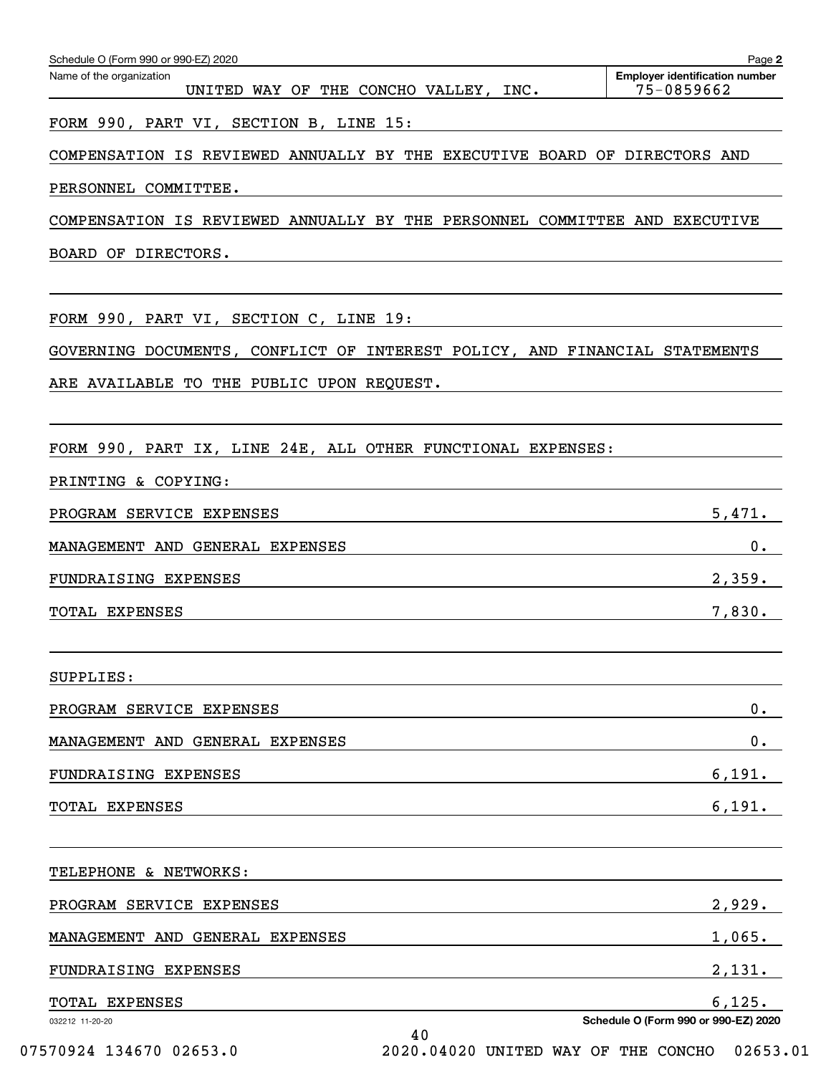| Schedule O (Form 990 or 990-EZ) 2020<br>Name of the organization<br>UNITED WAY OF THE CONCHO VALLEY, INC. | Page 2<br><b>Employer identification number</b><br>75-0859662 |
|-----------------------------------------------------------------------------------------------------------|---------------------------------------------------------------|
| FORM 990, PART VI, SECTION B, LINE 15:                                                                    |                                                               |
| COMPENSATION IS REVIEWED ANNUALLY BY THE EXECUTIVE BOARD OF DIRECTORS AND                                 |                                                               |
| PERSONNEL COMMITTEE.                                                                                      |                                                               |
| COMPENSATION IS REVIEWED ANNUALLY BY THE PERSONNEL COMMITTEE AND EXECUTIVE                                |                                                               |
| BOARD OF DIRECTORS.                                                                                       |                                                               |
|                                                                                                           |                                                               |
| FORM 990, PART VI, SECTION C, LINE 19:                                                                    |                                                               |
| GOVERNING DOCUMENTS, CONFLICT OF INTEREST POLICY, AND FINANCIAL STATEMENTS                                |                                                               |
| ARE AVAILABLE TO THE PUBLIC UPON REQUEST.                                                                 |                                                               |
|                                                                                                           |                                                               |
| FORM 990, PART IX, LINE 24E, ALL OTHER FUNCTIONAL EXPENSES:                                               |                                                               |
| PRINTING & COPYING:                                                                                       |                                                               |
| PROGRAM SERVICE EXPENSES                                                                                  | 5,471.                                                        |
| MANAGEMENT AND GENERAL EXPENSES                                                                           | $0$ .                                                         |
| FUNDRAISING EXPENSES                                                                                      | 2,359.                                                        |
| TOTAL EXPENSES                                                                                            | 7,830.                                                        |
|                                                                                                           |                                                               |
| SUPPLIES:                                                                                                 |                                                               |
| PROGRAM SERVICE EXPENSES                                                                                  | $0 \cdot$                                                     |
| MANAGEMENT AND GENERAL EXPENSES                                                                           | $0 \cdot$                                                     |
| FUNDRAISING EXPENSES                                                                                      | 6,191.                                                        |
| TOTAL EXPENSES                                                                                            | 6,191.                                                        |
|                                                                                                           |                                                               |
| TELEPHONE & NETWORKS:                                                                                     |                                                               |
| PROGRAM SERVICE EXPENSES                                                                                  | 2,929.                                                        |
| MANAGEMENT AND GENERAL EXPENSES                                                                           | 1,065.                                                        |
| FUNDRAISING EXPENSES                                                                                      | 2,131.                                                        |
| TOTAL EXPENSES                                                                                            | 6,125.                                                        |